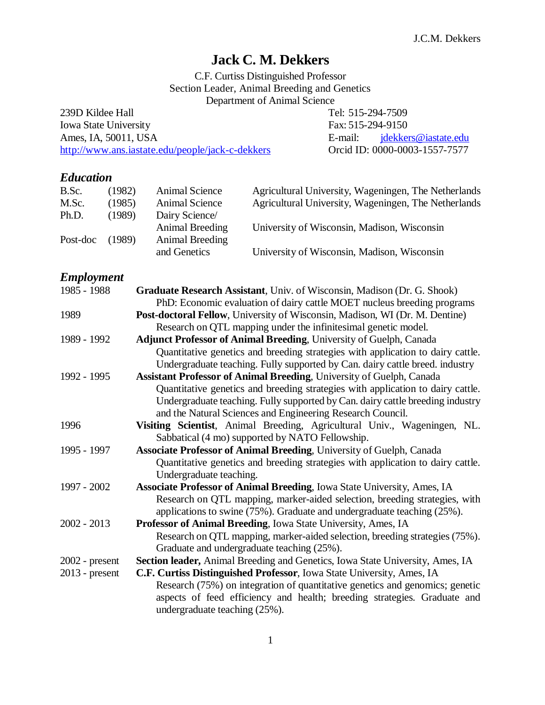# **Jack C. M. Dekkers**

C.F. Curtiss Distinguished Professor Section Leader, Animal Breeding and Genetics Department of Animal Science

239D Kildee Hall Tel: 515-294-7509 Iowa State University Fax: 515-294-9150 Ames, IA, 50011, USA E-mail: [jdekkers@iastate.edu](mailto:jdekkers@iastate.edu) <http://www.ans.iastate.edu/people/jack-c-dekkers> Orcid ID: 0000-0003-1557-7577

## *Education*

| B.Sc.    | (1982) | Animal Science  | Agricultural University, Wageningen, The Netherlands |
|----------|--------|-----------------|------------------------------------------------------|
| M.Sc.    | (1985) | Animal Science  | Agricultural University, Wageningen, The Netherlands |
| Ph.D.    | (1989) | Dairy Science/  |                                                      |
|          |        | Animal Breeding | University of Wisconsin, Madison, Wisconsin          |
| Post-doc | (1989) | Animal Breeding |                                                      |
|          |        | and Genetics    | University of Wisconsin, Madison, Wisconsin          |

## *Employment*

| 1985 - 1988      | Graduate Research Assistant, Univ. of Wisconsin, Madison (Dr. G. Shook)         |
|------------------|---------------------------------------------------------------------------------|
|                  | PhD: Economic evaluation of dairy cattle MOET nucleus breeding programs         |
| 1989             | Post-doctoral Fellow, University of Wisconsin, Madison, WI (Dr. M. Dentine)     |
|                  | Research on QTL mapping under the infinitesimal genetic model.                  |
| 1989 - 1992      | <b>Adjunct Professor of Animal Breeding, University of Guelph, Canada</b>       |
|                  | Quantitative genetics and breeding strategies with application to dairy cattle. |
|                  | Undergraduate teaching. Fully supported by Can. dairy cattle breed. industry    |
| 1992 - 1995      | Assistant Professor of Animal Breeding, University of Guelph, Canada            |
|                  | Quantitative genetics and breeding strategies with application to dairy cattle. |
|                  | Undergraduate teaching. Fully supported by Can. dairy cattle breeding industry  |
|                  | and the Natural Sciences and Engineering Research Council.                      |
| 1996             | Visiting Scientist, Animal Breeding, Agricultural Univ., Wageningen, NL.        |
|                  | Sabbatical (4 mo) supported by NATO Fellowship.                                 |
| 1995 - 1997      | <b>Associate Professor of Animal Breeding, University of Guelph, Canada</b>     |
|                  | Quantitative genetics and breeding strategies with application to dairy cattle. |
|                  | Undergraduate teaching.                                                         |
| 1997 - 2002      | Associate Professor of Animal Breeding, Iowa State University, Ames, IA         |
|                  | Research on QTL mapping, marker-aided selection, breeding strategies, with      |
|                  | applications to swine $(75%)$ . Graduate and undergraduate teaching $(25%)$ .   |
| $2002 - 2013$    | Professor of Animal Breeding, Iowa State University, Ames, IA                   |
|                  | Research on QTL mapping, marker-aided selection, breeding strategies (75%).     |
|                  | Graduate and undergraduate teaching (25%).                                      |
| $2002$ - present | Section leader, Animal Breeding and Genetics, Iowa State University, Ames, IA   |
| $2013$ - present | C.F. Curtiss Distinguished Professor, Iowa State University, Ames, IA           |
|                  | Research (75%) on integration of quantitative genetics and genomics; genetic    |
|                  | aspects of feed efficiency and health; breeding strategies. Graduate and        |
|                  | undergraduate teaching (25%).                                                   |
|                  |                                                                                 |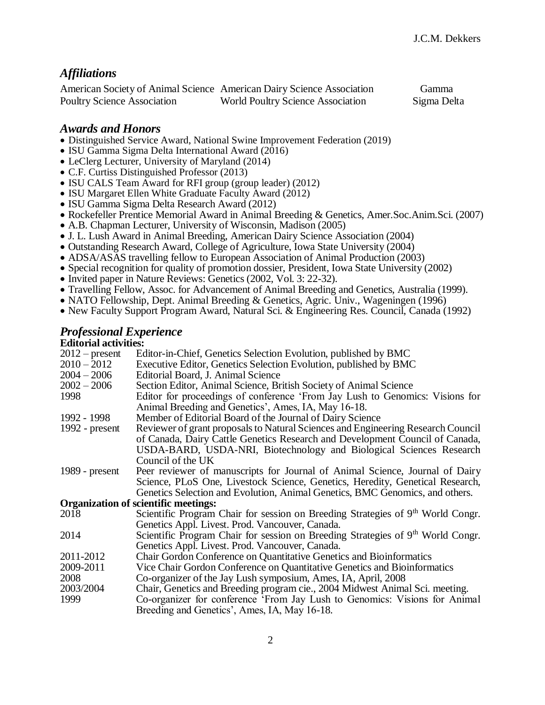### *Affiliations*

|                                    | American Society of Animal Science American Dairy Science Association | Gamma       |
|------------------------------------|-----------------------------------------------------------------------|-------------|
| <b>Poultry Science Association</b> | <b>World Poultry Science Association</b>                              | Sigma Delta |

### *Awards and Honors*

- Distinguished Service Award, National Swine Improvement Federation (2019)
- ISU Gamma Sigma Delta International Award (2016)
- LeClerg Lecturer, University of Maryland (2014)
- C.F. Curtiss Distinguished Professor (2013)
- ISU CALS Team Award for RFI group (group leader) (2012)
- ISU Margaret Ellen White Graduate Faculty Award (2012)
- ISU Gamma Sigma Delta Research Award (2012)
- Rockefeller Prentice Memorial Award in Animal Breeding & Genetics, Amer.Soc.Anim.Sci. (2007)
- A.B. Chapman Lecturer, University of Wisconsin, Madison (2005)
- J. L. Lush Award in Animal Breeding, American Dairy Science Association (2004)
- Outstanding Research Award, College of Agriculture, Iowa State University (2004)
- ADSA/ASAS travelling fellow to European Association of Animal Production (2003)
- Special recognition for quality of promotion dossier, President, Iowa State University (2002)
- Invited paper in Nature Reviews: Genetics (2002, Vol. 3: 22-32).
- Travelling Fellow, Assoc. for Advancement of Animal Breeding and Genetics, Australia (1999).
- NATO Fellowship, Dept. Animal Breeding & Genetics, Agric. Univ., Wageningen (1996)
- New Faculty Support Program Award, Natural Sci. & Engineering Res. Council, Canada (1992)

### *Professional Experience*

#### **Editorial activities:**

| $2012$ – present | Editor-in-Chief, Genetics Selection Evolution, published by BMC                                                                     |
|------------------|-------------------------------------------------------------------------------------------------------------------------------------|
| $2010 - 2012$    | Executive Editor, Genetics Selection Evolution, published by BMC                                                                    |
| $2004 - 2006$    | Editorial Board, J. Animal Science                                                                                                  |
| $2002 - 2006$    | Section Editor, Animal Science, British Society of Animal Science                                                                   |
| 1998             | Editor for proceedings of conference 'From Jay Lush to Genomics: Visions for<br>Animal Breeding and Genetics', Ames, IA, May 16-18. |
| 1992 - 1998      | Member of Editorial Board of the Journal of Dairy Science                                                                           |
|                  |                                                                                                                                     |
| 1992 - $present$ | Reviewer of grant proposals to Natural Sciences and Engineering Research Council                                                    |
|                  | of Canada, Dairy Cattle Genetics Research and Development Council of Canada,                                                        |
|                  | USDA-BARD, USDA-NRI, Biotechnology and Biological Sciences Research                                                                 |
|                  | Council of the UK                                                                                                                   |
| 1989 - $present$ | Peer reviewer of manuscripts for Journal of Animal Science, Journal of Dairy                                                        |
|                  | Science, PLoS One, Livestock Science, Genetics, Heredity, Genetical Research,                                                       |
|                  | Genetics Selection and Evolution, Animal Genetics, BMC Genomics, and others.                                                        |
|                  | <b>Organization of scientific meetings:</b>                                                                                         |
| 2018             | Scientific Program Chair for session on Breeding Strategies of 9 <sup>th</sup> World Congr.                                         |
|                  | Genetics Appl. Livest. Prod. Vancouver, Canada.                                                                                     |
| 2014             | Scientific Program Chair for session on Breeding Strategies of 9 <sup>th</sup> World Congr.                                         |
|                  | Genetics Appl. Livest. Prod. Vancouver, Canada.                                                                                     |
| 2011-2012        | Chair Gordon Conference on Quantitative Genetics and Bioinformatics                                                                 |
| 2009-2011        | Vice Chair Gordon Conference on Quantitative Genetics and Bioinformatics                                                            |
| 2008             | Co-organizer of the Jay Lush symposium, Ames, IA, April, 2008                                                                       |
| 2003/2004        | Chair, Genetics and Breeding program cie., 2004 Midwest Animal Sci. meeting.                                                        |
| 1999             | Co-organizer for conference 'From Jay Lush to Genomics: Visions for Animal                                                          |
|                  | Breeding and Genetics', Ames, IA, May 16-18.                                                                                        |
|                  |                                                                                                                                     |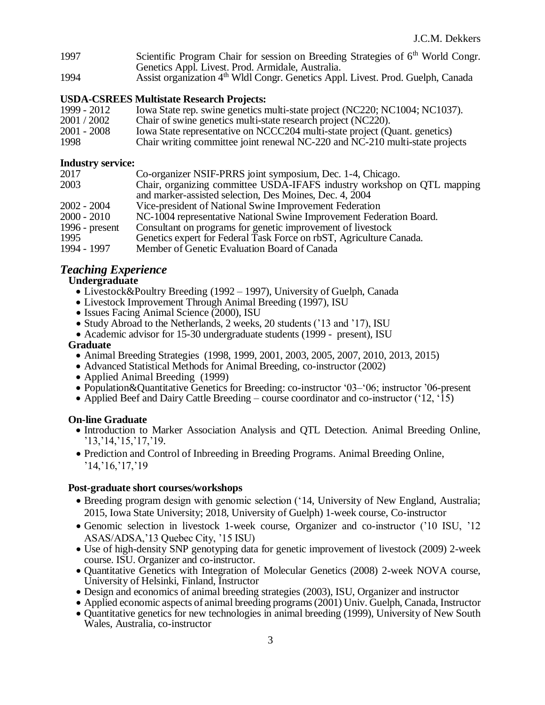- 1997 Scientific Program Chair for session on Breeding Strategies of 6<sup>th</sup> World Congr. Genetics Appl. Livest. Prod. Armidale, Australia.
- 1994 Assist organization 4<sup>th</sup> Wldl Congr. Genetics Appl. Livest. Prod. Guelph, Canada

### **USDA-CSREES Multistate Research Projects:**

1999 - 2012 Iowa State rep. swine genetics multi-state project (NC220; NC1004; NC1037).<br>2001 / 2002 Chair of swine genetics multi-state research project (NC220). Chair of swine genetics multi-state research project (NC220). 2001 - 2008 Iowa State representative on NCCC204 multi-state project (Quant. genetics) 1998 Chair writing committee joint renewal NC-220 and NC-210 multi-state projects

### **Industry service:**

| 2017             | Co-organizer NSIF-PRRS joint symposium, Dec. 1-4, Chicago.              |
|------------------|-------------------------------------------------------------------------|
| 2003             | Chair, organizing committee USDA-IFAFS industry workshop on QTL mapping |
|                  | and marker-assisted selection, Des Moines, Dec. 4, 2004                 |
| $2002 - 2004$    | Vice-president of National Swine Improvement Federation                 |
| 2000 - 2010      | NC-1004 representative National Swine Improvement Federation Board.     |
| 1996 - $present$ | Consultant on programs for genetic improvement of livestock             |
| 1995             | Genetics expert for Federal Task Force on rbST, Agriculture Canada.     |
| 1994 - 1997      | Member of Genetic Evaluation Board of Canada                            |

### *Teaching Experience*

### **Undergraduate**

- Livestock&Poultry Breeding (1992 1997), University of Guelph, Canada
- Livestock Improvement Through Animal Breeding (1997), ISU
- Issues Facing Animal Science (2000), ISU
- Study Abroad to the Netherlands, 2 weeks, 20 students ('13 and '17), ISU
- Academic advisor for 15-30 undergraduate students (1999 present), ISU

#### **Graduate**

- Animal Breeding Strategies (1998, 1999, 2001, 2003, 2005, 2007, 2010, 2013, 2015)
- Advanced Statistical Methods for Animal Breeding, co-instructor (2002)
- Applied Animal Breeding (1999)
- Population&Quantitative Genetics for Breeding: co-instructor '03–'06; instructor '06-present
- Applied Beef and Dairy Cattle Breeding course coordinator and co-instructor ('12, '15)

### **On-line Graduate**

- Introduction to Marker Association Analysis and QTL Detection. Animal Breeding Online, '13,'14,'15,'17,'19.
- Prediction and Control of Inbreeding in Breeding Programs. Animal Breeding Online, '14,'16,'17,'19

### **Post-graduate short courses/workshops**

- Breeding program design with genomic selection ('14, University of New England, Australia; 2015, Iowa State University; 2018, University of Guelph) 1-week course, Co-instructor
- Genomic selection in livestock 1-week course, Organizer and co-instructor ('10 ISU, '12 ASAS/ADSA,'13 Quebec City, '15 ISU)
- Use of high-density SNP genotyping data for genetic improvement of livestock (2009) 2-week course. ISU. Organizer and co-instructor.
- Quantitative Genetics with Integration of Molecular Genetics (2008) 2-week NOVA course, University of Helsinki, Finland, Instructor
- Design and economics of animal breeding strategies (2003), ISU, Organizer and instructor
- Applied economic aspects of animal breeding programs (2001) Univ. Guelph, Canada, Instructor
- Quantitative genetics for new technologies in animal breeding (1999), University of New South Wales, Australia, co-instructor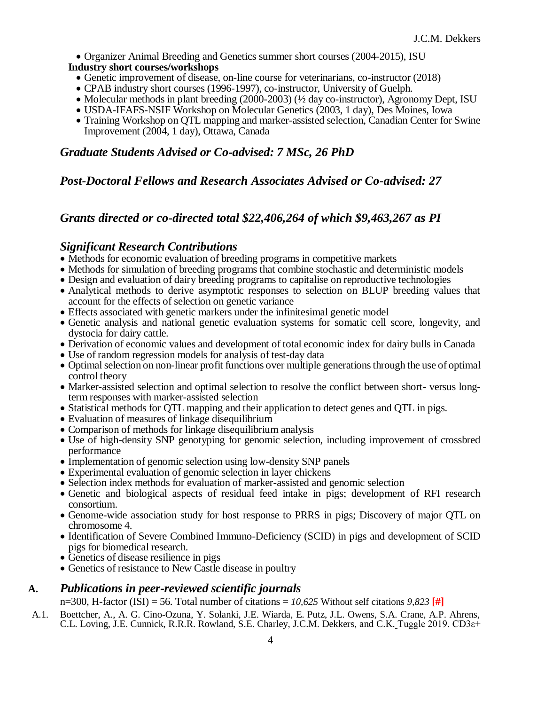• Organizer Animal Breeding and Genetics summer short courses (2004-2015), ISU

#### **Industry short courses/workshops**

- Genetic improvement of disease, on-line course for veterinarians, co-instructor (2018)
- CPAB industry short courses (1996-1997), co-instructor, University of Guelph.
- Molecular methods in plant breeding (2000-2003) ( $\frac{1}{2}$  day co-instructor), Agronomy Dept, ISU
- USDA-IFAFS-NSIF Workshop on Molecular Genetics (2003, 1 day), Des Moines, Iowa
- Training Workshop on QTL mapping and marker-assisted selection, Canadian Center for Swine Improvement (2004, 1 day), Ottawa, Canada

### *Graduate Students Advised or Co-advised: 7 MSc, 26 PhD*

### *Post-Doctoral Fellows and Research Associates Advised or Co-advised: 27*

### *Grants directed or co-directed total \$22,406,264 of which \$9,463,267 as PI*

### *Significant Research Contributions*

- Methods for economic evaluation of breeding programs in competitive markets
- Methods for simulation of breeding programs that combine stochastic and deterministic models
- Design and evaluation of dairy breeding programs to capitalise on reproductive technologies
- Analytical methods to derive asymptotic responses to selection on BLUP breeding values that account for the effects of selection on genetic variance
- Effects associated with genetic markers under the infinitesimal genetic model
- Genetic analysis and national genetic evaluation systems for somatic cell score, longevity, and dystocia for dairy cattle.
- Derivation of economic values and development of total economic index for dairy bulls in Canada
- Use of random regression models for analysis of test-day data
- Optimal selection on non-linear profit functions over multiple generations through the use of optimal control theory
- Marker-assisted selection and optimal selection to resolve the conflict between short- versus longterm responses with marker-assisted selection
- Statistical methods for QTL mapping and their application to detect genes and QTL in pigs.
- Evaluation of measures of linkage disequilibrium
- Comparison of methods for linkage disequilibrium analysis
- Use of high-density SNP genotyping for genomic selection, including improvement of crossbred performance
- Implementation of genomic selection using low-density SNP panels
- Experimental evaluation of genomic selection in layer chickens
- Selection index methods for evaluation of marker-assisted and genomic selection
- Genetic and biological aspects of residual feed intake in pigs; development of RFI research consortium.
- Genome-wide association study for host response to PRRS in pigs; Discovery of major QTL on chromosome 4.
- Identification of Severe Combined Immuno-Deficiency (SCID) in pigs and development of SCID pigs for biomedical research.
- Genetics of disease resilience in pigs
- Genetics of resistance to New Castle disease in poultry

### **A.** *Publications in peer-reviewed scientific journals*

n=300, H-factor (ISI) = 56. Total number of citations = *10,625* Without self citations *9,823* **[#]**

A.1. Boettcher, A., A. G. Cino-Ozuna, Y. Solanki, J.E. Wiarda, E. Putz, J.L. Owens, S.A. Crane, A.P. Ahrens, C.L. Loving, J.E. Cunnick, R.R.R. Rowland, S.E. Charley, J.C.M. Dekkers, and C.K. Tuggle 2019. CD3ε+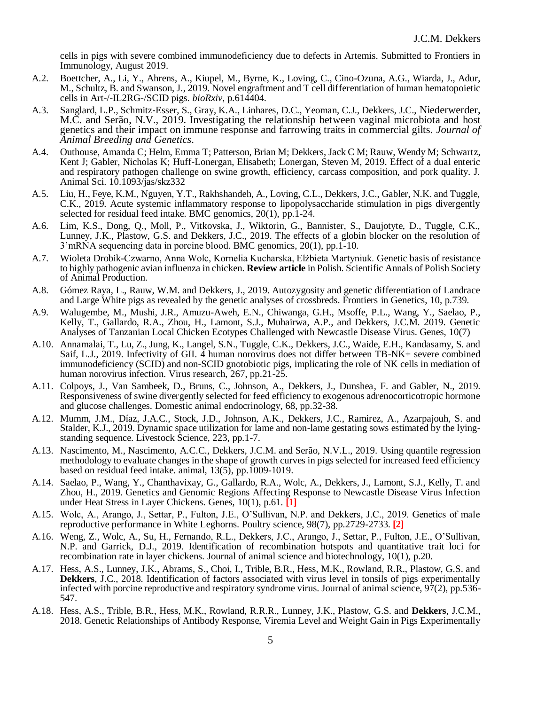cells in pigs with severe combined immunodeficiency due to defects in Artemis. Submitted to Frontiers in Immunology, August 2019.

- A.2. Boettcher, A., Li, Y., Ahrens, A., Kiupel, M., Byrne, K., Loving, C., Cino-Ozuna, A.G., Wiarda, J., Adur, M., Schultz, B. and Swanson, J., 2019. Novel engraftment and T cell differentiation of human hematopoietic cells in Art-/-IL2RG-/SCID pigs. *bioRxiv*, p.614404.
- A.3. Sanglard, L.P., Schmitz‐Esser, S., Gray, K.A., Linhares, D.C., Yeoman, C.J., Dekkers, J.C., Niederwerder, M.C. and Serão, N.V., 2019. Investigating the relationship between vaginal microbiota and host genetics and their impact on immune response and farrowing traits in commercial gilts. *Journal of Animal Breeding and Genetics*.
- A.4. Outhouse, Amanda C; Helm, Emma T; Patterson, Brian M; Dekkers, Jack C M; Rauw, Wendy M; Schwartz, Kent J; Gabler, Nicholas K; Huff-Lonergan, Elisabeth; Lonergan, Steven M, 2019. Effect of a dual enteric and respiratory pathogen challenge on swine growth, efficiency, carcass composition, and pork quality. J. Animal Sci. 10.1093/jas/skz332
- A.5. Liu, H., Feye, K.M., Nguyen, Y.T., Rakhshandeh, A., Loving, C.L., Dekkers, J.C., Gabler, N.K. and Tuggle, C.K., 2019. Acute systemic inflammatory response to lipopolysaccharide stimulation in pigs divergently selected for residual feed intake. BMC genomics, 20(1), pp.1-24.
- A.6. Lim, K.S., Dong, Q., Moll, P., Vitkovska, J., Wiktorin, G., Bannister, S., Daujotyte, D., Tuggle, C.K., Lunney, J.K., Plastow, G.S. and Dekkers, J.C., 2019. The effects of a globin blocker on the resolution of 3'mRNA sequencing data in porcine blood. BMC genomics, 20(1), pp.1-10.
- A.7. Wioleta Drobik-Czwarno, Anna Wolc, Kornelia Kucharska, Elżbieta Martyniuk. Genetic basis of resistance to highly pathogenic avian influenza in chicken. **Review article** in Polish. Scientific Annals of Polish Society of Animal Production.
- A.8. Gómez Raya, L., Rauw, W.M. and Dekkers, J., 2019. Autozygosity and genetic differentiation of Landrace and Large White pigs as revealed by the genetic analyses of crossbreds. Frontiers in Genetics, 10, p.739.
- A.9. Walugembe, M., Mushi, J.R., Amuzu-Aweh, E.N., Chiwanga, G.H., Msoffe, P.L., Wang, Y., Saelao, P., Kelly, T., Gallardo, R.A., Zhou, H., Lamont, S.J., Muhairwa, A.P., and Dekkers, J.C.M. 2019. Genetic Analyses of Tanzanian Local Chicken Ecotypes Challenged with Newcastle Disease Virus. Genes, 10(7)
- A.10. Annamalai, T., Lu, Z., Jung, K., Langel, S.N., Tuggle, C.K., Dekkers, J.C., Waide, E.H., Kandasamy, S. and Saif, L.J., 2019. Infectivity of GII. 4 human norovirus does not differ between TB-NK+ severe combined immunodeficiency (SCID) and non-SCID gnotobiotic pigs, implicating the role of NK cells in mediation of human norovirus infection. Virus research, 267, pp.21-25.
- A.11. Colpoys, J., Van Sambeek, D., Bruns, C., Johnson, A., Dekkers, J., Dunshea, F. and Gabler, N., 2019. Responsiveness of swine divergently selected for feed efficiency to exogenous adrenocorticotropic hormone and glucose challenges. Domestic animal endocrinology, 68, pp.32-38.
- A.12. Mumm, J.M., Díaz, J.A.C., Stock, J.D., Johnson, A.K., Dekkers, J.C., Ramirez, A., Azarpajouh, S. and Stalder, K.J., 2019. Dynamic space utilization for lame and non-lame gestating sows estimated by the lyingstanding sequence. Livestock Science, 223, pp.1-7.
- A.13. Nascimento, M., Nascimento, A.C.C., Dekkers, J.C.M. and Serão, N.V.L., 2019. Using quantile regression methodology to evaluate changes in the shape of growth curves in pigs selected for increased feed efficiency based on residual feed intake. animal,  $13(5)$ , pp.1009-1019.
- A.14. Saelao, P., Wang, Y., Chanthavixay, G., Gallardo, R.A., Wolc, A., Dekkers, J., Lamont, S.J., Kelly, T. and Zhou, H., 2019. Genetics and Genomic Regions Affecting Response to Newcastle Disease Virus Infection under Heat Stress in Layer Chickens. Genes, 10(1), p.61. **[1]**
- A.15. Wolc, A., Arango, J., Settar, P., Fulton, J.E., O'Sullivan, N.P. and Dekkers, J.C., 2019. Genetics of male reproductive performance in White Leghorns. Poultry science, 98(7), pp.2729-2733. **[2]**
- A.16. Weng, Z., Wolc, A., Su, H., Fernando, R.L., Dekkers, J.C., Arango, J., Settar, P., Fulton, J.E., O'Sullivan, N.P. and Garrick, D.J., 2019. Identification of recombination hotspots and quantitative trait loci for recombination rate in layer chickens. Journal of animal science and biotechnology, 10(1), p.20.
- A.17. Hess, A.S., Lunney, J.K., Abrams, S., Choi, I., Trible, B.R., Hess, M.K., Rowland, R.R., Plastow, G.S. and **Dekkers**, J.C., 2018. Identification of factors associated with virus level in tonsils of pigs experimentally infected with porcine reproductive and respiratory syndrome virus. Journal of animal science,  $97(2)$ , pp.536-547.
- A.18. Hess, A.S., Trible, B.R., Hess, M.K., Rowland, R.R.R., Lunney, J.K., Plastow, G.S. and **Dekkers**, J.C.M., 2018. Genetic Relationships of Antibody Response, Viremia Level and Weight Gain in Pigs Experimentally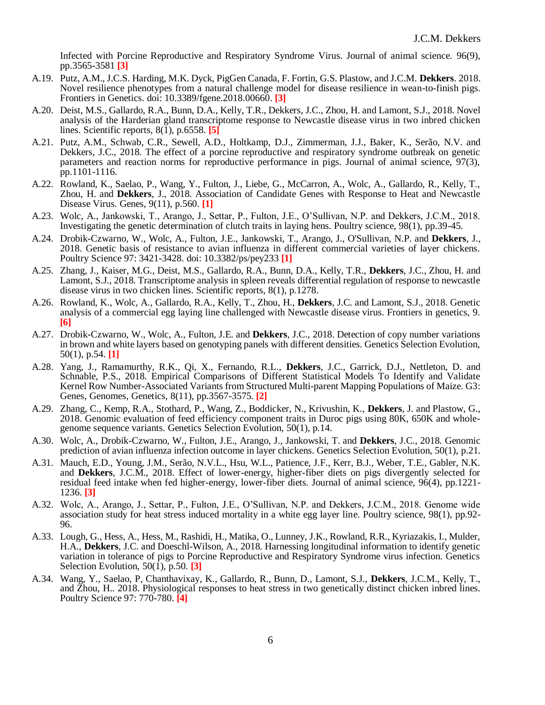Infected with Porcine Reproductive and Respiratory Syndrome Virus. Journal of animal science. 96(9), pp.3565-3581 **[3]**

- A.19. Putz, A.M., J.C.S. Harding, M.K. Dyck, PigGen Canada, F. Fortin, G.S. Plastow, and J.C.M. **Dekkers**. 2018. Novel resilience phenotypes from a natural challenge model for disease resilience in wean-to-finish pigs. Frontiers in Genetics. doi: 10.3389/fgene.2018.00660. **[3]**
- A.20. Deist, M.S., Gallardo, R.A., Bunn, D.A., Kelly, T.R., Dekkers, J.C., Zhou, H. and Lamont, S.J., 2018. Novel analysis of the Harderian gland transcriptome response to Newcastle disease virus in two inbred chicken lines. Scientific reports, 8(1), p.6558. **[5]**
- A.21. Putz, A.M., Schwab, C.R., Sewell, A.D., Holtkamp, D.J., Zimmerman, J.J., Baker, K., Serão, N.V. and Dekkers, J.C., 2018. The effect of a porcine reproductive and respiratory syndrome outbreak on genetic parameters and reaction norms for reproductive performance in pigs. Journal of animal science, 97(3), pp.1101-1116.
- A.22. Rowland, K., Saelao, P., Wang, Y., Fulton, J., Liebe, G., McCarron, A., Wolc, A., Gallardo, R., Kelly, T., Zhou, H. and **Dekkers**, J., 2018. Association of Candidate Genes with Response to Heat and Newcastle Disease Virus. Genes, 9(11), p.560. **[1]**
- A.23. Wolc, A., Jankowski, T., Arango, J., Settar, P., Fulton, J.E., O'Sullivan, N.P. and Dekkers, J.C.M., 2018. Investigating the genetic determination of clutch traits in laying hens. Poultry science, 98(1), pp.39-45.
- A.24. Drobik-Czwarno, W., Wolc, A., Fulton, J.E., Jankowski, T., Arango, J., O'Sullivan, N.P. and **Dekkers**, J., 2018. Genetic basis of resistance to avian influenza in different commercial varieties of layer chickens. Poultry Science 97: 3421-3428. doi: 10.3382/ps/pey233 **[1]**
- A.25. Zhang, J., Kaiser, M.G., Deist, M.S., Gallardo, R.A., Bunn, D.A., Kelly, T.R., **Dekkers**, J.C., Zhou, H. and Lamont, S.J., 2018. Transcriptome analysis in spleen reveals differential regulation of response to newcastle disease virus in two chicken lines. Scientific reports, 8(1), p.1278.
- A.26. Rowland, K., Wolc, A., Gallardo, R.A., Kelly, T., Zhou, H., **Dekkers**, J.C. and Lamont, S.J., 2018. Genetic analysis of a commercial egg laying line challenged with Newcastle disease virus. Frontiers in genetics, 9. **[6]**
- A.27. Drobik-Czwarno, W., Wolc, A., Fulton, J.E. and **Dekkers**, J.C., 2018. Detection of copy number variations in brown and white layers based on genotyping panels with different densities. Genetics Selection Evolution, 50(1), p.54. **[1]**
- A.28. Yang, J., Ramamurthy, R.K., Qi, X., Fernando, R.L., **Dekkers**, J.C., Garrick, D.J., Nettleton, D. and Schnable, P.S., 2018. Empirical Comparisons of Different Statistical Models To Identify and Validate Kernel Row Number-Associated Variants from Structured Multi-parent Mapping Populations of Maize. G3: Genes, Genomes, Genetics, 8(11), pp.3567-3575. **[2]**
- A.29. Zhang, C., Kemp, R.A., Stothard, P., Wang, Z., Boddicker, N., Krivushin, K., **Dekkers**, J. and Plastow, G., 2018. Genomic evaluation of feed efficiency component traits in Duroc pigs using 80K, 650K and wholegenome sequence variants. Genetics Selection Evolution, 50(1), p.14.
- A.30. Wolc, A., Drobik-Czwarno, W., Fulton, J.E., Arango, J., Jankowski, T. and **Dekkers**, J.C., 2018. Genomic prediction of avian influenza infection outcome in layer chickens. Genetics Selection Evolution, 50(1), p.21.
- A.31. Mauch, E.D., Young, J.M., Serão, N.V.L., Hsu, W.L., Patience, J.F., Kerr, B.J., Weber, T.E., Gabler, N.K. and **Dekkers**, J.C.M., 2018. Effect of lower-energy, higher-fiber diets on pigs divergently selected for residual feed intake when fed higher-energy, lower-fiber diets. Journal of animal science, 96(4), pp.1221- 1236. **[3]**
- A.32. Wolc, A., Arango, J., Settar, P., Fulton, J.E., O'Sullivan, N.P. and Dekkers, J.C.M., 2018. Genome wide association study for heat stress induced mortality in a white egg layer line. Poultry science, 98(1), pp.92- 96.
- A.33. Lough, G., Hess, A., Hess, M., Rashidi, H., Matika, O., Lunney, J.K., Rowland, R.R., Kyriazakis, I., Mulder, H.A., **Dekkers**, J.C. and Doeschl-Wilson, A., 2018. Harnessing longitudinal information to identify genetic variation in tolerance of pigs to Porcine Reproductive and Respiratory Syndrome virus infection. Genetics Selection Evolution, 50(1), p.50. **[3]**
- A.34. Wang, Y., Saelao, P, Chanthavixay, K., Gallardo, R., Bunn, D., Lamont, S.J., **Dekkers**, J.C.M., Kelly, T., and Zhou, H.. 2018. Physiological responses to heat stress in two genetically distinct chicken inbred lines. Poultry Science 97: 770-780. **[4]**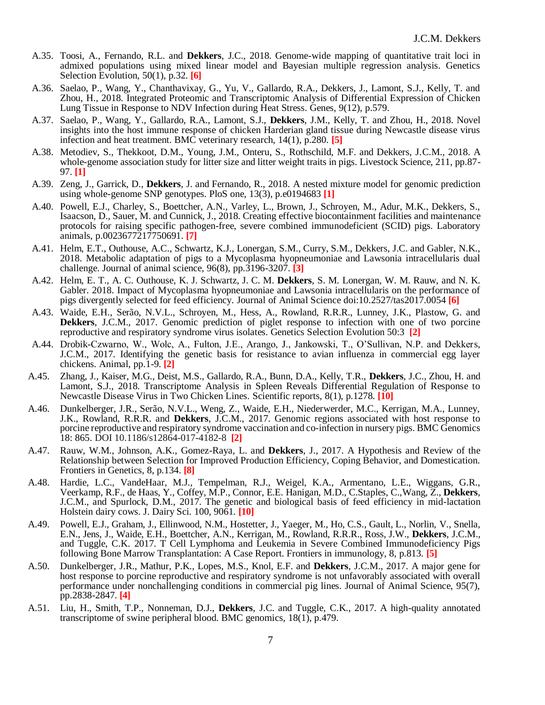- A.35. Toosi, A., Fernando, R.L. and **Dekkers**, J.C., 2018. Genome-wide mapping of quantitative trait loci in admixed populations using mixed linear model and Bayesian multiple regression analysis. Genetics Selection Evolution, 50(1), p.32. **[6]**
- A.36. Saelao, P., Wang, Y., Chanthavixay, G., Yu, V., Gallardo, R.A., Dekkers, J., Lamont, S.J., Kelly, T. and Zhou, H., 2018. Integrated Proteomic and Transcriptomic Analysis of Differential Expression of Chicken Lung Tissue in Response to NDV Infection during Heat Stress. Genes, 9(12), p.579.
- A.37. Saelao, P., Wang, Y., Gallardo, R.A., Lamont, S.J., **Dekkers**, J.M., Kelly, T. and Zhou, H., 2018. Novel insights into the host immune response of chicken Harderian gland tissue during Newcastle disease virus infection and heat treatment. BMC veterinary research, 14(1), p.280. **[5]**
- A.38. Metodiev, S., Thekkoot, D.M., Young, J.M., Onteru, S., Rothschild, M.F. and Dekkers, J.C.M., 2018. A whole-genome association study for litter size and litter weight traits in pigs. Livestock Science, 211, pp.87-97. **[1]**
- A.39. Zeng, J., Garrick, D., **Dekkers**, J. and Fernando, R., 2018. A nested mixture model for genomic prediction using whole-genome SNP genotypes. PloS one, 13(3), p.e0194683 **[1]**
- A.40. Powell, E.J., Charley, S., Boettcher, A.N., Varley, L., Brown, J., Schroyen, M., Adur, M.K., Dekkers, S., Isaacson, D., Sauer, M. and Cunnick, J., 2018. Creating effective biocontainment facilities and maintenance protocols for raising specific pathogen-free, severe combined immunodeficient (SCID) pigs. Laboratory animals, p.0023677217750691. **[7]**
- A.41. Helm, E.T., Outhouse, A.C., Schwartz, K.J., Lonergan, S.M., Curry, S.M., Dekkers, J.C. and Gabler, N.K., 2018. Metabolic adaptation of pigs to a Mycoplasma hyopneumoniae and Lawsonia intracellularis dual challenge. Journal of animal science, 96(8), pp.3196-3207. **[3]**
- A.42. Helm, E. T., A. C. Outhouse, K. J. Schwartz, J. C. M. **Dekkers**, S. M. Lonergan, W. M. Rauw, and N. K. Gabler. 2018. Impact of Mycoplasma hyopneumoniae and Lawsonia intracellularis on the performance of pigs divergently selected for feed efficiency. Journal of Animal Science doi:10.2527/tas2017.0054 **[6]**
- A.43. Waide, E.H., Serão, N.V.L., Schroyen, M., Hess, A., Rowland, R.R.R., Lunney, J.K., Plastow, G. and **Dekkers**, J.C.M., 2017. Genomic prediction of piglet response to infection with one of two porcine reproductive and respiratory syndrome virus isolates. Genetics Selection Evolution 50:3 **[2]**
- A.44. Drobik-Czwarno, W., Wolc, A., Fulton, J.E., Arango, J., Jankowski, T., O'Sullivan, N.P. and Dekkers, J.C.M., 2017. Identifying the genetic basis for resistance to avian influenza in commercial egg layer chickens. Animal, pp.1-9. **[2]**
- A.45. Zhang, J., Kaiser, M.G., Deist, M.S., Gallardo, R.A., Bunn, D.A., Kelly, T.R., **Dekkers**, J.C., Zhou, H. and Lamont, S.J., 2018. Transcriptome Analysis in Spleen Reveals Differential Regulation of Response to Newcastle Disease Virus in Two Chicken Lines. Scientific reports, 8(1), p.1278. **[10]**
- A.46. Dunkelberger, J.R., Serão, N.V.L., Weng, Z., Waide, E.H., Niederwerder, M.C., Kerrigan, M.A., Lunney, J.K., Rowland, R.R.R. and **Dekkers**, J.C.M., 2017. Genomic regions associated with host response to porcine reproductive and respiratory syndrome vaccination and co-infection in nursery pigs. BMC Genomics 18: 865. DOI 10.1186/s12864-017-4182-8 **[2]**
- A.47. Rauw, W.M., Johnson, A.K., Gomez-Raya, L. and **Dekkers**, J., 2017. A Hypothesis and Review of the Relationship between Selection for Improved Production Efficiency, Coping Behavior, and Domestication. Frontiers in Genetics, 8, p.134. **[8]**
- A.48. Hardie, L.C., VandeHaar, M.J., Tempelman, R.J., Weigel, K.A., Armentano, L.E., Wiggans, G.R., Veerkamp, R.F., de Haas, Y., Coffey, M.P., Connor, E.E. Hanigan, M.D., C.Staples, C.,Wang, Z., **Dekkers**, J.C.M., and Spurlock, D.M., 2017. The genetic and biological basis of feed efficiency in mid-lactation Holstein dairy cows. J. Dairy Sci. 100, 9061. **[10]**
- A.49. Powell, E.J., Graham, J., Ellinwood, N.M., Hostetter, J., Yaeger, M., Ho, C.S., Gault, L., Norlin, V., Snella, E.N., Jens, J., Waide, E.H., Boettcher, A.N., Kerrigan, M., Rowland, R.R.R., Ross, J.W., **Dekkers**, J.C.M., and Tuggle, C.K. 2017. T Cell Lymphoma and Leukemia in Severe Combined Immunodeficiency Pigs following Bone Marrow Transplantation: A Case Report. Frontiers in immunology, 8, p.813. **[5]**
- A.50. Dunkelberger, J.R., Mathur, P.K., Lopes, M.S., Knol, E.F. and **Dekkers**, J.C.M., 2017. A major gene for host response to porcine reproductive and respiratory syndrome is not unfavorably associated with overall performance under nonchallenging conditions in commercial pig lines. Journal of Animal Science, 95(7), pp.2838-2847. **[4]**
- A.51. Liu, H., Smith, T.P., Nonneman, D.J., **Dekkers**, J.C. and Tuggle, C.K., 2017. A high-quality annotated transcriptome of swine peripheral blood. BMC genomics, 18(1), p.479.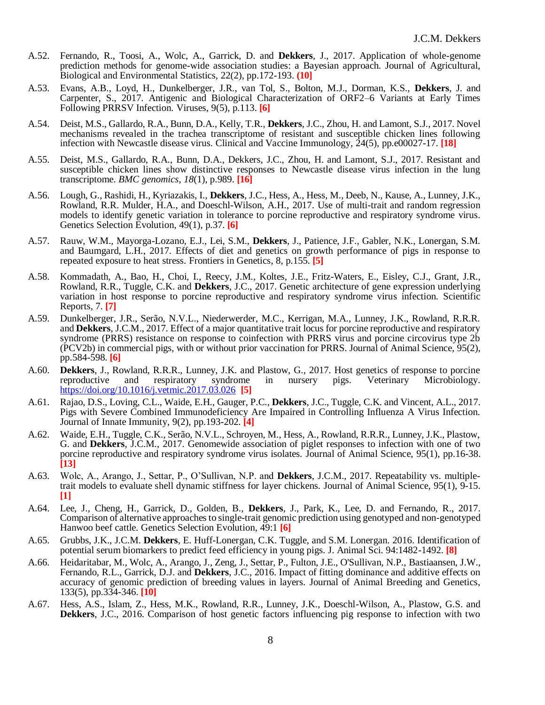- A.52. Fernando, R., Toosi, A., Wolc, A., Garrick, D. and **Dekkers**, J., 2017. Application of whole-genome prediction methods for genome-wide association studies: a Bayesian approach. Journal of Agricultural, Biological and Environmental Statistics, 22(2), pp.172-193. **(10]**
- A.53. Evans, A.B., Loyd, H., Dunkelberger, J.R., van Tol, S., Bolton, M.J., Dorman, K.S., **Dekkers**, J. and Carpenter, S., 2017. Antigenic and Biological Characterization of ORF2–6 Variants at Early Times Following PRRSV Infection. Viruses, 9(5), p.113. **[6]**
- A.54. Deist, M.S., Gallardo, R.A., Bunn, D.A., Kelly, T.R., **Dekkers**, J.C., Zhou, H. and Lamont, S.J., 2017. Novel mechanisms revealed in the trachea transcriptome of resistant and susceptible chicken lines following infection with Newcastle disease virus. Clinical and Vaccine Immunology, 24(5), pp.e00027-17. **[18]**
- A.55. Deist, M.S., Gallardo, R.A., Bunn, D.A., Dekkers, J.C., Zhou, H. and Lamont, S.J., 2017. Resistant and susceptible chicken lines show distinctive responses to Newcastle disease virus infection in the lung transcriptome. *BMC genomics*, *18*(1), p.989. **[16]**
- A.56. Lough, G., Rashidi, H., Kyriazakis, I., **Dekkers**, J.C., Hess, A., Hess, M., Deeb, N., Kause, A., Lunney, J.K., Rowland, R.R. Mulder, H.A., and Doeschl-Wilson, A.H., 2017. Use of multi-trait and random regression models to identify genetic variation in tolerance to porcine reproductive and respiratory syndrome virus. Genetics Selection Evolution, 49(1), p.37. **[6]**
- A.57. Rauw, W.M., Mayorga-Lozano, E.J., Lei, S.M., **Dekkers**, J., Patience, J.F., Gabler, N.K., Lonergan, S.M. and Baumgard, L.H., 2017. Effects of diet and genetics on growth performance of pigs in response to repeated exposure to heat stress. Frontiers in Genetics, 8, p.155. **[5]**
- A.58. Kommadath, A., Bao, H., Choi, I., Reecy, J.M., Koltes, J.E., Fritz-Waters, E., Eisley, C.J., Grant, J.R., Rowland, R.R., Tuggle, C.K. and **Dekkers**, J.C., 2017. Genetic architecture of gene expression underlying variation in host response to porcine reproductive and respiratory syndrome virus infection. Scientific Reports, 7. **[7]**
- A.59. Dunkelberger, J.R., Serão, N.V.L., Niederwerder, M.C., Kerrigan, M.A., Lunney, J.K., Rowland, R.R.R. and **Dekkers**, J.C.M., 2017. Effect of a major quantitative trait locus for porcine reproductive and respiratory syndrome (PRRS) resistance on response to coinfection with PRRS virus and porcine circovirus type 2b (PCV2b) in commercial pigs, with or without prior vaccination for PRRS. Journal of Animal Science, 95(2), pp.584-598. **[6]**
- A.60. **Dekkers**, J., Rowland, R.R.R., Lunney, J.K. and Plastow, G., 2017. Host genetics of response to porcine reproductive and respiratory syndrome in nursery pigs. Veterinary Microbiology. <https://doi.org/10.1016/j.vetmic.2017.03.026> **[5]**
- A.61. Rajao, D.S., Loving, C.L., Waide, E.H., Gauger, P.C., **Dekkers**, J.C., Tuggle, C.K. and Vincent, A.L., 2017. Pigs with Severe Combined Immunodeficiency Are Impaired in Controlling Influenza A Virus Infection. Journal of Innate Immunity, 9(2), pp.193-202. **[4]**
- A.62. Waide, E.H., Tuggle, C.K., Serão, N.V.L., Schroyen, M., Hess, A., Rowland, R.R.R., Lunney, J.K., Plastow, G. and **Dekkers**, J.C.M., 2017. Genomewide association of piglet responses to infection with one of two porcine reproductive and respiratory syndrome virus isolates. Journal of Animal Science, 95(1), pp.16-38. **[13]**
- A.63. Wolc, A., Arango, J., Settar, P., O'Sullivan, N.P. and **Dekkers**, J.C.M., 2017. Repeatability vs. multipletrait models to evaluate shell dynamic stiffness for layer chickens. Journal of Animal Science, 95(1), 9-15. **[1]**
- A.64. Lee, J., Cheng, H., Garrick, D., Golden, B., **Dekkers**, J., Park, K., Lee, D. and Fernando, R., 2017. Comparison of alternative approaches to single-trait genomic prediction using genotyped and non-genotyped Hanwoo beef cattle. Genetics Selection Evolution, 49:1 **[6]**
- A.65. Grubbs, J.K., J.C.M. **Dekkers**, E. Huff-Lonergan, C.K. Tuggle, and S.M. Lonergan. 2016. Identification of potential serum biomarkers to predict feed efficiency in young pigs. J. Animal Sci. 94:1482-1492. **[8]**
- A.66. Heidaritabar, M., Wolc, A., Arango, J., Zeng, J., Settar, P., Fulton, J.E., O'Sullivan, N.P., Bastiaansen, J.W., Fernando, R.L., Garrick, D.J. and **Dekkers**, J.C., 2016. Impact of fitting dominance and additive effects on accuracy of genomic prediction of breeding values in layers. Journal of Animal Breeding and Genetics, 133(5), pp.334-346. **[10]**
- A.67. Hess, A.S., Islam, Z., Hess, M.K., Rowland, R.R., Lunney, J.K., Doeschl-Wilson, A., Plastow, G.S. and **Dekkers**, J.C., 2016. Comparison of host genetic factors influencing pig response to infection with two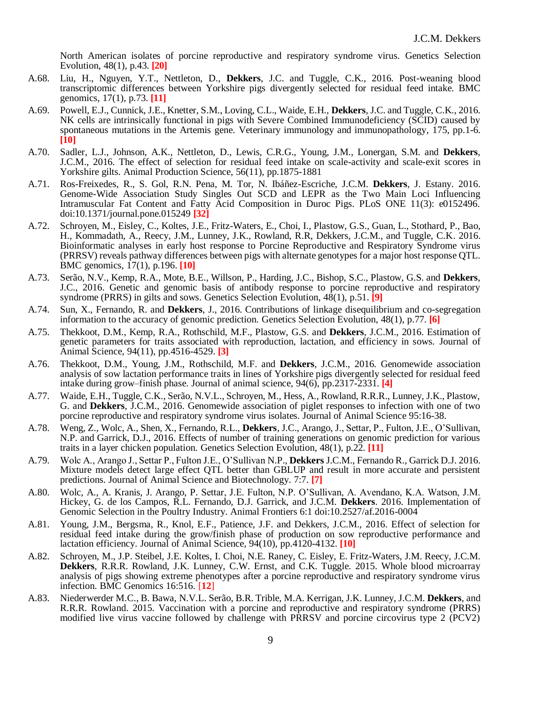North American isolates of porcine reproductive and respiratory syndrome virus. Genetics Selection Evolution, 48(1), p.43. **[20]**

- A.68. Liu, H., Nguyen, Y.T., Nettleton, D., **Dekkers**, J.C. and Tuggle, C.K., 2016. Post-weaning blood transcriptomic differences between Yorkshire pigs divergently selected for residual feed intake. BMC genomics, 17(1), p.73. **[11]**
- A.69. Powell, E.J., Cunnick, J.E., Knetter, S.M., Loving, C.L., Waide, E.H., **Dekkers**, J.C. and Tuggle, C.K., 2016. NK cells are intrinsically functional in pigs with Severe Combined Immunodeficiency (SCID) caused by spontaneous mutations in the Artemis gene. Veterinary immunology and immunopathology, 175, pp.1-6. **[10]**
- A.70. Sadler, L.J., Johnson, A.K., Nettleton, D., Lewis, C.R.G., Young, J.M., Lonergan, S.M. and **Dekkers**, J.C.M., 2016. The effect of selection for residual feed intake on scale-activity and scale-exit scores in Yorkshire gilts. Animal Production Science, 56(11), pp.1875-1881
- A.71. Ros-Freixedes, R., S. Gol, R.N. Pena, M. Tor, N. Ibáñez-Escriche, J.C.M. **Dekkers**, J. Estany. 2016. Genome-Wide Association Study Singles Out SCD and LEPR as the Two Main Loci Influencing Intramuscular Fat Content and Fatty Acid Composition in Duroc Pigs. PLoS ONE 11(3): e0152496. doi:10.1371/journal.pone.015249 **[32]**
- A.72. Schroyen, M., Eisley, C., Koltes, J.E., Fritz-Waters, E., Choi, I., Plastow, G.S., Guan, L., Stothard, P., Bao, H., Kommadath, A., Reecy, J.M., Lunney, J.K., Rowland, R.R, Dekkers, J.C.M., and Tuggle, C.K. 2016. Bioinformatic analyses in early host response to Porcine Reproductive and Respiratory Syndrome virus (PRRSV) reveals pathway differences between pigs with alternate genotypes for a major host response QTL. BMC genomics, 17(1), p.196. **[10]**
- A.73. Serão, N.V., Kemp, R.A., Mote, B.E., Willson, P., Harding, J.C., Bishop, S.C., Plastow, G.S. and **Dekkers**, J.C., 2016. Genetic and genomic basis of antibody response to porcine reproductive and respiratory syndrome (PRRS) in gilts and sows. Genetics Selection Evolution, 48(1), p.51. **[9]**
- A.74. Sun, X., Fernando, R. and **Dekkers**, J., 2016. Contributions of linkage disequilibrium and co-segregation information to the accuracy of genomic prediction. Genetics Selection Evolution, 48(1), p.77. **[6]**
- A.75. Thekkoot, D.M., Kemp, R.A., Rothschild, M.F., Plastow, G.S. and **Dekkers**, J.C.M., 2016. Estimation of genetic parameters for traits associated with reproduction, lactation, and efficiency in sows. Journal of Animal Science, 94(11), pp.4516-4529. **[3]**
- A.76. Thekkoot, D.M., Young, J.M., Rothschild, M.F. and **Dekkers**, J.C.M., 2016. Genomewide association analysis of sow lactation performance traits in lines of Yorkshire pigs divergently selected for residual feed intake during grow–finish phase. Journal of animal science, 94(6), pp.2317-2331. **[4]**
- A.77. Waide, E.H., Tuggle, C.K., Serão, N.V.L., Schroyen, M., Hess, A., Rowland, R.R.R., Lunney, J.K., Plastow, G. and **Dekkers**, J.C.M., 2016. Genomewide association of piglet responses to infection with one of two porcine reproductive and respiratory syndrome virus isolates. Journal of Animal Science 95:16-38.
- A.78. Weng, Z., Wolc, A., Shen, X., Fernando, R.L., **Dekkers**, J.C., Arango, J., Settar, P., Fulton, J.E., O'Sullivan, N.P. and Garrick, D.J., 2016. Effects of number of training generations on genomic prediction for various traits in a layer chicken population. Genetics Selection Evolution, 48(1), p.22. **[11]**
- A.79. Wolc A., Arango J., Settar P., Fulton J.E., O'Sullivan N.P., **Dekkers** J.C.M., Fernando R., Garrick D.J. 2016. Mixture models detect large effect QTL better than GBLUP and result in more accurate and persistent predictions. Journal of Animal Science and Biotechnology. 7:7. **[7]**
- A.80. Wolc, A., A. Kranis, J. Arango, P. Settar, J.E. Fulton, N.P. O'Sullivan, A. Avendano, K.A. Watson, J.M. Hickey, G. de los Campos, R.L. Fernando, D.J. Garrick, and J.C.M. **Dekkers**. 2016. Implementation of Genomic Selection in the Poultry Industry. Animal Frontiers 6:1 doi:10.2527/af.2016-0004
- A.81. Young, J.M., Bergsma, R., Knol, E.F., Patience, J.F. and Dekkers, J.C.M., 2016. Effect of selection for residual feed intake during the grow/finish phase of production on sow reproductive performance and lactation efficiency. Journal of Animal Science, 94(10), pp.4120-4132. **[10]**
- A.82. Schroyen, M., J.P. Steibel, J.E. Koltes, I. Choi, N.E. Raney, C. Eisley, E. Fritz-Waters, J.M. Reecy, J.C.M. **Dekkers**, R.R.R. Rowland, J.K. Lunney, C.W. Ernst, and C.K. Tuggle. 2015. Whole blood microarray analysis of pigs showing extreme phenotypes after a porcine reproductive and respiratory syndrome virus infection. BMC Genomics 16:516. [**12**]
- A.83. Niederwerder M.C., B. Bawa, N.V.L. Serão, B.R. Trible, M.A. Kerrigan, J.K. Lunney, J.C.M. **Dekkers**, and R.R.R. Rowland. 2015. Vaccination with a porcine and reproductive and respiratory syndrome (PRRS) modified live virus vaccine followed by challenge with PRRSV and porcine circovirus type 2 (PCV2)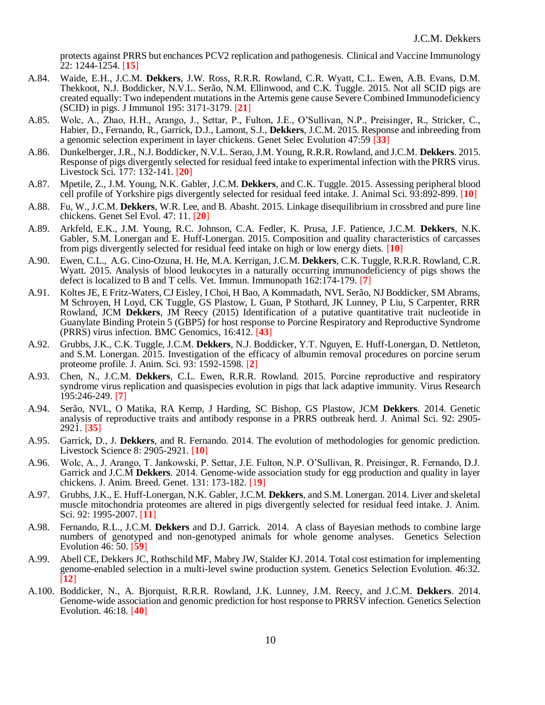protects against PRRS but enchances PCV2 replication and pathogenesis. Clinical and Vaccine Immunology 22: 1244-1254. [**15**]

- A.84. Waide, E.H., J.C.M. **Dekkers**, J.W. Ross, R.R.R. Rowland, C.R. Wyatt, C.L. Ewen, A.B. Evans, D.M. Thekkoot, N.J. Boddicker, N.V.L. Serão, N.M. Ellinwood, and C.K. Tuggle. 2015. Not all SCID pigs are created equally: Two independent mutations in the Artemis gene cause Severe Combined Immunodeficiency (SCID) in pigs. J Immunol 195: 3171-3179. [**21**]
- A.85. Wolc, A., Zhao, H.H., Arango, J., Settar, P., Fulton, J.E., O'Sullivan, N.P., Preisinger, R., Stricker, C., Habier, D., Fernando, R., Garrick, D.J., Lamont, S.J., **Dekkers**, J.C.M. 2015. Response and inbreeding from a genomic selection experiment in layer chickens. Genet Selec Evolution 47:59 [**33**]
- A.86. Dunkelberger, J.R., N.J. Boddicker, N.V.L. Serao, J.M. Young, R.R.R. Rowland, and J.C.M. **Dekkers**. 2015. Response of pigs divergently selected for residual feed intake to experimental infection with the PRRS virus. Livestock Sci. 177: 132-141. [**20**]
- A.87. Mpetile, Z., J.M. Young, N.K. Gabler, J.C.M. **Dekkers**, and C.K. Tuggle. 2015. Assessing peripheral blood cell profile of Yorkshire pigs divergently selected for residual feed intake. J. Animal Sci. 93:892-899. [**10**]
- A.88. Fu, W., J.C.M. **Dekkers**, W.R. Lee, and B. Abasht. 2015. Linkage disequilibrium in crossbred and pure line chickens. Genet Sel Evol. 47: 11. [**20**]
- A.89. Arkfeld, E.K., J.M. Young, R.C. Johnson, C.A. Fedler, K. Prusa, J.F. Patience, J.C.M. **Dekkers**, N.K. Gabler, S.M. Lonergan and E. Huff-Lonergan. 2015. Composition and quality characteristics of carcasses from pigs divergently selected for residual feed intake on high or low energy diets. [**10**]
- A.90. Ewen, C.L., A.G. Cino-Ozuna, H. He, M.A. Kerrigan, J.C.M. **Dekkers**, C.K. Tuggle, R.R.R. Rowland, C.R. Wyatt. 2015. Analysis of blood leukocytes in a naturally occurring immunodeficiency of pigs shows the defect is localized to B and T cells. Vet. Immun. Immunopath 162:174-179. [**7**]
- A.91. Koltes JE, E Fritz-Waters, CJ Eisley, I Choi, H Bao, A Kommadath, NVL Serão, NJ Boddicker, SM Abrams, M Schroyen, H Loyd, CK Tuggle, GS Plastow, L Guan, P Stothard, JK Lunney, P Liu, S Carpenter, RRR Rowland, JCM **Dekkers**, JM Reecy (2015) Identification of a putative quantitative trait nucleotide in Guanylate Binding Protein 5 (GBP5) for host response to Porcine Respiratory and Reproductive Syndrome (PRRS) virus infection. BMC Genomics, 16:412. [**43**]
- A.92. Grubbs, J.K., C.K. Tuggle, J.C.M. **Dekkers**, N.J. Boddicker, Y.T. Nguyen, E. Huff-Lonergan, D. Nettleton, and S.M. Lonergan. 2015. Investigation of the efficacy of albumin removal procedures on porcine serum proteome profile. J. Anim. Sci. 93: 1592-1598. [**2**]
- A.93. Chen, N., J.C.M. **Dekkers**, C.L. Ewen, R.R.R. Rowland. 2015. Porcine reproductive and respiratory syndrome virus replication and quasispecies evolution in pigs that lack adaptive immunity. Virus Research 195:246-249. [**7**]
- A.94. Serão, NVL, O Matika, RA Kemp, J Harding, SC Bishop, GS Plastow, JCM **Dekkers**. 2014. Genetic analysis of reproductive traits and antibody response in a PRRS outbreak herd. J. Animal Sci. 92: 2905- 2921. [**35**]
- A.95. Garrick, D., J. **Dekkers**, and R. Fernando. 2014. The evolution of methodologies for genomic prediction. Livestock Science 8: 2905-2921. [**10**]
- A.96. Wolc, A., J. Arango, T. Jankowski, P. Settar, J.E. Fulton, N.P. O'Sullivan, R. Preisinger, R. Fernando, D.J. Garrick and J.C.M **Dekkers**. 2014. Genome-wide association study for egg production and quality in layer chickens. J. Anim. Breed. Genet. 131: 173-182. [1**9**]
- A.97. Grubbs, J.K., E. Huff-Lonergan, N.K. Gabler, J.C.M. **Dekkers**, and S.M. Lonergan. 2014. Liver and skeletal muscle mitochondria proteomes are altered in pigs divergently selected for residual feed intake. J. Anim. Sci. 92: 1995-2007. [**11**]
- A.98. Fernando, R.L., J.C.M. **Dekkers** and D.J. Garrick. 2014. A class of Bayesian methods to combine large numbers of genotyped and non-genotyped animals for whole genome analyses. Genetics Selection Evolution 46: 50. [**59**]
- A.99. Abell CE, Dekkers JC, Rothschild MF, Mabry JW, Stalder KJ. 2014. Total cost estimation for implementing genome-enabled selection in a multi-level swine production system. Genetics Selection Evolution. 46:32. [**12**]
- A.100. Boddicker, N., A. Bjorquist, R.R.R. Rowland, J.K. Lunney, J.M. Reecy, and J.C.M. **Dekkers**. 2014. Genome-wide association and genomic prediction for host response to PRRSV infection. Genetics Selection Evolution. 46:18. [**40**]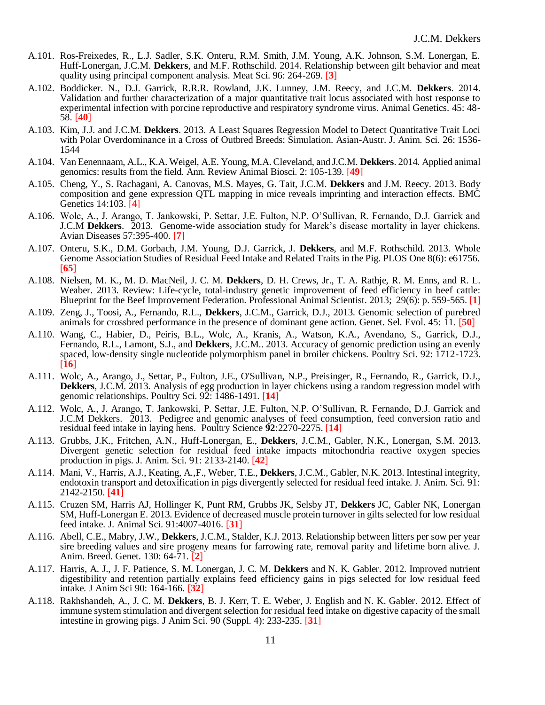- A.101. Ros-Freixedes, R., L.J. Sadler, S.K. Onteru, R.M. Smith, J.M. Young, A.K. Johnson, S.M. Lonergan, E. Huff-Lonergan, J.C.M. **Dekkers**, and M.F. Rothschild. 2014. Relationship between gilt behavior and meat quality using principal component analysis. Meat Sci. 96: 264-269. [**3**]
- A.102. Boddicker. N., D.J. Garrick, R.R.R. Rowland, J.K. Lunney, J.M. Reecy, and J.C.M. **Dekkers**. 2014. Validation and further characterization of a major quantitative trait locus associated with host response to experimental infection with porcine reproductive and respiratory syndrome virus. Animal Genetics. 45: 48- 58. [**40**]
- A.103. Kim, J.J. and J.C.M. **Dekkers**. 2013. A Least Squares Regression Model to Detect Quantitative Trait Loci with Polar Overdominance in a Cross of Outbred Breeds: Simulation. Asian-Austr. J. Anim. Sci. 26: 1536- 1544
- A.104. Van Eenennaam, A.L., K.A. Weigel, A.E. Young, M.A. Cleveland, and J.C.M. **Dekkers**. 2014. Applied animal genomics: results from the field. Ann. Review Animal Biosci. 2: 105-139. [**49**]
- A.105. Cheng, Y., S. Rachagani, A. Canovas, M.S. Mayes, G. Tait, J.C.M. **Dekkers** and J.M. Reecy. 2013. Body composition and gene expression QTL mapping in mice reveals imprinting and interaction effects. BMC Genetics 14:103. [**4**]
- A.106. Wolc, A., J. Arango, T. Jankowski, P. Settar, J.E. Fulton, N.P. O'Sullivan, R. Fernando, D.J. Garrick and J.C.M **Dekkers**. 2013. Genome-wide association study for Marek's disease mortality in layer chickens. Avian Diseases 57:395-400. [**7**]
- A.107. Onteru, S.K., D.M. Gorbach, J.M. Young, D.J. Garrick, J. **Dekkers**, and M.F. Rothschild. 2013. Whole Genome Association Studies of Residual Feed Intake and Related Traits in the Pig. PLOS One 8(6): e61756. [**65**]
- A.108. Nielsen, M. K., M. D. MacNeil, J. C. M. **Dekkers**, D. H. Crews, Jr., T. A. Rathje, R. M. Enns, and R. L. Weaber. 2013. Review: Life-cycle, total-industry genetic improvement of feed efficiency in beef cattle: Blueprint for the Beef Improvement Federation. Professional Animal Scientist. 2013; 29(6): p. 559-565. [**1**]
- A.109. Zeng, J., Toosi, A., Fernando, R.L., **Dekkers**, J.C.M., Garrick, D.J., 2013. Genomic selection of purebred animals for crossbred performance in the presence of dominant gene action. Genet. Sel. Evol. 45: 11. [**50**]
- A.110. Wang, C., Habier, D., Peiris, B.L., Wolc, A., Kranis, A., Watson, K.A., Avendano, S., Garrick, D.J., Fernando, R.L., Lamont, S.J., and **Dekkers**, J.C.M.. 2013. Accuracy of genomic prediction using an evenly spaced, low-density single nucleotide polymorphism panel in broiler chickens. Poultry Sci. 92: 1712-1723. [**16**]
- A.111. Wolc, A., Arango, J., Settar, P., Fulton, J.E., O'Sullivan, N.P., Preisinger, R., Fernando, R., Garrick, D.J., **Dekkers**, J.C.M. 2013. Analysis of egg production in layer chickens using a random regression model with genomic relationships. Poultry Sci. 92: 1486-1491. [**14**]
- A.112. Wolc, A., J. Arango, T. Jankowski, P. Settar, J.E. Fulton, N.P. O'Sullivan, R. Fernando, D.J. Garrick and J.C.M Dekkers. 2013. Pedigree and genomic analyses of feed consumption, feed conversion ratio and residual feed intake in laying hens. Poultry Science **92**:2270-2275. [**14**]
- A.113. Grubbs, J.K., Fritchen, A.N., Huff-Lonergan, E., **Dekkers**, J.C.M., Gabler, N.K., Lonergan, S.M. 2013. Divergent genetic selection for residual feed intake impacts mitochondria reactive oxygen species production in pigs. J. Anim. Sci. 91: 2133-2140. [**42**]
- A.114. Mani, V., Harris, A.J., Keating, A.,F., Weber, T.E., **Dekkers**, J.C.M., Gabler, N.K. 2013. Intestinal integrity, endotoxin transport and detoxification in pigs divergently selected for residual feed intake. J. Anim. Sci. 91: 2142-2150. [**41**]
- A.115. Cruzen SM, Harris AJ, Hollinger K, Punt RM, Grubbs JK, Selsby JT, **Dekkers** JC, Gabler NK, Lonergan SM, Huff-Lonergan E. 2013. Evidence of decreased muscle protein turnover in gilts selected for low residual feed intake. J. Animal Sci. 91:4007-4016. [**31**]
- A.116. Abell, C.E., Mabry, J.W., **Dekkers**, J.C.M., Stalder, K.J. 2013. Relationship between litters per sow per year sire breeding values and sire progeny means for farrowing rate, removal parity and lifetime born alive. J. Anim. Breed. Genet. 130: 64-71. [**2**]
- A.117. Harris, A. J., J. F. Patience, S. M. Lonergan, J. C. M. **Dekkers** and N. K. Gabler. 2012. Improved nutrient digestibility and retention partially explains feed efficiency gains in pigs selected for low residual feed intake. J Anim Sci 90: 164-166. [**32**]
- A.118. Rakhshandeh, A., J. C. M. **Dekkers**, B. J. Kerr, T. E. Weber, J. English and N. K. Gabler. 2012. Effect of immune system stimulation and divergent selection for residual feed intake on digestive capacity of the small intestine in growing pigs. J Anim Sci. 90 (Suppl. 4): 233-235. [**31**]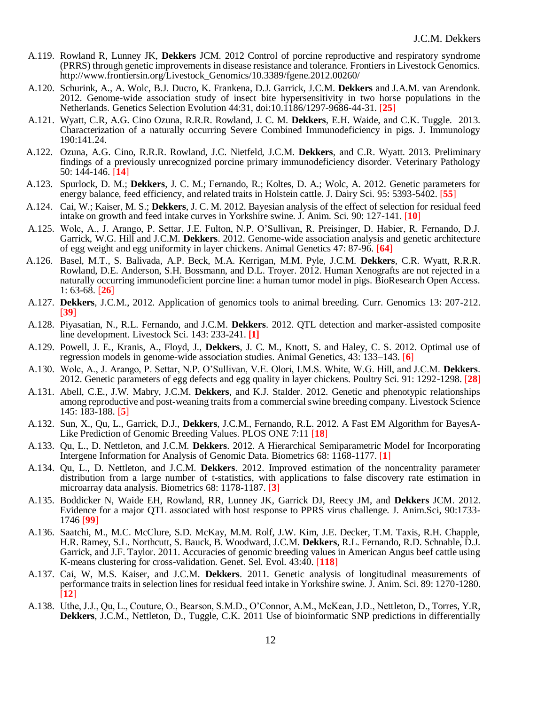- A.119. Rowland R, Lunney JK, **Dekkers** JCM. 2012 Control of porcine reproductive and respiratory syndrome (PRRS) through genetic improvements in disease resistance and tolerance. Frontiers in Livestock Genomics. http://www.frontiersin.org/Livestock\_Genomics/10.3389/fgene.2012.00260/
- A.120. Schurink, A., A. Wolc, B.J. Ducro, K. Frankena, D.J. Garrick, J.C.M. **Dekkers** and J.A.M. van Arendonk. 2012. Genome-wide association study of insect bite hypersensitivity in two horse populations in the Netherlands. Genetics Selection Evolution 44:31, doi:10.1186/1297-9686-44-31. [**25**]
- A.121. Wyatt, C.R, A.G. Cino Ozuna, R.R.R. Rowland, J. C. M. **Dekkers**, E.H. Waide, and C.K. Tuggle. 2013. Characterization of a naturally occurring Severe Combined Immunodeficiency in pigs. J. Immunology 190:141.24.
- A.122. Ozuna, A.G. Cino, R.R.R. Rowland, J.C. Nietfeld, J.C.M. **Dekkers**, and C.R. Wyatt. 2013. Preliminary findings of a previously unrecognized porcine primary immunodeficiency disorder. Veterinary Pathology 50: 144-146. [**14**]
- A.123. Spurlock, D. M.; **Dekkers**, J. C. M.; Fernando, R.; Koltes, D. A.; Wolc, A. 2012. Genetic parameters for energy balance, feed efficiency, and related traits in Holstein cattle. J. Dairy Sci. 95: 5393-5402. [**55**]
- A.124. Cai, W.; Kaiser, M. S.; **Dekkers**, J. C. M. 2012. Bayesian analysis of the effect of selection for residual feed intake on growth and feed intake curves in Yorkshire swine. J. Anim. Sci. 90: 127-141. [**10**]
- A.125. Wolc, A., J. Arango, P. Settar, J.E. Fulton, N.P. O'Sullivan, R. Preisinger, D. Habier, R. Fernando, D.J. Garrick, W.G. Hill and J.C.M. **Dekkers**. 2012. Genome-wide association analysis and genetic architecture of egg weight and egg uniformity in layer chickens. Animal Genetics 47: 87-96. [**64**]
- A.126. Basel, M.T., S. Balivada, A.P. Beck, M.A. Kerrigan, M.M. Pyle, J.C.M. **Dekkers**, C.R. Wyatt, R.R.R. Rowland, D.E. Anderson, S.H. Bossmann, and D.L. Troyer. 2012. Human Xenografts are not rejected in a naturally occurring immunodeficient porcine line: a human tumor model in pigs. BioResearch Open Access. 1: 63-68. [**26**]
- A.127. **Dekkers**, J.C.M., 2012. Application of genomics tools to animal breeding. Curr. Genomics 13: 207-212. [**39**]
- A.128. Piyasatian, N., R.L. Fernando, and J.C.M. **Dekkers**. 2012. QTL detection and marker-assisted composite line development. Livestock Sci. 143: 233-241. **[1]**
- A.129. Powell, J. E., Kranis, A., Floyd, J., **Dekkers**, J. C. M., Knott, S. and Haley, C. S. 2012. Optimal use of regression models in genome-wide association studies. Animal Genetics, 43: 133–143. [**6**]
- A.130. Wolc, A., J. Arango, P. Settar, N.P. O'Sullivan, V.E. Olori, I.M.S. White, W.G. Hill, and J.C.M. **Dekkers**. 2012. Genetic parameters of egg defects and egg quality in layer chickens. Poultry Sci. 91: 1292-1298. [**28**]
- A.131. Abell, C.E., J.W. Mabry, J.C.M. **Dekkers**, and K.J. Stalder. 2012. Genetic and phenotypic relationships among reproductive and post-weaning traits from a commercial swine breeding company. Livestock Science 145: 183-188. [**5**]
- A.132. Sun, X., Qu, L., Garrick, D.J., **Dekkers**, J.C.M., Fernando, R.L. 2012. A Fast EM Algorithm for BayesA-Like Prediction of Genomic Breeding Values. PLOS ONE 7:11 [**18**]
- A.133. Qu, L., D. Nettleton, and J.C.M. **Dekkers**. 2012. A Hierarchical Semiparametric Model for Incorporating Intergene Information for Analysis of Genomic Data. Biometrics 68: 1168-1177. [**1**]
- A.134. Qu, L., D. Nettleton, and J.C.M. **Dekkers**. 2012. Improved estimation of the noncentrality parameter distribution from a large number of t-statistics, with applications to false discovery rate estimation in microarray data analysis. Biometrics 68: 1178-1187. [**3**]
- A.135. Boddicker N, Waide EH, Rowland, RR, Lunney JK, Garrick DJ, Reecy JM, and **Dekkers** JCM. 2012. Evidence for a major QTL associated with host response to PPRS virus challenge. J. Anim.Sci, 90:1733- 1746 [**99**]
- A.136. Saatchi, M., M.C. McClure, S.D. McKay, M.M. Rolf, J.W. Kim, J.E. Decker, T.M. Taxis, R.H. Chapple, H.R. Ramey, S.L. Northcutt, S. Bauck, B. Woodward, J.C.M. **Dekkers**, R.L. Fernando, R.D. Schnable, D.J. Garrick, and J.F. Taylor. 2011. Accuracies of genomic breeding values in American Angus beef cattle using K-means clustering for cross-validation. Genet. Sel. Evol. 43:40. [**118**]
- A.137. Cai, W, M.S. Kaiser, and J.C.M. **Dekkers**. 2011. Genetic analysis of longitudinal measurements of performance traits in selection lines for residual feed intake in Yorkshire swine. J. Anim. Sci. 89: 1270-1280. [**12**]
- A.138. Uthe, J.J., Qu, L., Couture, O., Bearson, S.M.D., O'Connor, A.M., McKean, J.D., Nettleton, D., Torres, Y.R, **Dekkers**, J.C.M., Nettleton, D., Tuggle, C.K. 2011 Use of bioinformatic SNP predictions in differentially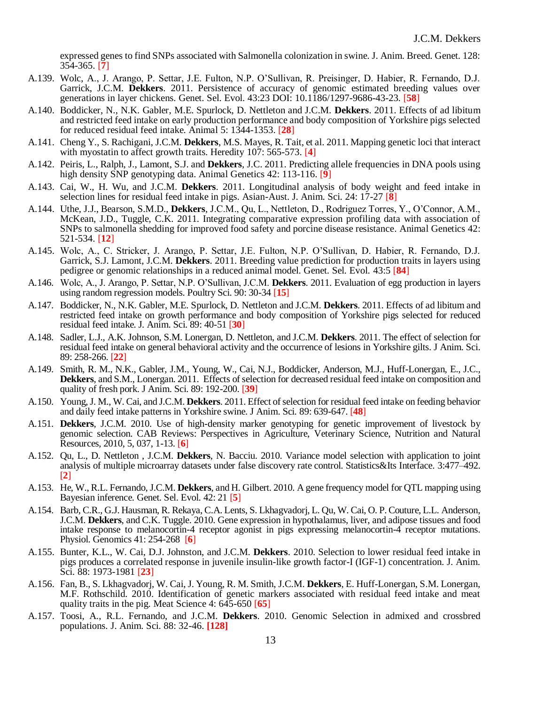expressed genes to find SNPs associated with Salmonella colonization in swine. J. Anim. Breed. Genet. 128: 354-365. [**7**]

- A.139. Wolc, A., J. Arango, P. Settar, J.E. Fulton, N.P. O'Sullivan, R. Preisinger, D. Habier, R. Fernando, D.J. Garrick, J.C.M. **Dekkers**. 2011. Persistence of accuracy of genomic estimated breeding values over generations in layer chickens. Genet. Sel. Evol. 43:23 DOI: 10.1186/1297-9686-43-23. [**58**]
- A.140. Boddicker, N., N.K. Gabler, M.E. Spurlock, D. Nettleton and J.C.M. **Dekkers**. 2011. Effects of ad libitum and restricted feed intake on early production performance and body composition of Yorkshire pigs selected for reduced residual feed intake. Animal 5: 1344-1353. [**28**]
- A.141. Cheng Y., S. Rachigani, J.C.M. **Dekkers**, M.S. Mayes, R. Tait, et al. 2011. Mapping genetic loci that interact with myostatin to affect growth traits. Heredity 107: 565-573. [**4**]
- A.142. Peiris, L., Ralph, J., Lamont, S.J. and **Dekkers**, J.C. 2011. Predicting allele frequencies in DNA pools using high density SNP genotyping data. Animal Genetics 42: 113-116. [**9**]
- A.143. Cai, W., H. Wu, and J.C.M. **Dekkers**. 2011. Longitudinal analysis of body weight and feed intake in selection lines for residual feed intake in pigs. Asian-Aust. J. Anim. Sci. 24: 17-27 [**8**]
- A.144. Uthe, J.J., Bearson, S.M.D., **Dekkers**, J.C.M., Qu, L., Nettleton, D., Rodriguez Torres, Y., O'Connor, A.M., McKean, J.D., Tuggle, C.K. 2011. Integrating comparative expression profiling data with association of SNPs to salmonella shedding for improved food safety and porcine disease resistance. Animal Genetics 42: 521-534. [**12**]
- A.145. Wolc, A., C. Stricker, J. Arango, P. Settar, J.E. Fulton, N.P. O'Sullivan, D. Habier, R. Fernando, D.J. Garrick, S.J. Lamont, J.C.M. **Dekkers**. 2011. Breeding value prediction for production traits in layers using pedigree or genomic relationships in a reduced animal model. Genet. Sel. Evol. 43:5 [**84**]
- A.146. Wolc, A., J. Arango, P. Settar, N.P. O'Sullivan, J.C.M. **Dekkers**. 2011. Evaluation of egg production in layers using random regression models. Poultry Sci. 90: 30-34 [**15**]
- A.147. Boddicker, N., N.K. Gabler, M.E. Spurlock, D. Nettleton and J.C.M. **Dekkers**. 2011. Effects of ad libitum and restricted feed intake on growth performance and body composition of Yorkshire pigs selected for reduced residual feed intake. J. Anim. Sci. 89: 40-51 [**30**]
- A.148. Sadler, L.J., A.K. Johnson, S.M. Lonergan, D. Nettleton, and J.C.M. **Dekkers**. 2011. The effect of selection for residual feed intake on general behavioral activity and the occurrence of lesions in Yorkshire gilts. J Anim. Sci. 89: 258-266. [**22**]
- A.149. Smith, R. M., N.K., Gabler, J.M., Young, W., Cai, N.J., Boddicker, Anderson, M.J., Huff-Lonergan, E., J.C., **Dekkers**, and S.M., Lonergan. 2011. Effects of selection for decreased residual feed intake on composition and quality of fresh pork. J Anim. Sci. 89: 192-200. [**39**]
- A.150. Young, J. M., W. Cai, and J.C.M. **Dekkers**. 2011. Effect of selection for residual feed intake on feeding behavior and daily feed intake patterns in Yorkshire swine. J Anim. Sci. 89: 639-647. [**48**]
- A.151. **Dekkers**, J.C.M. 2010. Use of high-density marker genotyping for genetic improvement of livestock by genomic selection. CAB Reviews: Perspectives in Agriculture, Veterinary Science, Nutrition and Natural Resources, 2010, 5, 037, 1-13. [**6**]
- A.152. Qu, L., D. Nettleton , J.C.M. **Dekkers**, N. Bacciu. 2010. Variance model selection with application to joint analysis of multiple microarray datasets under false discovery rate control. Statistics&Its Interface. 3:477–492. [**2**]
- A.153. He, W., R.L. Fernando, J.C.M. **Dekkers**, and H. Gilbert. 2010. A gene frequency model for QTL mapping using Bayesian inference. Genet. Sel. Evol. 42: 21 [**5**]
- A.154. Barb, C.R., G.J. Hausman, R. Rekaya, C.A. Lents, S. Lkhagvadorj, L. Qu, W. Cai, O. P. Couture, L.L. Anderson, J.C.M. **Dekkers**, and C.K. Tuggle. 2010. Gene expression in hypothalamus, liver, and adipose tissues and food intake response to melanocortin-4 receptor agonist in pigs expressing melanocortin-4 receptor mutations. Physiol. Genomics 41: 254-268 [**6**]
- A.155. Bunter, K.L., W. Cai, D.J. Johnston, and J.C.M. **Dekkers**. 2010. Selection to lower residual feed intake in pigs produces a correlated response in juvenile insulin-like growth factor-I (IGF-1) concentration. J. Anim. Sci. 88: 1973-1981 [**23**]
- A.156. Fan, B., S. Lkhagvadorj, W. Cai, J. Young, R. M. Smith, J.C.M. **Dekkers**, E. Huff-Lonergan, S.M. Lonergan, M.F. Rothschild. 2010. Identification of genetic markers associated with residual feed intake and meat quality traits in the pig. Meat Science 4: 645-650 [**65**]
- A.157. Toosi, A., R.L. Fernando, and J.C.M. **Dekkers**. 2010. Genomic Selection in admixed and crossbred populations. J. Anim. Sci. 88: 32-46. **[128]**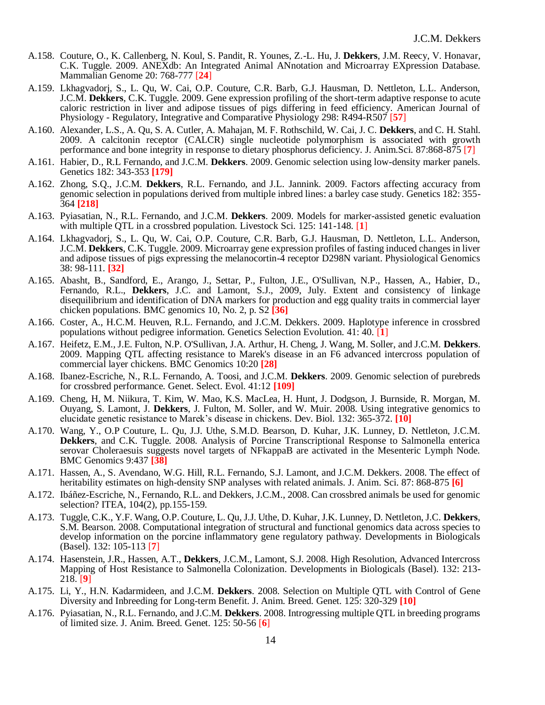- A.158. Couture, O., K. Callenberg, N. Koul, S. Pandit, R. Younes, Z.-L. Hu, J. **Dekkers**, J.M. Reecy, V. Honavar, C.K. Tuggle. 2009. ANEXdb: An Integrated Animal ANnotation and Microarray EXpression Database. Mammalian Genome 20: 768-777 [**24**]
- A.159. Lkhagvadorj, S., L. Qu, W. Cai, O.P. Couture, C.R. Barb, G.J. Hausman, D. Nettleton, L.L. Anderson, J.C.M. **Dekkers**, C.K. Tuggle. 2009. Gene expression profiling of the short-term adaptive response to acute caloric restriction in liver and adipose tissues of pigs differing in feed efficiency. American Journal of Physiology - Regulatory, Integrative and Comparative Physiology 298: R494-R507 [**57**]
- A.160. Alexander, L.S., A. Qu, S. A. Cutler, A. Mahajan, M. F. Rothschild, W. Cai, J. C. **Dekkers**, and C. H. Stahl. 2009. A calcitonin receptor (CALCR) single nucleotide polymorphism is associated with growth performance and bone integrity in response to dietary phosphorus deficiency. J. Anim.Sci. 87:868-875 [**7**]
- A.161. Habier, D., R.L Fernando, and J.C.M. **Dekkers**. 2009. Genomic selection using low-density marker panels. Genetics 182: 343-353 **[179]**
- A.162. Zhong, S.Q., J.C.M. **Dekkers**, R.L. Fernando, and J.L. Jannink. 2009. Factors affecting accuracy from genomic selection in populations derived from multiple inbred lines: a barley case study. Genetics 182: 355- 364 **[218]**
- A.163. Pyiasatian, N., R.L. Fernando, and J.C.M. **Dekkers**. 2009. Models for marker-assisted genetic evaluation with multiple QTL in a crossbred population. Livestock Sci. 125: 141-148. [**1**]
- A.164. Lkhagvadorj, S., L. Qu, W. Cai, O.P. Couture, C.R. Barb, G.J. Hausman, D. Nettleton, L.L. Anderson, J.C.M. **Dekkers**, C.K. Tuggle. 2009. Microarray gene expression profiles of fasting induced changes in liver and adipose tissues of pigs expressing the melanocortin-4 receptor D298N variant. Physiological Genomics 38: 98-111. **[32]**
- A.165. Abasht, B., Sandford, E., Arango, J., Settar, P., Fulton, J.E., O'Sullivan, N.P., Hassen, A., Habier, D., Fernando, R.L., **Dekkers**, J.C. and Lamont, S.J., 2009, July. Extent and consistency of linkage disequilibrium and identification of DNA markers for production and egg quality traits in commercial layer chicken populations. BMC genomics 10, No. 2, p. S2 **[36]**
- A.166. Coster, A., H.C.M. Heuven, R.L. Fernando, and J.C.M. Dekkers. 2009. Haplotype inference in crossbred populations without pedigree information. Genetics Selection Evolution. 41: 40. [**1**]
- A.167. Heifetz, E.M., J.E. Fulton, N.P. O'Sullivan, J.A. Arthur, H. Cheng, J. Wang, M. Soller, and J.C.M. **Dekkers**. 2009. Mapping QTL affecting resistance to Marek's disease in an F6 advanced intercross population of commercial layer chickens. BMC Genomics 10:20 **[28]**
- A.168. Ibanez-Escriche, N., R.L. Fernando, A. Toosi, and J.C.M. **Dekkers**. 2009. Genomic selection of purebreds for crossbred performance. Genet. Select. Evol. 41:12 **[109]**
- A.169. Cheng, H, M. Niikura, T. Kim, W. Mao, K.S. MacLea, H. Hunt, J. Dodgson, J. Burnside, R. Morgan, M. Ouyang, S. Lamont, J. **Dekkers**, J. Fulton, M. Soller, and W. Muir. 2008. Using integrative genomics to elucidate genetic resistance to Marek's disease in chickens. Dev. Biol. 132: 365-372. **[10]**
- A.170. Wang, Y., O.P Couture, L. Qu, J.J. Uthe, S.M.D. Bearson, D. Kuhar, J.K. Lunney, D. Nettleton, J.C.M. **Dekkers**, and C.K. Tuggle. 2008. Analysis of Porcine Transcriptional Response to Salmonella enterica serovar Choleraesuis suggests novel targets of NFkappaB are activated in the Mesenteric Lymph Node. BMC Genomics 9:437 **[38]**
- A.171. Hassen, A., S. Avendano, W.G. Hill, R.L. Fernando, S.J. Lamont, and J.C.M. Dekkers. 2008. The effect of heritability estimates on high-density SNP analyses with related animals. J. Anim. Sci. 87: 868-875 **[6]**
- A.172. Ibáñez-Escriche, N., Fernando, R.L. and Dekkers, J.C.M., 2008. Can crossbred animals be used for genomic selection? ITEA, 104(2), pp.155-159.
- A.173. Tuggle, C.K., Y.F. Wang, O.P. Couture, L. Qu, J.J. Uthe, D. Kuhar, J.K. Lunney, D. Nettleton, J.C. **Dekkers**, S.M. Bearson. 2008. Computational integration of structural and functional genomics data across species to develop information on the porcine inflammatory gene regulatory pathway. Developments in Biologicals (Basel). 132: 105-113 [**7**]
- A.174. Hasenstein, J.R., Hassen, A.T., **Dekkers**, J.C.M., Lamont, S.J. 2008. High Resolution, Advanced Intercross Mapping of Host Resistance to Salmonella Colonization. Developments in Biologicals (Basel). 132: 213- 218. [**9**]
- A.175. Li, Y., H.N. Kadarmideen, and J.C.M. **Dekkers**. 2008. Selection on Multiple QTL with Control of Gene Diversity and Inbreeding for Long-term Benefit. J. Anim. Breed. Genet. 125: 320-329 **[10]**
- A.176. Pyiasatian, N., R.L. Fernando, and J.C.M. **Dekkers**. 2008. Introgressing multiple QTL in breeding programs of limited size. J. Anim. Breed. Genet. 125: 50-56 [**6**]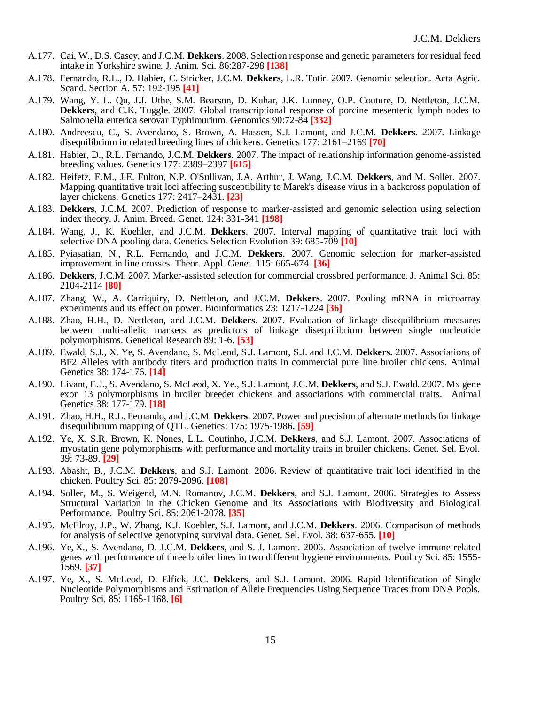- A.177. Cai, W., D.S. Casey, and J.C.M. **Dekkers**. 2008. Selection response and genetic parameters for residual feed intake in Yorkshire swine. J. Anim. Sci. 86:287-298 **[138]**
- A.178. Fernando, R.L., D. Habier, C. Stricker, J.C.M. **Dekkers**, L.R. Totir. 2007. Genomic selection. Acta Agric. Scand. Section A. 57: 192-195 **[41]**
- A.179. Wang, Y. L. Qu, J.J. Uthe, S.M. Bearson, D. Kuhar, J.K. Lunney, O.P. Couture, D. Nettleton, J.C.M. **Dekkers**, and C.K. Tuggle. 2007. Global transcriptional response of porcine mesenteric lymph nodes to Salmonella enterica serovar Typhimurium. Genomics 90:72-84 **[332]**
- A.180. Andreescu, C., S. Avendano, S. Brown, A. Hassen, S.J. Lamont, and J.C.M. **Dekkers**. 2007. Linkage disequilibrium in related breeding lines of chickens. Genetics 177: 2161–2169 **[70]**
- A.181. Habier, D., R.L. Fernando, J.C.M. **Dekkers**. 2007. The impact of relationship information genome-assisted breeding values. Genetics 177: 2389–2397 **[615]**
- A.182. Heifetz, E.M., J.E. Fulton, N.P. O'Sullivan, J.A. Arthur, J. Wang, J.C.M. **Dekkers**, and M. Soller. 2007. Mapping quantitative trait loci affecting susceptibility to Marek's disease virus in a backcross population of layer chickens. Genetics 177: 2417–2431. **[23]**
- A.183. **Dekkers**, J.C.M. 2007. Prediction of response to marker-assisted and genomic selection using selection index theory. J. Anim. Breed. Genet. 124: 331-341 **[198]**
- A.184. Wang, J., K. Koehler, and J.C.M. **Dekkers**. 2007. Interval mapping of quantitative trait loci with selective DNA pooling data. Genetics Selection Evolution 39: 685-709 **[10]**
- A.185. Pyiasatian, N., R.L. Fernando, and J.C.M. **Dekkers**. 2007. Genomic selection for marker-assisted improvement in line crosses. Theor. Appl. Genet. 115: 665-674. **[36]**
- A.186. **Dekkers**, J.C.M. 2007. Marker-assisted selection for commercial crossbred performance. J. Animal Sci. 85: 2104-2114 **[80]**
- A.187. Zhang, W., A. Carriquiry, D. Nettleton, and J.C.M. **Dekkers**. 2007. Pooling mRNA in microarray experiments and its effect on power. Bioinformatics 23: 1217-1224 **[36]**
- A.188. Zhao, H.H., D. Nettleton, and J.C.M. **Dekkers**. 2007. Evaluation of linkage disequilibrium measures between multi-allelic markers as predictors of linkage disequilibrium between single nucleotide polymorphisms. Genetical Research 89: 1-6. **[53]**
- A.189. Ewald, S.J., X. Ye, S. Avendano, S. McLeod, S.J. Lamont, S.J. and J.C.M. **Dekkers.** 2007. Associations of BF2 Alleles with antibody titers and production traits in commercial pure line broiler chickens. Animal Genetics 38: 174-176. **[14]**
- A.190. Livant, E.J., S. Avendano, S. McLeod, X. Ye., S.J. Lamont, J.C.M. **Dekkers**, and S.J. Ewald. 2007. Mx gene exon 13 polymorphisms in broiler breeder chickens and associations with commercial traits. Animal Genetics 38: 177-179. **[18]**
- A.191. Zhao, H.H., R.L. Fernando, and J.C.M. **Dekkers**. 2007. Power and precision of alternate methods for linkage disequilibrium mapping of QTL. Genetics: 175: 1975-1986. **[59]**
- A.192. Ye, X. S.R. Brown, K. Nones, L.L. Coutinho, J.C.M. **Dekkers**, and S.J. Lamont. 2007. Associations of myostatin gene polymorphisms with performance and mortality traits in broiler chickens. Genet. Sel. Evol. 39: 73-89. **[29]**
- A.193. Abasht, B., J.C.M. **Dekkers**, and S.J. Lamont. 2006. Review of quantitative trait loci identified in the chicken. Poultry Sci. 85: 2079-2096. **[108]**
- A.194. Soller, M., S. Weigend, M.N. Romanov, J.C.M. **Dekkers**, and S.J. Lamont. 2006. Strategies to Assess Structural Variation in the Chicken Genome and its Associations with Biodiversity and Biological Performance. Poultry Sci. 85: 2061-2078. **[35]**
- A.195. McElroy, J.P., W. Zhang, K.J. Koehler, S.J. Lamont, and J.C.M. **Dekkers**. 2006. Comparison of methods for analysis of selective genotyping survival data. Genet. Sel. Evol. 38: 637-655. **[10]**
- A.196. Ye, X., S. Avendano, D. J.C.M. **Dekkers**, and S. J. Lamont. 2006. Association of twelve immune-related genes with performance of three broiler lines in two different hygiene environments. Poultry Sci. 85: 1555- 1569. **[37]**
- A.197. Ye, X., S. McLeod, D. Elfick, J.C. **Dekkers**, and S.J. Lamont. 2006. Rapid Identification of Single Nucleotide Polymorphisms and Estimation of Allele Frequencies Using Sequence Traces from DNA Pools. Poultry Sci. 85: 1165-1168. **[6]**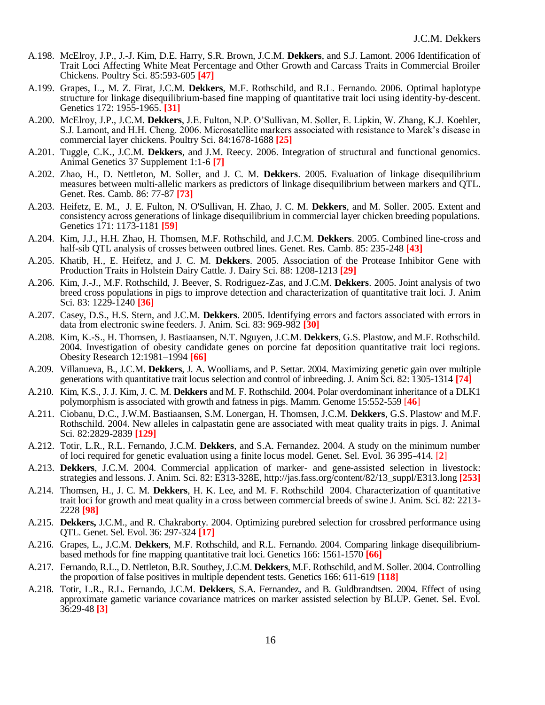- A.198. McElroy, J.P., J.-J. Kim, D.E. Harry, S.R. Brown, J.C.M. **Dekkers**, and S.J. Lamont. 2006 Identification of Trait Loci Affecting White Meat Percentage and Other Growth and Carcass Traits in Commercial Broiler Chickens. Poultry Sci. 85:593-605 **[47]**
- A.199. Grapes, L., M. Z. Firat, J.C.M. **Dekkers**, M.F. Rothschild, and R.L. Fernando. 2006. Optimal haplotype structure for linkage disequilibrium-based fine mapping of quantitative trait loci using identity-by-descent. Genetics 172: 1955-1965. **[31]**
- A.200. McElroy, J.P., J.C.M. **Dekkers**, J.E. Fulton, N.P. O'Sullivan, M. Soller, E. Lipkin, W. Zhang, K.J. Koehler, S.J. Lamont, and H.H. Cheng. 2006. Microsatellite markers associated with resistance to Marek's disease in commercial layer chickens. Poultry Sci. 84:1678-1688 **[25]**
- A.201. Tuggle, C.K., J.C.M. **Dekkers**, and J.M. Reecy. 2006. Integration of structural and functional genomics. Animal Genetics 37 Supplement 1:1-6 **[7]**
- A.202. Zhao, H., D. Nettleton, M. Soller, and J. C. M. **Dekkers**. 2005. Evaluation of linkage disequilibrium measures between multi-allelic markers as predictors of linkage disequilibrium between markers and QTL. Genet. Res. Camb. 86: 77-87 **[73]**
- A.203. Heifetz, E. M., J. E. Fulton, N. O'Sullivan, H. Zhao, J. C. M. **Dekkers**, and M. Soller. 2005. Extent and consistency across generations of linkage disequilibrium in commercial layer chicken breeding populations. Genetics 171: 1173-1181 **[59]**
- A.204. Kim, J.J., H.H. Zhao, H. Thomsen, M.F. Rothschild, and J.C.M. **Dekkers**. 2005. Combined line-cross and half-sib QTL analysis of crosses between outbred lines. Genet. Res. Camb. 85: 235-248 **[43]**
- A.205. Khatib, H., E. Heifetz, and J. C. M. **Dekkers**. 2005. Association of the Protease Inhibitor Gene with Production Traits in Holstein Dairy Cattle. J. Dairy Sci. 88: 1208-1213 **[29]**
- A.206. Kim, J.-J., M.F. Rothschild, J. Beever, S. Rodriguez-Zas, and J.C.M. **Dekkers**. 2005. Joint analysis of two breed cross populations in pigs to improve detection and characterization of quantitative trait loci. J. Anim Sci. 83: 1229-1240 **[36]**
- A.207. Casey, D.S., H.S. Stern, and J.C.M. **Dekkers**. 2005. Identifying errors and factors associated with errors in data from electronic swine feeders. J. Anim. Sci. 83: 969-982 **[30]**
- A.208. Kim, K.-S., H. Thomsen, J. Bastiaansen, N.T. Nguyen, J.C.M. **Dekkers**, G.S. Plastow, and M.F. Rothschild. 2004. Investigation of obesity candidate genes on porcine fat deposition quantitative trait loci regions. Obesity Research 12:1981–1994 **[66]**
- A.209. Villanueva, B., J.C.M. **Dekkers**, J. A. Woolliams, and P. Settar. 2004. Maximizing genetic gain over multiple generations with quantitative trait locus selection and control of inbreeding. J. Anim Sci. 82: 1305-1314 **[74]**
- A.210. Kim, K.S., J. J. Kim, J. C. M. **Dekkers** and M. F. Rothschild. 2004. Polar overdominant inheritance of a DLK1 polymorphism is associated with growth and fatness in pigs. Mamm. Genome 15:552-559 [**46**]
- A.211. Ciobanu, D.C., J.W.M. Bastiaansen, S.M. Lonergan, H. Thomsen, J.C.M. Dekkers, G.S. Plastow and M.F. Rothschild. 2004. New alleles in calpastatin gene are associated with meat quality traits in pigs. J. Animal Sci. 82:2829-2839 **[129]**
- A.212. Totir, L.R., R.L. Fernando, J.C.M. **Dekkers**, and S.A. Fernandez. 2004. A study on the minimum number of loci required for genetic evaluation using a finite locus model. Genet. Sel. Evol. 36 395-414. [**2**]
- A.213. **Dekkers**, J.C.M. 2004. Commercial application of marker- and gene-assisted selection in livestock: strategies and lessons. J. Anim. Sci. 82: E313-328E, http://jas.fass.org/content/82/13\_suppl/E313.long **[253]**
- A.214. Thomsen, H., J. C. M. **Dekkers**, H. K. Lee, and M. F. Rothschild 2004. Characterization of quantitative trait loci for growth and meat quality in a cross between commercial breeds of swine J. Anim. Sci. 82: 2213- 2228 **[98]**
- A.215. **Dekkers,** J.C.M., and R. Chakraborty. 2004. Optimizing purebred selection for crossbred performance using QTL. Genet. Sel. Evol. 36: 297-324 **[17]**
- A.216. Grapes, L., J.C.M. **Dekkers**, M.F. Rothschild, and R.L. Fernando. 2004. Comparing linkage disequilibriumbased methods for fine mapping quantitative trait loci. Genetics 166: 1561-1570 **[66]**
- A.217. Fernando, R.L., D. Nettleton, B.R. Southey, J.C.M. **Dekkers**, M.F. Rothschild, and M. Soller. 2004. Controlling the proportion of false positives in multiple dependent tests. Genetics 166: 611-619 **[118]**
- A.218. Totir, L.R., R.L. Fernando, J.C.M. **Dekkers**, S.A. Fernandez, and B. Guldbrandtsen. 2004. Effect of using approximate gametic variance covariance matrices on marker assisted selection by BLUP. Genet. Sel. Evol. 36:29-48 **[3]**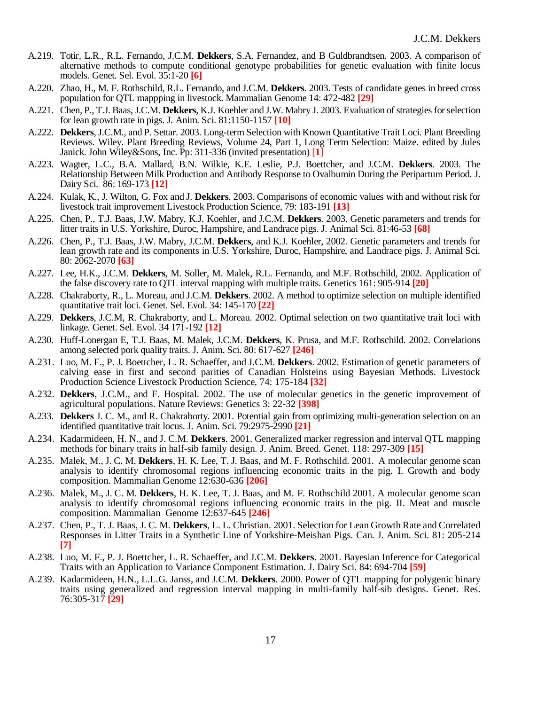- A.219. Totir, L.R., R.L. Fernando, J.C.M. **Dekkers**, S.A. Fernandez, and B Guldbrandtsen. 2003. A comparison of alternative methods to compute conditional genotype probabilities for genetic evaluation with finite locus models. Genet. Sel. Evol. 35:1-20 **[6]**
- A.220. Zhao, H., M. F. Rothschild, R.L. Fernando, and J.C.M. **Dekkers**. 2003. Tests of candidate genes in breed cross population for QTL mappping in livestock. Mammalian Genome 14: 472-482 **[29]**
- A.221. Chen, P., T.J. Baas, J.C.M. **Dekkers**, K.J. Koehler and J.W. Mabry J. 2003. Evaluation of strategies for selection for lean growth rate in pigs. J. Anim. Sci. 81:1150-1157 **[10]**
- A.222. **Dekkers**, J.C.M., and P. Settar. 2003. Long-term Selection with Known Quantitative Trait Loci. Plant Breeding Reviews. Wiley. Plant Breeding Reviews, Volume 24, Part 1, Long Term Selection: Maize. edited by Jules Janick. John Wiley&Sons, Inc. Pp: 311-336 (invited presentation) [**1**]
- A.223. Wagter, L.C., B.A. Mallard, B.N. Wilkie, K.E. Leslie, P.J. Boettcher, and J.C.M. **Dekkers**. 2003. The Relationship Between Milk Production and Antibody Response to Ovalbumin During the Peripartum Period. J. Dairy Sci. 86: 169-173 **[12]**
- A.224. Kulak, K., J. Wilton, G. Fox and J. **Dekkers**. 2003. Comparisons of economic values with and without risk for livestock trait improvement Livestock Production Science, 79: 183-191 **[13]**
- A.225. Chen, P., T.J. Baas, J.W. Mabry, K.J. Koehler, and J.C.M. **Dekkers**. 2003. Genetic parameters and trends for litter traits in U.S. Yorkshire, Duroc, Hampshire, and Landrace pigs. J. Animal Sci. 81:46-53 **[68]**
- A.226. Chen, P., T.J. Baas, J.W. Mabry, J.C.M. **Dekkers**, and K.J. Koehler, 2002. Genetic parameters and trends for lean growth rate and its components in U.S. Yorkshire, Duroc, Hampshire, and Landrace pigs. J. Animal Sci. 80: 2062-2070 **[63]**
- A.227. Lee, H.K., J.C.M. **Dekkers**, M. Soller, M. Malek, R.L. Fernando, and M.F. Rothschild, 2002. Application of the false discovery rate to QTL interval mapping with multiple traits. Genetics 161: 905-914 **[20]**
- A.228. Chakraborty, R., L. Moreau, and J.C.M. **Dekkers**. 2002. A method to optimize selection on multiple identified quantitative trait loci. Genet. Sel. Evol. 34: 145-170 **[22]**
- A.229. **Dekkers**, J.C.M, R. Chakraborty, and L. Moreau. 2002. Optimal selection on two quantitative trait loci with linkage. Genet. Sel. Evol. 34 171-192 **[12]**
- A.230. Huff-Lonergan E, T.J. Baas, M. Malek, J.C.M. **Dekkers**, K. Prusa, and M.F. Rothschild. 2002. Correlations among selected pork quality traits. J. Anim. Sci. 80: 617-627 **[246]**
- A.231. Luo, M. F., P. J. Boettcher, L. R. Schaeffer, and J.C.M. **Dekkers**. 2002. Estimation of genetic parameters of calving ease in first and second parities of Canadian Holsteins using Bayesian Methods. Livestock Production Science Livestock Production Science, 74: 175-184 **[32]**
- A.232. **Dekkers**, J.C.M., and F. Hospital. 2002. The use of molecular genetics in the genetic improvement of agricultural populations. Nature Reviews: Genetics 3: 22-32 **[398]**
- A.233. **Dekkers** J. C. M., and R. Chakraborty. 2001. Potential gain from optimizing multi-generation selection on an identified quantitative trait locus. J. Anim. Sci. 79:2975-2990 **[21]**
- A.234. Kadarmideen, H. N., and J. C.M. **Dekkers**. 2001. Generalized marker regression and interval QTL mapping methods for binary traits in half-sib family design. J. Anim. Breed. Genet. 118: 297-309 **[15]**
- A.235. Malek, M., J. C. M. **Dekkers**, H. K. Lee, T. J. Baas, and M. F. Rothschild. 2001. A molecular genome scan analysis to identify chromosomal regions influencing economic traits in the pig. I. Growth and body composition. Mammalian Genome 12:630-636 **[206]**
- A.236. Malek, M., J. C. M. **Dekkers**, H. K. Lee, T. J. Baas, and M. F. Rothschild 2001. A molecular genome scan analysis to identify chromosomal regions influencing economic traits in the pig. II. Meat and muscle composition. Mammalian Genome 12:637-645 **[246]**
- A.237. Chen, P., T. J. Baas, J. C. M. **Dekkers**, L. L. Christian. 2001. Selection for Lean Growth Rate and Correlated Responses in Litter Traits in a Synthetic Line of Yorkshire-Meishan Pigs. Can. J. Anim. Sci. 81: 205-214 **[7]**
- A.238. Luo, M. F., P. J. Boettcher, L. R. Schaeffer, and J.C.M. **Dekkers**. 2001. Bayesian Inference for Categorical Traits with an Application to Variance Component Estimation. J. Dairy Sci. 84: 694-704 **[59]**
- A.239. Kadarmideen, H.N., L.L.G. Janss, and J.C.M. **Dekkers**. 2000. Power of QTL mapping for polygenic binary traits using generalized and regression interval mapping in multi-family half-sib designs. Genet. Res. 76:305-317 **[29]**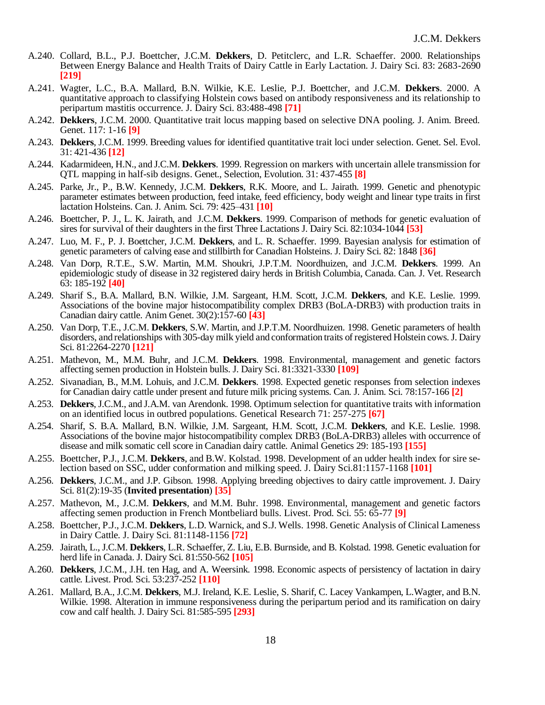- A.240. Collard, B.L., P.J. Boettcher, J.C.M. **Dekkers**, D. Petitclerc, and L.R. Schaeffer. 2000. Relationships Between Energy Balance and Health Traits of Dairy Cattle in Early Lactation. J. Dairy Sci. 83: 2683-2690 **[219]**
- A.241. Wagter, L.C., B.A. Mallard, B.N. Wilkie, K.E. Leslie, P.J. Boettcher, and J.C.M. **Dekkers**. 2000. A quantitative approach to classifying Holstein cows based on antibody responsiveness and its relationship to peripartum mastitis occurrence. J. Dairy Sci. 83:488-498 **[71]**
- A.242. **Dekkers**, J.C.M. 2000. Quantitative trait locus mapping based on selective DNA pooling. J. Anim. Breed. Genet. 117: 1-16 **[9]**
- A.243. **Dekkers**, J.C.M. 1999. Breeding values for identified quantitative trait loci under selection. Genet. Sel. Evol. 31: 421-436 **[12]**
- A.244. Kadarmideen, H.N., and J.C.M. **Dekkers**. 1999. Regression on markers with uncertain allele transmission for QTL mapping in half-sib designs. Genet., Selection, Evolution. 31: 437-455 **[8]**
- A.245. Parke, Jr., P., B.W. Kennedy, J.C.M. **Dekkers**, R.K. Moore, and L. Jairath. 1999. Genetic and phenotypic parameter estimates between production, feed intake, feed efficiency, body weight and linear type traits in first lactation Holsteins. Can. J. Anim. Sci. 79: 425–431 **[10]**
- A.246. Boettcher, P. J., L. K. Jairath, and J.C.M. **Dekkers**. 1999. Comparison of methods for genetic evaluation of sires for survival of their daughters in the first Three Lactations J. Dairy Sci. 82:1034-1044 **[53]**
- A.247. Luo, M. F., P. J. Boettcher, J.C.M. **Dekkers**, and L. R. Schaeffer. 1999. Bayesian analysis for estimation of genetic parameters of calving ease and stillbirth for Canadian Holsteins. J. Dairy Sci. 82: 1848 **[36]**
- A.248. Van Dorp, R.T.E., S.W. Martin, M.M. Shoukri, J.P.T.M. Noordhuizen, and J.C.M. **Dekkers**. 1999. An epidemiologic study of disease in 32 registered dairy herds in British Columbia, Canada. Can. J. Vet. Research 63: 185-192 **[40]**
- A.249. Sharif S., B.A. Mallard, B.N. Wilkie, J.M. Sargeant, H.M. Scott, J.C.M. **Dekkers**, and K.E. Leslie. 1999. Associations of the bovine major histocompatibility complex DRB3 (BoLA-DRB3) with production traits in Canadian dairy cattle. Anim Genet. 30(2):157-60 **[43]**
- A.250. Van Dorp, T.E., J.C.M. **Dekkers**, S.W. Martin, and J.P.T.M. Noordhuizen. 1998. Genetic parameters of health disorders, and relationships with 305-day milk yield and conformation traits of registered Holstein cows. J. Dairy Sci. 81:2264-2270 **[121]**
- A.251. Mathevon, M., M.M. Buhr, and J.C.M. **Dekkers**. 1998. Environmental, management and genetic factors affecting semen production in Holstein bulls. J. Dairy Sci. 81:3321-3330 **[109]**
- A.252. Sivanadian, B., M.M. Lohuis, and J.C.M. **Dekkers**. 1998. Expected genetic responses from selection indexes for Canadian dairy cattle under present and future milk pricing systems. Can. J. Anim. Sci. 78:157-166 **[2]**
- A.253. **Dekkers**, J.C.M., and J.A.M. van Arendonk. 1998. Optimum selection for quantitative traits with information on an identified locus in outbred populations. Genetical Research 71: 257-275 **[67]**
- A.254. Sharif, S. B.A. Mallard, B.N. Wilkie, J.M. Sargeant, H.M. Scott, J.C.M. **Dekkers**, and K.E. Leslie. 1998. Associations of the bovine major histocompatibility complex DRB3 (BoLA-DRB3) alleles with occurrence of disease and milk somatic cell score in Canadian dairy cattle. Animal Genetics 29: 185-193 **[155]**
- A.255. Boettcher, P.J., J.C.M. **Dekkers**, and B.W. Kolstad. 1998. Development of an udder health index for sire selection based on SSC, udder conformation and milking speed. J. Dairy Sci.81:1157-1168 **[101]**
- A.256. **Dekkers**, J.C.M., and J.P. Gibson. 1998. Applying breeding objectives to dairy cattle improvement. J. Dairy Sci. 81(2):19-35 (**Invited presentation**) **[35]**
- A.257. Mathevon, M., J.C.M. **Dekkers**, and M.M. Buhr. 1998. Environmental, management and genetic factors affecting semen production in French Montbeliard bulls. Livest. Prod. Sci. 55: 65-77 **[9]**
- A.258. Boettcher, P.J., J.C.M. **Dekkers**, L.D. Warnick, and S.J. Wells. 1998. Genetic Analysis of Clinical Lameness in Dairy Cattle. J. Dairy Sci. 81:1148-1156 **[72]**
- A.259. Jairath, L., J.C.M. **Dekkers**, L.R. Schaeffer, Z. Liu, E.B. Burnside, and B. Kolstad. 1998. Genetic evaluation for herd life in Canada. J. Dairy Sci. 81:550-562 **[105]**
- A.260. **Dekkers**, J.C.M., J.H. ten Hag, and A. Weersink. 1998. Economic aspects of persistency of lactation in dairy cattle. Livest. Prod. Sci. 53:237-252 **[110]**
- A.261. Mallard, B.A., J.C.M. **Dekkers**, M.J. Ireland, K.E. Leslie, S. Sharif, C. Lacey Vankampen, L.Wagter, and B.N. Wilkie. 1998. Alteration in immune responsiveness during the peripartum period and its ramification on dairy cow and calf health. J. Dairy Sci. 81:585-595 **[293]**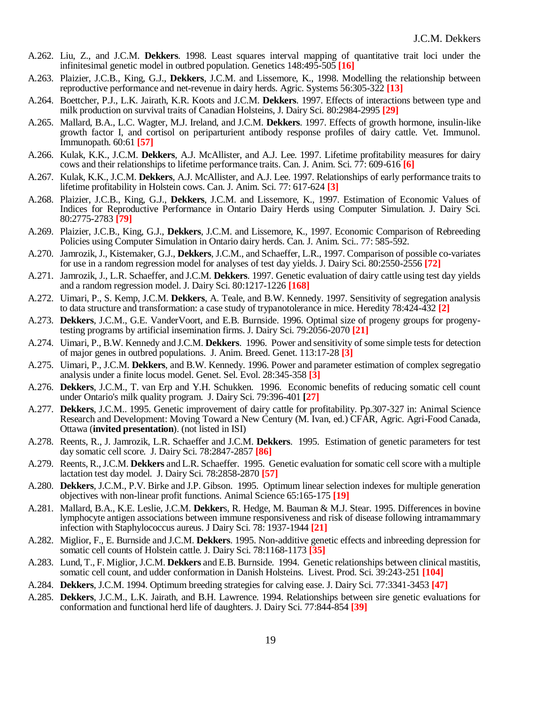- A.262. Liu, Z., and J.C.M. **Dekkers**. 1998. Least squares interval mapping of quantitative trait loci under the infinitesimal genetic model in outbred population. Genetics 148:495-505 **[16]**
- A.263. Plaizier, J.C.B., King, G.J., **Dekkers**, J.C.M. and Lissemore, K., 1998. Modelling the relationship between reproductive performance and net-revenue in dairy herds. Agric. Systems 56:305-322 **[13]**
- A.264. Boettcher, P.J., L.K. Jairath, K.R. Koots and J.C.M. **Dekkers**. 1997. Effects of interactions between type and milk production on survival traits of Canadian Holsteins, J. Dairy Sci. 80:2984-2995 **[29]**
- A.265. Mallard, B.A., L.C. Wagter, M.J. Ireland, and J.C.M. **Dekkers**. 1997. Effects of growth hormone, insulin-like growth factor I, and cortisol on periparturient antibody response profiles of dairy cattle. Vet. Immunol. Immunopath. 60:61 **[57]**
- A.266. Kulak, K.K., J.C.M. **Dekkers**, A.J. McAllister, and A.J. Lee. 1997. Lifetime profitability measures for dairy cows and their relationships to lifetime performance traits. Can. J. Anim. Sci. 77: 609-616 **[6]**
- A.267. Kulak, K.K., J.C.M. **Dekkers**, A.J. McAllister, and A.J. Lee. 1997. Relationships of early performance traits to lifetime profitability in Holstein cows. Can. J. Anim. Sci. 77: 617-624 **[3]**
- A.268. Plaizier, J.C.B., King, G.J., **Dekkers**, J.C.M. and Lissemore, K., 1997. Estimation of Economic Values of Indices for Reproductive Performance in Ontario Dairy Herds using Computer Simulation. J. Dairy Sci. 80:2775-2783 **[79]**
- A.269. Plaizier, J.C.B., King, G.J., **Dekkers**, J.C.M. and Lissemore, K., 1997. Economic Comparison of Rebreeding Policies using Computer Simulation in Ontario dairy herds. Can. J. Anim. Sci.. 77: 585-592.
- A.270. Jamrozik, J., Kistemaker, G.J., **Dekkers**, J.C.M., and Schaeffer, L.R., 1997. Comparison of possible co-variates for use in a random regression model for analyses of test day yields. J. Dairy Sci. 80:2550-2556 **[72]**
- A.271. Jamrozik, J., L.R. Schaeffer, and J.C.M. **Dekkers**. 1997. Genetic evaluation of dairy cattle using test day yields and a random regression model. J. Dairy Sci. 80:1217-1226 **[168]**
- A.272. Uimari, P., S. Kemp, J.C.M. **Dekkers**, A. Teale, and B.W. Kennedy. 1997. Sensitivity of segregation analysis to data structure and transformation: a case study of trypanotolerance in mice. Heredity 78:424-432 **[2]**
- A.273. **Dekkers**, J.C.M., G.E. VanderVoort, and E.B. Burnside. 1996. Optimal size of progeny groups for progenytesting programs by artificial insemination firms. J. Dairy Sci. 79:2056-2070 **[21]**
- A.274. Uimari, P., B.W. Kennedy and J.C.M. **Dekkers**. 1996. Power and sensitivity of some simple tests for detection of major genes in outbred populations. J. Anim. Breed. Genet. 113:17-28 **[3]**
- A.275. Uimari, P., J.C.M. **Dekkers**, and B.W. Kennedy. 1996. Power and parameter estimation of complex segregatio analysis under a finite locus model. Genet. Sel. Evol. 28:345-358 **[3]**
- A.276. **Dekkers**, J.C.M., T. van Erp and Y.H. Schukken. 1996. Economic benefits of reducing somatic cell count under Ontario's milk quality program. J. Dairy Sci. 79:396-401 **[27]**
- A.277. **Dekkers**, J.C.M.. 1995. Genetic improvement of dairy cattle for profitability. Pp.307-327 in: Animal Science Research and Development: Moving Toward a New Century (M. Ivan, ed.) CFAR, Agric. Agri-Food Canada, Ottawa (**invited presentation**). (not listed in ISI)
- A.278. Reents, R., J. Jamrozik, L.R. Schaeffer and J.C.M. **Dekkers**. 1995. Estimation of genetic parameters for test day somatic cell score. J. Dairy Sci. 78:2847-2857 **[86]**
- A.279. Reents, R., J.C.M. **Dekkers** and L.R. Schaeffer. 1995. Genetic evaluation for somatic cell score with a multiple lactation test day model. J. Dairy Sci. 78:2858-2870 **[57]**
- A.280. **Dekkers**, J.C.M., P.V. Birke and J.P. Gibson. 1995. Optimum linear selection indexes for multiple generation objectives with non-linear profit functions. Animal Science 65:165-175 **[19]**
- A.281. Mallard, B.A., K.E. Leslie, J.C.M. **Dekker**s, R. Hedge, M. Bauman & M.J. Stear. 1995. Differences in bovine lymphocyte antigen associations between immune responsiveness and risk of disease following intramammary infection with Staphylococcus aureus. J Dairy Sci. 78: 1937-1944 **[21]**
- A.282. Miglior, F., E. Burnside and J.C.M. **Dekkers**. 1995. Non-additive genetic effects and inbreeding depression for somatic cell counts of Holstein cattle. J. Dairy Sci. 78:1168-1173 **[35]**
- A.283. Lund, T., F. Miglior, J.C.M. **Dekkers** and E.B. Burnside. 1994. Genetic relationships between clinical mastitis, somatic cell count, and udder conformation in Danish Holsteins. Livest. Prod. Sci. 39:243-251 **[104]**
- A.284. **Dekkers**, J.C.M. 1994. Optimum breeding strategies for calving ease. J. Dairy Sci. 77:3341-3453 **[47]**
- A.285. **Dekkers**, J.C.M., L.K. Jairath, and B.H. Lawrence. 1994. Relationships between sire genetic evaluations for conformation and functional herd life of daughters. J. Dairy Sci. 77:844-854 **[39]**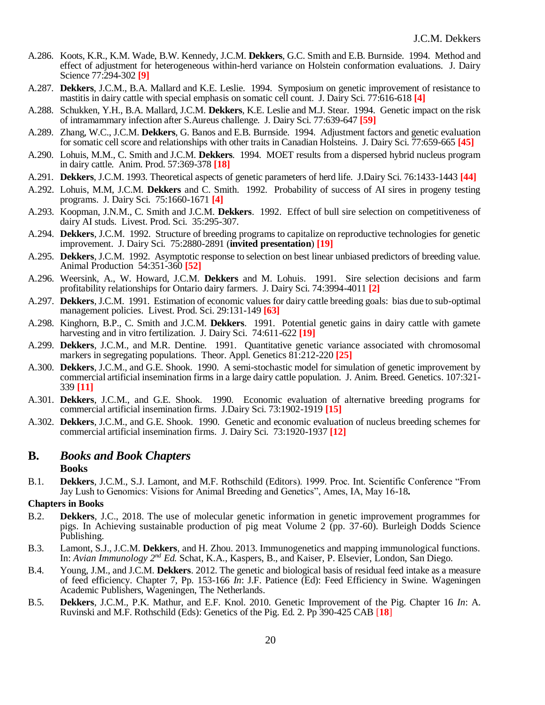- A.286. Koots, K.R., K.M. Wade, B.W. Kennedy, J.C.M. **Dekkers**, G.C. Smith and E.B. Burnside. 1994. Method and effect of adjustment for heterogeneous within-herd variance on Holstein conformation evaluations. J. Dairy Science 77:294-302 **[9]**
- A.287. **Dekkers**, J.C.M., B.A. Mallard and K.E. Leslie. 1994. Symposium on genetic improvement of resistance to mastitis in dairy cattle with special emphasis on somatic cell count. J. Dairy Sci. 77:616-618 **[4]**
- A.288. Schukken, Y.H., B.A. Mallard, J.C.M. **Dekkers**, K.E. Leslie and M.J. Stear. 1994. Genetic impact on the risk of intramammary infection after S.Aureus challenge. J. Dairy Sci. 77:639-647 **[59]**
- A.289. Zhang, W.C., J.C.M. **Dekkers**, G. Banos and E.B. Burnside. 1994. Adjustment factors and genetic evaluation for somatic cell score and relationships with other traits in Canadian Holsteins. J. Dairy Sci. 77:659-665 **[45]**
- A.290. Lohuis, M.M., C. Smith and J.C.M. **Dekkers**. 1994. MOET results from a dispersed hybrid nucleus program in dairy cattle. Anim. Prod. 57:369-378 **[18]**
- A.291. **Dekkers**, J.C.M. 1993. Theoretical aspects of genetic parameters of herd life. J.Dairy Sci. 76:1433-1443 **[44]**
- A.292. Lohuis, M.M, J.C.M. **Dekkers** and C. Smith. 1992. Probability of success of AI sires in progeny testing programs. J. Dairy Sci. 75:1660-1671 **[4]**
- A.293. Koopman, J.N.M., C. Smith and J.C.M. **Dekkers**. 1992. Effect of bull sire selection on competitiveness of dairy AI studs. Livest. Prod. Sci. 35:295-307.
- A.294. **Dekkers**, J.C.M. 1992. Structure of breeding programs to capitalize on reproductive technologies for genetic improvement. J. Dairy Sci. 75:2880-2891 (**invited presentation**) **[19]**
- A.295. **Dekkers**, J.C.M. 1992. Asymptotic response to selection on best linear unbiased predictors of breeding value. Animal Production 54:351-360 **[52]**
- A.296. Weersink, A., W. Howard, J.C.M. **Dekkers** and M. Lohuis. 1991. Sire selection decisions and farm profitability relationships for Ontario dairy farmers. J. Dairy Sci. 74:3994-4011 **[2]**
- A.297. **Dekkers**, J.C.M. 1991. Estimation of economic values for dairy cattle breeding goals: bias due to sub-optimal management policies. Livest. Prod. Sci. 29:131-149 **[63]**
- A.298. Kinghorn, B.P., C. Smith and J.C.M. **Dekkers**. 1991. Potential genetic gains in dairy cattle with gamete harvesting and in vitro fertilization. J. Dairy Sci. 74:611-622 **[19]**
- A.299. **Dekkers**, J.C.M., and M.R. Dentine. 1991. Quantitative genetic variance associated with chromosomal markers in segregating populations. Theor. Appl. Genetics 81:212-220 **[25]**
- A.300. **Dekkers**, J.C.M., and G.E. Shook. 1990. A semi-stochastic model for simulation of genetic improvement by commercial artificial insemination firms in a large dairy cattle population. J. Anim. Breed. Genetics. 107:321- 339 **[11]**
- A.301. **Dekkers**, J.C.M., and G.E. Shook. 1990. Economic evaluation of alternative breeding programs for commercial artificial insemination firms. J.Dairy Sci. 73:1902-1919 **[15]**
- A.302. **Dekkers**, J.C.M., and G.E. Shook. 1990. Genetic and economic evaluation of nucleus breeding schemes for commercial artificial insemination firms. J. Dairy Sci. 73:1920-1937 **[12]**

### **B.** *Books and Book Chapters*

#### **Books**

B.1. **Dekkers**, J.C.M., S.J. Lamont, and M.F. Rothschild (Editors). 1999. Proc. Int. Scientific Conference "From Jay Lush to Genomics: Visions for Animal Breeding and Genetics", Ames, IA, May 16-18**.** 

#### **Chapters in Books**

- B.2. **Dekkers**, J.C., 2018. The use of molecular genetic information in genetic improvement programmes for pigs. In Achieving sustainable production of pig meat Volume 2 (pp. 37-60). Burleigh Dodds Science Publishing.
- B.3. Lamont, S.J., J.C.M. **Dekkers**, and H. Zhou. 2013. Immunogenetics and mapping immunological functions. In: *Avian Immunology 2nd Ed.* Schat, K.A., Kaspers, B., and Kaiser, P. Elsevier, London, San Diego.
- B.4. Young, J.M., and J.C.M. **Dekkers**. 2012. The genetic and biological basis of residual feed intake as a measure of feed efficiency. Chapter 7, Pp. 153-166 *In*: J.F. Patience (Ed): Feed Efficiency in Swine. Wageningen Academic Publishers, Wageningen, The Netherlands.
- B.5. **Dekkers**, J.C.M., P.K. Mathur, and E.F. Knol. 2010. Genetic Improvement of the Pig. Chapter 16 *In*: A. Ruvinski and M.F. Rothschild (Eds): Genetics of the Pig. Ed. 2. Pp 390-425 CAB [**18**]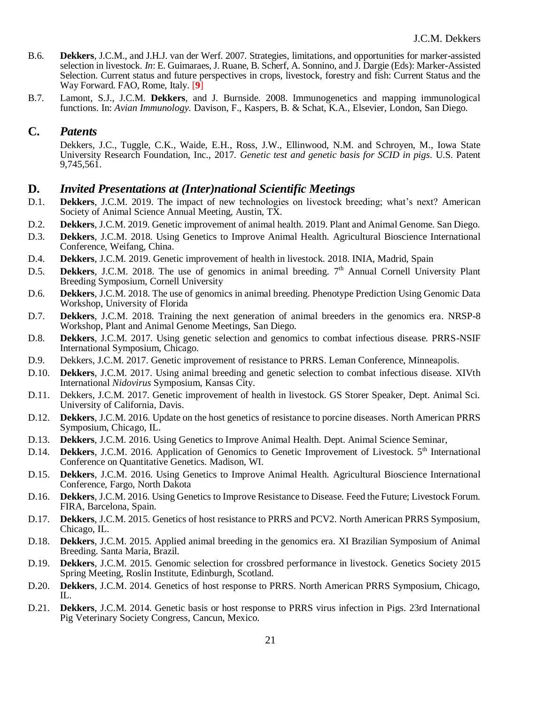- B.6. **Dekkers**, J.C.M., and J.H.J. van der Werf. 2007. Strategies, limitations, and opportunities for marker-assisted selection in livestock. *In*: E. Guimaraes, J. Ruane, B. Scherf, A. Sonnino, and J. Dargie (Eds): Marker-Assisted Selection. Current status and future perspectives in crops, livestock, forestry and fish: Current Status and the Way Forward. FAO, Rome, Italy. [**9**]
- B.7. Lamont, S.J., J.C.M. **Dekkers**, and J. Burnside. 2008. Immunogenetics and mapping immunological functions. In: *Avian Immunology.* Davison, F., Kaspers, B. & Schat, K.A., Elsevier, London, San Diego.

### **C.** *Patents*

Dekkers, J.C., Tuggle, C.K., Waide, E.H., Ross, J.W., Ellinwood, N.M. and Schroyen, M., Iowa State University Research Foundation, Inc., 2017. *Genetic test and genetic basis for SCID in pigs*. U.S. Patent 9,745,561.

### **D.** *Invited Presentations at (Inter)national Scientific Meetings*

- D.1. **Dekkers**, J.C.M. 2019. The impact of new technologies on livestock breeding; what's next? American Society of Animal Science Annual Meeting, Austin, TX.
- D.2. **Dekkers**, J.C.M. 2019. Genetic improvement of animal health. 2019. Plant and Animal Genome. San Diego.
- D.3. **Dekkers**, J.C.M. 2018. Using Genetics to Improve Animal Health. Agricultural Bioscience International Conference, Weifang, China.
- D.4. **Dekkers**, J.C.M. 2019. Genetic improvement of health in livestock. 2018. INIA, Madrid, Spain
- D.5. **Dekkers**, J.C.M. 2018. The use of genomics in animal breeding. 7<sup>th</sup> Annual Cornell University Plant Breeding Symposium, Cornell University
- D.6. **Dekkers**, J.C.M. 2018. The use of genomics in animal breeding. Phenotype Prediction Using Genomic Data Workshop, University of Florida
- D.7. **Dekkers**, J.C.M. 2018. Training the next generation of animal breeders in the genomics era. NRSP-8 Workshop, Plant and Animal Genome Meetings, San Diego.
- D.8. **Dekkers**, J.C.M. 2017. Using genetic selection and genomics to combat infectious disease. PRRS-NSIF International Symposium, Chicago.
- D.9. Dekkers, J.C.M. 2017. Genetic improvement of resistance to PRRS. Leman Conference, Minneapolis.
- D.10. **Dekkers**, J.C.M. 2017. Using animal breeding and genetic selection to combat infectious disease. XIVth International *Nidovirus* Symposium, Kansas City.
- D.11. Dekkers, J.C.M. 2017. Genetic improvement of health in livestock. GS Storer Speaker, Dept. Animal Sci. University of California, Davis.
- D.12. **Dekkers**, J.C.M. 2016. Update on the host genetics of resistance to porcine diseases. North American PRRS Symposium, Chicago, IL.
- D.13. **Dekkers**, J.C.M. 2016. Using Genetics to Improve Animal Health. Dept. Animal Science Seminar,
- D.14. **Dekkers**, J.C.M. 2016. Application of Genomics to Genetic Improvement of Livestock. 5<sup>th</sup> International Conference on Quantitative Genetics. Madison, WI.
- D.15. **Dekkers**, J.C.M. 2016. Using Genetics to Improve Animal Health. Agricultural Bioscience International Conference, Fargo, North Dakota
- D.16. **Dekkers**, J.C.M. 2016. Using Genetics to Improve Resistance to Disease. Feed the Future; Livestock Forum. FIRA, Barcelona, Spain.
- D.17. **Dekkers**, J.C.M. 2015. Genetics of host resistance to PRRS and PCV2. North American PRRS Symposium, Chicago, IL.
- D.18. **Dekkers**, J.C.M. 2015. Applied animal breeding in the genomics era. XI Brazilian Symposium of Animal Breeding. Santa Maria, Brazil.
- D.19. **Dekkers**, J.C.M. 2015. Genomic selection for crossbred performance in livestock. Genetics Society 2015 Spring Meeting, Roslin Institute, Edinburgh, Scotland.
- D.20. **Dekkers**, J.C.M. 2014. Genetics of host response to PRRS. North American PRRS Symposium, Chicago,  $\Pi$ .
- D.21. **Dekkers**, J.C.M. 2014. Genetic basis or host response to PRRS virus infection in Pigs. 23rd International Pig Veterinary Society Congress, Cancun, Mexico.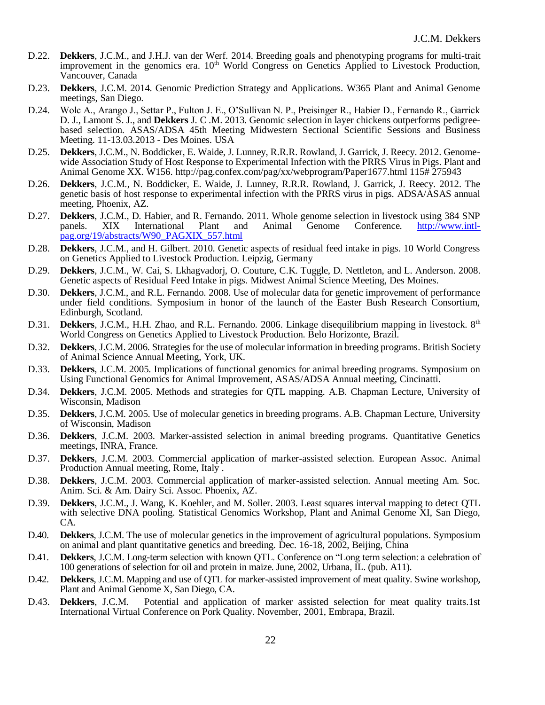- D.22. **Dekkers**, J.C.M., and J.H.J. van der Werf. 2014. Breeding goals and phenotyping programs for multi-trait improvement in the genomics era.  $10<sup>th</sup>$  World Congress on Genetics Applied to Livestock Production, Vancouver, Canada
- D.23. **Dekkers**, J.C.M. 2014. Genomic Prediction Strategy and Applications. W365 Plant and Animal Genome meetings, San Diego.
- D.24. Wolc A., Arango J., Settar P., Fulton J. E., O'Sullivan N. P., Preisinger R., Habier D., Fernando R., Garrick D. J., Lamont S. J., and **Dekkers** J. C .M. 2013. Genomic selection in layer chickens outperforms pedigreebased selection. ASAS/ADSA 45th Meeting Midwestern Sectional Scientific Sessions and Business Meeting. 11-13.03.2013 - Des Moines. USA
- D.25. **Dekkers**, J.C.M., N. Boddicker, E. Waide, J. Lunney, R.R.R. Rowland, J. Garrick, J. Reecy. 2012. Genomewide Association Study of Host Response to Experimental Infection with the PRRS Virus in Pigs. Plant and Animal Genome XX. W156. http://pag.confex.com/pag/xx/webprogram/Paper1677.html 115# 275943
- D.26. **Dekkers**, J.C.M., N. Boddicker, E. Waide, J. Lunney, R.R.R. Rowland, J. Garrick, J. Reecy. 2012. The genetic basis of host response to experimental infection with the PRRS virus in pigs. ADSA/ASAS annual meeting, Phoenix, AZ.
- D.27. **Dekkers**, J.C.M., D. Habier, and R. Fernando. 2011. Whole genome selection in livestock using 384 SNP panels. XIX International Plant and Animal Genome Conference. http://www.intlpanels. XIX International Plant and Animal Genome Conference. [http://www.intl](http://www.intl-pag.org/19/abstracts/W90_PAGXIX_557.html)[pag.org/19/abstracts/W90\\_PAGXIX\\_557.html](http://www.intl-pag.org/19/abstracts/W90_PAGXIX_557.html)
- D.28. **Dekkers**, J.C.M., and H. Gilbert. 2010. Genetic aspects of residual feed intake in pigs. 10 World Congress on Genetics Applied to Livestock Production. Leipzig, Germany
- D.29. **Dekkers**, J.C.M., W. Cai, S. Lkhagvadorj, O. Couture, C.K. Tuggle, D. Nettleton, and L. Anderson. 2008. Genetic aspects of Residual Feed Intake in pigs. Midwest Animal Science Meeting, Des Moines.
- D.30. **Dekkers**, J.C.M., and R.L. Fernando. 2008. Use of molecular data for genetic improvement of performance under field conditions. Symposium in honor of the launch of the Easter Bush Research Consortium, Edinburgh, Scotland.
- D.31. **Dekkers**, J.C.M., H.H. Zhao, and R.L. Fernando. 2006. Linkage disequilibrium mapping in livestock. 8<sup>th</sup> World Congress on Genetics Applied to Livestock Production. Belo Horizonte, Brazil.
- D.32. **Dekkers**, J.C.M. 2006. Strategies for the use of molecular information in breeding programs. British Society of Animal Science Annual Meeting, York, UK.
- D.33. **Dekkers**, J.C.M. 2005. Implications of functional genomics for animal breeding programs. Symposium on Using Functional Genomics for Animal Improvement, ASAS/ADSA Annual meeting, Cincinatti.
- D.34. **Dekkers**, J.C.M. 2005. Methods and strategies for QTL mapping. A.B. Chapman Lecture, University of Wisconsin, Madison
- D.35. **Dekkers**, J.C.M. 2005. Use of molecular genetics in breeding programs. A.B. Chapman Lecture, University of Wisconsin, Madison
- D.36. **Dekkers**, J.C.M. 2003. Marker-assisted selection in animal breeding programs. Quantitative Genetics meetings, INRA, France.
- D.37. **Dekkers**, J.C.M. 2003. Commercial application of marker-assisted selection. European Assoc. Animal Production Annual meeting, Rome, Italy .
- D.38. **Dekkers**, J.C.M. 2003. Commercial application of marker-assisted selection. Annual meeting Am. Soc. Anim. Sci. & Am. Dairy Sci. Assoc. Phoenix, AZ.
- D.39. **Dekkers**, J.C.M., J. Wang, K. Koehler, and M. Soller. 2003. Least squares interval mapping to detect QTL with selective DNA pooling. Statistical Genomics Workshop, Plant and Animal Genome XI, San Diego, CA.
- D.40. **Dekkers**, J.C.M. The use of molecular genetics in the improvement of agricultural populations. Symposium on animal and plant quantitative genetics and breeding. Dec. 16-18, 2002, Beijing, China
- D.41. **Dekkers**, J.C.M. Long-term selection with known QTL. Conference on "Long term selection: a celebration of 100 generations of selection for oil and protein in maize. June, 2002, Urbana, IL. (pub. A11).
- D.42. **Dekkers**, J.C.M. Mapping and use of QTL for marker-assisted improvement of meat quality. Swine workshop, Plant and Animal Genome X, San Diego, CA.
- D.43. **Dekkers**, J.C.M. Potential and application of marker assisted selection for meat quality traits.1st International Virtual Conference on Pork Quality. November, 2001, Embrapa, Brazil.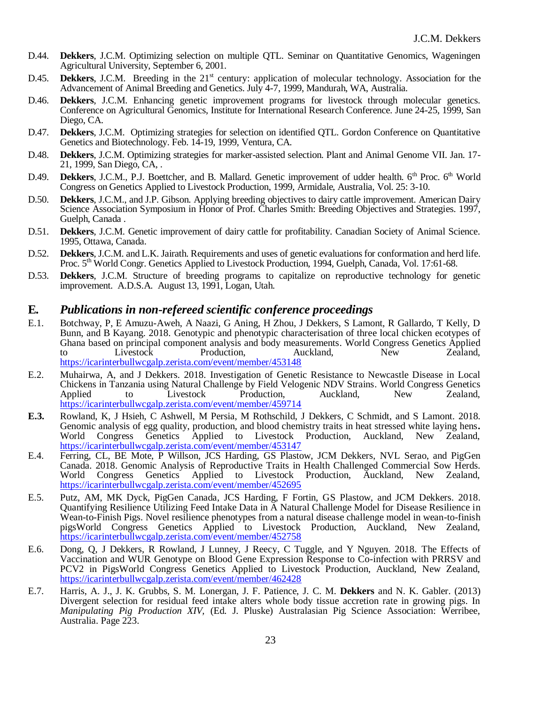- D.44. **Dekkers**, J.C.M. Optimizing selection on multiple QTL. Seminar on Quantitative Genomics, Wageningen Agricultural University, September 6, 2001.
- D.45. **Dekkers**, J.C.M. Breeding in the 21<sup>st</sup> century: application of molecular technology. Association for the Advancement of Animal Breeding and Genetics. July 4-7, 1999, Mandurah, WA, Australia.
- D.46. **Dekkers**, J.C.M. Enhancing genetic improvement programs for livestock through molecular genetics. Conference on Agricultural Genomics, Institute for International Research Conference. June 24-25, 1999, San Diego, CA.
- D.47. **Dekkers**, J.C.M. Optimizing strategies for selection on identified QTL. Gordon Conference on Quantitative Genetics and Biotechnology. Feb. 14-19, 1999, Ventura, CA.
- D.48. **Dekkers**, J.C.M. Optimizing strategies for marker-assisted selection. Plant and Animal Genome VII. Jan. 17- 21, 1999, San Diego, CA, .
- D.49. **Dekkers**, J.C.M., P.J. Boettcher, and B. Mallard. Genetic improvement of udder health. 6<sup>th</sup> Proc. 6<sup>th</sup> World Congress on Genetics Applied to Livestock Production, 1999, Armidale, Australia, Vol. 25: 3-10.
- D.50. **Dekkers**, J.C.M., and J.P. Gibson. Applying breeding objectives to dairy cattle improvement. American Dairy Science Association Symposium in Honor of Prof. Charles Smith: Breeding Objectives and Strategies. 1997, Guelph, Canada .
- D.51. **Dekkers**, J.C.M. Genetic improvement of dairy cattle for profitability. Canadian Society of Animal Science. 1995, Ottawa, Canada.
- D.52. **Dekkers**, J.C.M. and L.K. Jairath. Requirements and uses of genetic evaluations for conformation and herd life. Proc. 5<sup>th</sup> World Congr. Genetics Applied to Livestock Production, 1994, Guelph, Canada, Vol. 17:61-68.
- D.53. **Dekkers**, J.C.M. Structure of breeding programs to capitalize on reproductive technology for genetic improvement. A.D.S.A. August 13, 1991, Logan, Utah.

### **E***. Publications in non-refereed scientific conference proceedings*

- E.1. Botchway, P, E Amuzu-Aweh, A Naazi, G Aning, H Zhou, J Dekkers, S Lamont, R Gallardo, T Kelly, D Bunn, and B Kayang. 2018. Genotypic and phenotypic characterisation of three local chicken ecotypes of Ghana based on principal component analysis and body measurements. World Congress Genetics Applied<br>to Livestock Production, Auckland, New Zealand, to Livestock Production, Auckland, New Zealand, <https://icarinterbullwcgalp.zerista.com/event/member/453148>
- E.2. Muhairwa, A, and J Dekkers. 2018. Investigation of Genetic Resistance to Newcastle Disease in Local Chickens in Tanzania using Natural Challenge by Field Velogenic NDV Strains. World Congress Genetics Applied to Livestock Production, Auckland, New Zealand, <https://icarinterbullwcgalp.zerista.com/event/member/459714>
- **E.3.** Rowland, K, J Hsieh, C Ashwell, M Persia, M Rothschild, J Dekkers, C Schmidt, and S Lamont. 2018. Genomic analysis of egg quality, production, and blood chemistry traits in heat stressed white laying hens**.**  World Congress Genetics Applied to Livestock Production, Auckland, New Zealand, <https://icarinterbullwcgalp.zerista.com/event/member/453147>
- E.4. Ferring, CL, BE Mote, P Willson, JCS Harding, GS Plastow, JCM Dekkers, NVL Serao, and PigGen Canada. 2018. Genomic Analysis of Reproductive Traits in Health Challenged Commercial Sow Herds. Applied to Livestock Production, Auckland, New Zealand, <https://icarinterbullwcgalp.zerista.com/event/member/452695>
- E.5. Putz, AM, MK Dyck, PigGen Canada, JCS Harding, F Fortin, GS Plastow, and JCM Dekkers. 2018. Quantifying Resilience Utilizing Feed Intake Data in A Natural Challenge Model for Disease Resilience in Wean-to-Finish Pigs. Novel resilience phenotypes from a natural disease challenge model in wean-to-finish pigsWorld Congress Genetics Applied to Livestock Production, Auckland, New Zealand, <https://icarinterbullwcgalp.zerista.com/event/member/452758>
- E.6. Dong, Q, J Dekkers, R Rowland, J Lunney, J Reecy, C Tuggle, and Y Nguyen. 2018. The Effects of Vaccination and WUR Genotype on Blood Gene Expression Response to Co-infection with PRRSV and PCV2 in PigsWorld Congress Genetics Applied to Livestock Production, Auckland, New Zealand, <https://icarinterbullwcgalp.zerista.com/event/member/462428>
- E.7. Harris, A. J., J. K. Grubbs, S. M. Lonergan, J. F. Patience, J. C. M. **Dekkers** and N. K. Gabler. (2013) Divergent selection for residual feed intake alters whole body tissue accretion rate in growing pigs. In *Manipulating Pig Production XIV,* (Ed. J. Pluske) Australasian Pig Science Association: Werribee, Australia. Page 223.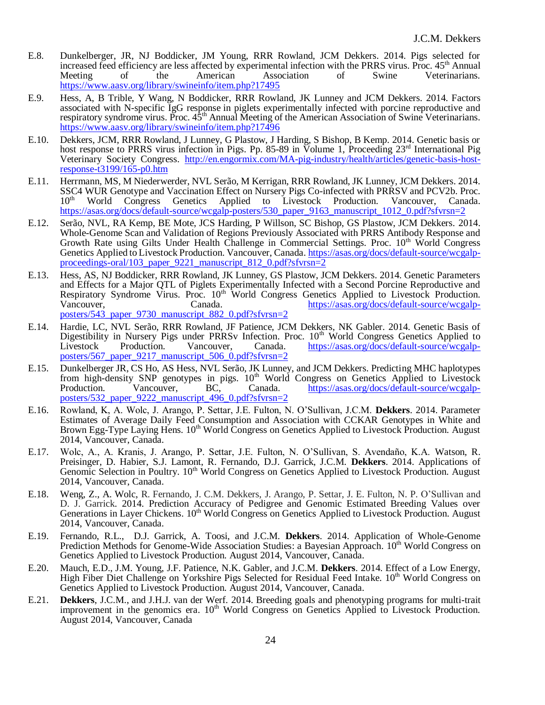- E.8. Dunkelberger, JR, NJ Boddicker, JM Young, RRR Rowland, JCM Dekkers. 2014. Pigs selected for increased feed efficiency are less affected by experimental infection with the PRRS virus. Proc. 45<sup>th</sup> Annual Meeting of the American Association of Swine Veterinarians. of the American Association of Swine Veterinarians. <https://www.aasv.org/library/swineinfo/item.php?17495>
- E.9. Hess, A, B Trible, Y Wang, N Boddicker, RRR Rowland, JK Lunney and JCM Dekkers. 2014. Factors associated with N-specific IgG response in piglets experimentally infected with porcine reproductive and respiratory syndrome virus. Proc.  $45<sup>th</sup>$  Annual Meeting of the American Association of Swine Veterinarians. <https://www.aasv.org/library/swineinfo/item.php?17496>
- E.10. Dekkers, JCM, RRR Rowland, J Lunney, G Plastow, J Harding, S Bishop, B Kemp. 2014. Genetic basis or host response to PRRS virus infection in Pigs. Pp. 85-89 in Volume 1, Proceeding 23<sup>rd</sup> International Pig Veterinary Society Congress. [http://en.engormix.com/MA-pig-industry/health/articles/genetic-basis-host](http://en.engormix.com/MA-pig-industry/health/articles/genetic-basis-host-response-t3199/165-p0.htm)[response-t3199/165-p0.htm](http://en.engormix.com/MA-pig-industry/health/articles/genetic-basis-host-response-t3199/165-p0.htm)
- E.11. Herrmann, MS, M Niederwerder, NVL Serão, M Kerrigan, RRR Rowland, JK Lunney, JCM Dekkers. 2014. SSC4 WUR Genotype and Vaccination Effect on Nursery Pigs Co-infected with PRRSV and PCV2b. Proc. 10<sup>th</sup> World Congress Genetics Applied to Livestock Production. Vancouver, Canada. [https://asas.org/docs/default-source/wcgalp-posters/530\\_paper\\_9163\\_manuscript\\_1012\\_0.pdf?sfvrsn=2](https://asas.org/docs/default-source/wcgalp-posters/530_paper_9163_manuscript_1012_0.pdf?sfvrsn=2)
- E.12. Serão, NVL, RA Kemp, BE Mote, JCS Harding, P Willson, SC Bishop, GS Plastow, JCM Dekkers. 2014. Whole-Genome Scan and Validation of Regions Previously Associated with PRRS Antibody Response and Growth Rate using Gilts Under Health Challenge in Commercial Settings. Proc.  $10<sup>th</sup>$  World Congress Genetics Applied to Livestock Production. Vancouver, Canada. [https://asas.org/docs/default-source/wcgalp](https://asas.org/docs/default-source/wcgalp-proceedings-oral/103_paper_9221_manuscript_812_0.pdf?sfvrsn=2)[proceedings-oral/103\\_paper\\_9221\\_manuscript\\_812\\_0.pdf?sfvrsn=2](https://asas.org/docs/default-source/wcgalp-proceedings-oral/103_paper_9221_manuscript_812_0.pdf?sfvrsn=2)
- E.13. Hess, AS, NJ Boddicker, RRR Rowland, JK Lunney, GS Plastow, JCM Dekkers. 2014. Genetic Parameters and Effects for a Major QTL of Piglets Experimentally Infected with a Second Porcine Reproductive and Respiratory Syndrome Virus. Proc. 10<sup>th</sup> World Congress Genetics Applied to Livestock Production.<br>Vancouver, Canada. https://asas.org/docs/default-source/wcgalp[https://asas.org/docs/default-source/wcgalp](https://asas.org/docs/default-source/wcgalp-posters/543_paper_9730_manuscript_882_0.pdf?sfvrsn=2)[posters/543\\_paper\\_9730\\_manuscript\\_882\\_0.pdf?sfvrsn=2](https://asas.org/docs/default-source/wcgalp-posters/543_paper_9730_manuscript_882_0.pdf?sfvrsn=2)
- E.14. Hardie, LC, NVL Serão, RRR Rowland, JF Patience, JCM Dekkers, NK Gabler. 2014. Genetic Basis of Digestibility in Nursery Pigs under PRRSv Infection. Proc. 10<sup>th</sup> World Congress Genetics Applied to Livestock Production. Vancouver, Canada. [https://asas.org/docs/default-source/wcgalp](https://asas.org/docs/default-source/wcgalp-posters/567_paper_9217_manuscript_506_0.pdf?sfvrsn=2)[posters/567\\_paper\\_9217\\_manuscript\\_506\\_0.pdf?sfvrsn=2](https://asas.org/docs/default-source/wcgalp-posters/567_paper_9217_manuscript_506_0.pdf?sfvrsn=2)
- E.15. Dunkelberger JR, CS Ho, AS Hess, NVL Serão, JK Lunney, and JCM Dekkers. Predicting MHC haplotypes from high-density SNP genotypes in pigs. 10<sup>th</sup> World Congress on Genetics Applied to Livestock Production. Vancouver, BC, Canada. https://asas.org/docs/default-source/wcgalp-Production. Vancouver, BC, Canada. [https://asas.org/docs/default-source/wcgalp](https://asas.org/docs/default-source/wcgalp-posters/532_paper_9222_manuscript_496_0.pdf?sfvrsn=2)[posters/532\\_paper\\_9222\\_manuscript\\_496\\_0.pdf?sfvrsn=2](https://asas.org/docs/default-source/wcgalp-posters/532_paper_9222_manuscript_496_0.pdf?sfvrsn=2)
- E.16. Rowland, K, A. Wolc, J. Arango, P. Settar, J.E. Fulton, N. O'Sullivan, J.C.M. **Dekkers**. 2014. Parameter Estimates of Average Daily Feed Consumption and Association with CCKAR Genotypes in White and Brown Egg-Type Laying Hens. 10<sup>th</sup> World Congress on Genetics Applied to Livestock Production. August 2014, Vancouver, Canada.
- E.17. Wolc, A., A. Kranis, J. Arango, P. Settar, J.E. Fulton, N. O'Sullivan, S. Avendaño, K.A. Watson, R. Preisinger, D. Habier, S.J. Lamont, R. Fernando, D.J. Garrick, J.C.M. **Dekkers**. 2014. Applications of Genomic Selection in Poultry. 10<sup>th</sup> World Congress on Genetics Applied to Livestock Production. August 2014, Vancouver, Canada.
- E.18. Weng, Z., A. Wolc, R. Fernando, J. C.M. Dekkers, J. Arango, P. Settar, J. E. Fulton, N. P. O'Sullivan and D. J. Garrick. 2014. Prediction Accuracy of Pedigree and Genomic Estimated Breeding Values over Generations in Layer Chickens. 10<sup>th</sup> World Congress on Genetics Applied to Livestock Production. August 2014, Vancouver, Canada.
- E.19. Fernando, R.L., D.J. Garrick, A. Toosi, and J.C.M. **Dekkers**. 2014. Application of Whole-Genome Prediction Methods for Genome-Wide Association Studies: a Bayesian Approach. 10<sup>th</sup> World Congress on Genetics Applied to Livestock Production. August 2014, Vancouver, Canada.
- E.20. Mauch, E.D., J.M. Young, J.F. Patience, N.K. Gabler, and J.C.M. **Dekkers**. 2014. Effect of a Low Energy, High Fiber Diet Challenge on Yorkshire Pigs Selected for Residual Feed Intake. 10<sup>th</sup> World Congress on Genetics Applied to Livestock Production. August 2014, Vancouver, Canada.
- E.21. **Dekkers**, J.C.M., and J.H.J. van der Werf. 2014. Breeding goals and phenotyping programs for multi-trait improvement in the genomics era. 10<sup>th</sup> World Congress on Genetics Applied to Livestock Production. August 2014, Vancouver, Canada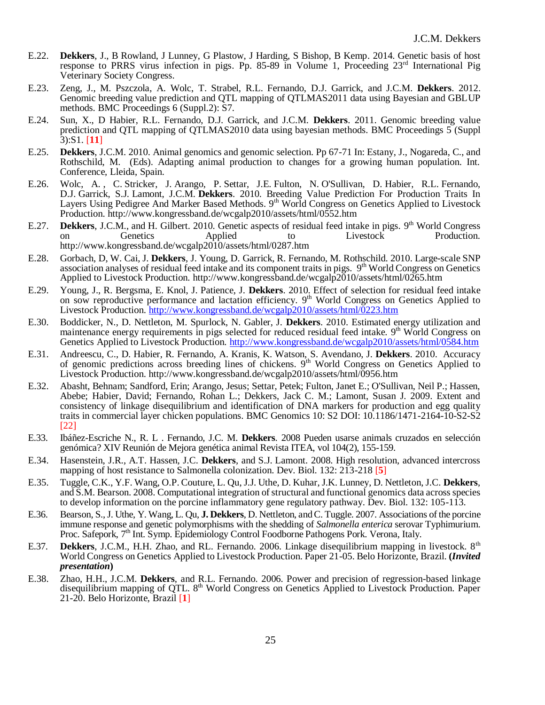- E.22. **Dekkers**, J., B Rowland, J Lunney, G Plastow, J Harding, S Bishop, B Kemp. 2014. Genetic basis of host response to PRRS virus infection in pigs. Pp. 85-89 in Volume 1, Proceeding 23<sup>rd</sup> International Pig Veterinary Society Congress.
- E.23. Zeng, J., M. Pszczola, A. Wolc, T. Strabel, R.L. Fernando, D.J. Garrick, and J.C.M. **Dekkers**. 2012. Genomic breeding value prediction and QTL mapping of QTLMAS2011 data using Bayesian and GBLUP methods. BMC Proceedings 6 (Suppl.2): S7.
- E.24. Sun, X., D Habier, R.L. Fernando, D.J. Garrick, and J.C.M. **Dekkers**. 2011. Genomic breeding value prediction and QTL mapping of QTLMAS2010 data using bayesian methods. BMC Proceedings 5 (Suppl 3):S1. [**11**]
- E.25. **Dekkers**, J.C.M. 2010. Animal genomics and genomic selection. Pp 67-71 In: Estany, J., Nogareda, C., and Rothschild, M. (Eds). Adapting animal production to changes for a growing human population. Int. Conference, Lleida, Spain.
- E.26. Wolc, A. , C. Stricker, J. Arango, P. Settar, J.E. Fulton, N. O'Sullivan, D. Habier, R.L. Fernando, D.J. Garrick, S.J. Lamont, J.C.M. **Dekkers**. 2010. Breeding Value Prediction For Production Traits In Layers Using Pedigree And Marker Based Methods. 9<sup>th</sup> World Congress on Genetics Applied to Livestock Production. http://www.kongressband.de/wcgalp2010/assets/html/0552.htm
- E.27. Dekkers, J.C.M., and H. Gilbert. 2010. Genetic aspects of residual feed intake in pigs. 9<sup>th</sup> World Congress on Genetics Applied to Livestock Production. http://www.kongressband.de/wcgalp2010/assets/html/0287.htm
- E.28. Gorbach, D, W. Cai, J. **Dekkers**, J. Young, D. Garrick, R. Fernando, M. Rothschild. 2010. Large-scale SNP association analyses of residual feed intake and its component traits in pigs. 9<sup>th</sup> World Congress on Genetics Applied to Livestock Production. http://www.kongressband.de/wcgalp2010/assets/html/0265.htm
- E.29. Young, J., R. Bergsma, E. Knol, J. Patience, J. **Dekkers**. 2010. Effect of selection for residual feed intake on sow reproductive performance and lactation efficiency. 9<sup>th</sup> World Congress on Genetics Applied to Livestock Production.<http://www.kongressband.de/wcgalp2010/assets/html/0223.htm>
- E.30. Boddicker, N., D. Nettleton, M. Spurlock, N. Gabler, J. **Dekkers**. 2010. Estimated energy utilization and maintenance energy requirements in pigs selected for reduced residual feed intake. 9<sup>th</sup> World Congress on Genetics Applied to Livestock Production.<http://www.kongressband.de/wcgalp2010/assets/html/0584.htm>
- E.31. Andreescu, C., D. Habier, R. Fernando, A. Kranis, K. Watson, S. Avendano, J. **Dekkers**. 2010. Accuracy of genomic predictions across breeding lines of chickens. 9<sup>th</sup> World Congress on Genetics Applied to Livestock Production. http://www.kongressband.de/wcgalp2010/assets/html/0956.htm
- E.32. Abasht, Behnam; Sandford, Erin; Arango, Jesus; Settar, Petek; Fulton, Janet E.; O'Sullivan, Neil P.; Hassen, Abebe; Habier, David; Fernando, Rohan L.; Dekkers, Jack C. M.; Lamont, Susan J. 2009. Extent and consistency of linkage disequilibrium and identification of DNA markers for production and egg quality traits in commercial layer chicken populations. BMC Genomics 10: S2 DOI: 10.1186/1471-2164-10-S2-S2 [22]
- E.33. Ibáñez-Escriche N., R. L . Fernando, J.C. M. **Dekkers**. 2008 Pueden usarse animals cruzados en selección genómica? XIV Reunión de Mejora genética animal Revista ITEA, vol 104(2), 155-159.
- E.34. Hasenstein, J.R., A.T. Hassen, J.C. **Dekkers**, and S.J. Lamont. 2008. High resolution, advanced intercross mapping of host resistance to Salmonella colonization. Dev. Biol. 132: 213-218 [**5**]
- E.35. Tuggle, C.K., Y.F. Wang, O.P. Couture, L. Qu, J.J. Uthe, D. Kuhar, J.K. Lunney, D. Nettleton, J.C. **Dekkers**, and S.M. Bearson. 2008. [Computational integration of structural and functional genomics data across species](http://www.biomedcentral.com/pubmed/18817292)  [to develop information on the porcine inflammatory gene regulatory pathway. Dev. Biol. 132: 105-113.](http://www.biomedcentral.com/pubmed/18817292)
- E.36. Bearson, S., J. Uthe, Y. Wang, L. Qu, **J. Dekkers**, D. Nettleton, and C. Tuggle. 2007. Associations of the porcine immune response and genetic polymorphisms with the shedding of *Salmonella enterica* serovar Typhimurium. Proc. Safepork, 7<sup>th</sup> Int. Symp. Epidemiology Control Foodborne Pathogens Pork. Verona, Italy.
- E.37. **Dekkers**, J.C.M., H.H. Zhao, and RL. Fernando. 2006. Linkage disequilibrium mapping in livestock. 8th World Congress on Genetics Applied to Livestock Production. Paper 21-05. Belo Horizonte, Brazil. **(***Invited presentation***)**
- E.38. Zhao, H.H., J.C.M. **Dekkers**, and R.L. Fernando. 2006. Power and precision of regression-based linkage disequilibrium mapping of QTL. 8<sup>th</sup> World Congress on Genetics Applied to Livestock Production. Paper 21-20. Belo Horizonte, Brazil [**1**]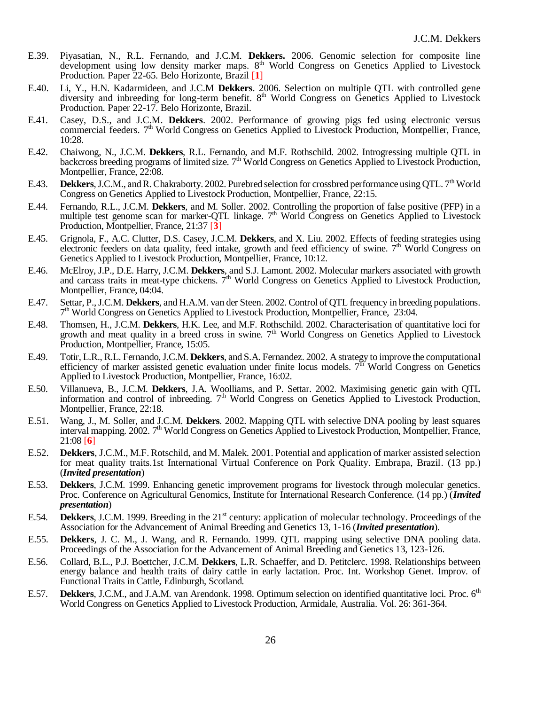- E.39. Piyasatian, N., R.L. Fernando, and J.C.M. **Dekkers.** 2006. Genomic selection for composite line development using low density marker maps. 8<sup>th</sup> World Congress on Genetics Applied to Livestock Production. Paper 22-65. Belo Horizonte, Brazil [**1**]
- E.40. Li, Y., H.N. Kadarmideen, and J.C.M **Dekkers**. 2006. Selection on multiple QTL with controlled gene diversity and inbreeding for long-term benefit. 8<sup>th</sup> World Congress on Genetics Applied to Livestock Production. Paper 22-17. Belo Horizonte, Brazil.
- E.41. Casey, D.S., and J.C.M. **Dekkers**. 2002. Performance of growing pigs fed using electronic versus commercial feeders. 7<sup>th</sup> World Congress on Genetics Applied to Livestock Production, Montpellier, France, 10:28.
- E.42. Chaiwong, N., J.C.M. **Dekkers**, R.L. Fernando, and M.F. Rothschild. 2002. Introgressing multiple QTL in backcross breeding programs of limited size. 7<sup>th</sup> World Congress on Genetics Applied to Livestock Production, Montpellier, France, 22:08.
- E.43. **Dekkers**, J.C.M., and R. Chakraborty. 2002. Purebred selection for crossbred performance using QTL. 7<sup>th</sup> World Congress on Genetics Applied to Livestock Production, Montpellier, France, 22:15.
- E.44. Fernando, R.L., J.C.M. **Dekkers**, and M. Soller. 2002. Controlling the proportion of false positive (PFP) in a multiple test genome scan for marker-QTL linkage. 7<sup>th</sup> World Congress on Genetics Applied to Livestock multiple test genome scan for marker-QTL linkage. 7<sup>th</sup> World Congress on Genetics Applied to Livestock Production, Montpellier, France, 21:37 [**3**]
- E.45. Grignola, F., A.C. Clutter, D.S. Casey, J.C.M. **Dekkers**, and X. Liu. 2002. Effects of feeding strategies using electronic feeders on data quality, feed intake, growth and feed efficiency of swine.  $7<sup>th</sup>$  World Congress on Genetics Applied to Livestock Production, Montpellier, France, 10:12.
- E.46. McElroy, J.P., D.E. Harry, J.C.M. **Dekkers**, and S.J. Lamont. 2002. Molecular markers associated with growth and carcass traits in meat-type chickens. 7<sup>th</sup> World Congress on Genetics Applied to Livestock Production, Montpellier, France, 04:04.
- E.47. Settar, P., J.C.M. **Dekkers**, and H.A.M. van der Steen. 2002. Control of QTL frequency in breeding populations. 7<sup>th</sup> World Congress on Genetics Applied to Livestock Production, Montpellier, France, 23:04.
- E.48. Thomsen, H., J.C.M. **Dekkers**, H.K. Lee, and M.F. Rothschild. 2002. Characterisation of quantitative loci for growth and meat quality in a breed cross in swine. 7<sup>th</sup> World Congress on Genetics Applied to Livestock Production, Montpellier, France, 15:05.
- E.49. Totir, L.R., R.L. Fernando, J.C.M. **Dekkers**, and S.A. Fernandez. 2002. A strategy to improve the computational efficiency of marker assisted genetic evaluation under finite locus models.  $7<sup>th</sup>$  World Congress on Genetics Applied to Livestock Production, Montpellier, France, 16:02.
- E.50. Villanueva, B., J.C.M. **Dekkers**, J.A. Woolliams, and P. Settar. 2002. Maximising genetic gain with QTL information and control of inbreeding. 7<sup>th</sup> World Congress on Genetics Applied to Livestock Production, Montpellier, France, 22:18.
- E.51. Wang, J., M. Soller, and J.C.M. **Dekkers**. 2002. Mapping QTL with selective DNA pooling by least squares interval mapping. 2002. 7<sup>th</sup> World Congress on Genetics Applied to Livestock Production, Montpellier, France, 21:08 [**6**]
- E.52. **Dekkers**, J.C.M., M.F. Rotschild, and M. Malek. 2001. Potential and application of marker assisted selection for meat quality traits.1st International Virtual Conference on Pork Quality. Embrapa, Brazil. (13 pp.) (*Invited presentation*)
- E.53. **Dekkers**, J.C.M. 1999. Enhancing genetic improvement programs for livestock through molecular genetics. Proc. Conference on Agricultural Genomics, Institute for International Research Conference. (14 pp.) (*Invited presentation*)
- E.54. **Dekkers**, J.C.M. 1999. Breeding in the 21<sup>st</sup> century: application of molecular technology. Proceedings of the Association for the Advancement of Animal Breeding and Genetics 13, 1-16 (*Invited presentation*).
- E.55. **Dekkers**, J. C. M., J. Wang, and R. Fernando. 1999. QTL mapping using selective DNA pooling data. Proceedings of the Association for the Advancement of Animal Breeding and Genetics 13, 123-126.
- E.56. Collard, B.L., P.J. Boettcher, J.C.M. **Dekkers**, L.R. Schaeffer, and D. Petitclerc. 1998. Relationships between energy balance and health traits of dairy cattle in early lactation. Proc. Int. Workshop Genet. Improv. of Functional Traits in Cattle, Edinburgh, Scotland.
- E.57. **Dekkers**, J.C.M., and J.A.M. van Arendonk. 1998. Optimum selection on identified quantitative loci. Proc. 6<sup>th</sup> World Congress on Genetics Applied to Livestock Production, Armidale, Australia. Vol. 26: 361-364.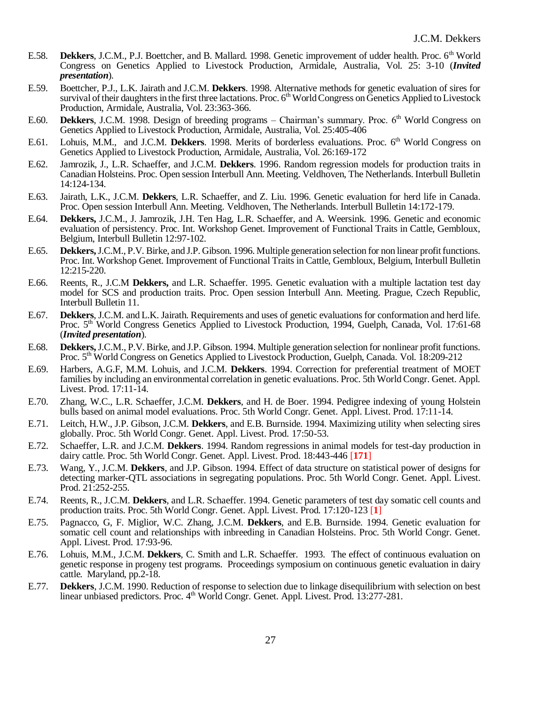- E.58. **Dekkers**, J.C.M., P.J. Boettcher, and B. Mallard. 1998. Genetic improvement of udder health. Proc. 6<sup>th</sup> World Congress on Genetics Applied to Livestock Production, Armidale, Australia, Vol. 25: 3-10 (*Invited presentation*).
- E.59. Boettcher, P.J., L.K. Jairath and J.C.M. **Dekkers**. 1998. Alternative methods for genetic evaluation of sires for survival of their daughters in the first three lactations. Proc.  $6<sup>th</sup>$  World Congress on Genetics Applied to Livestock Production, Armidale, Australia, Vol. 23:363-366.
- E.60. **Dekkers**, J.C.M. 1998. Design of breeding programs Chairman's summary. Proc. 6<sup>th</sup> World Congress on Genetics Applied to Livestock Production, Armidale, Australia, Vol. 25:405-406
- E.61. Lohuis, M.M., and J.C.M. Dekkers. 1998. Merits of borderless evaluations. Proc. 6<sup>th</sup> World Congress on Genetics Applied to Livestock Production, Armidale, Australia, Vol. 26:169-172
- E.62. Jamrozik, J., L.R. Schaeffer, and J.C.M. **Dekkers**. 1996. Random regression models for production traits in Canadian Holsteins. Proc. Open session Interbull Ann. Meeting. Veldhoven, The Netherlands. Interbull Bulletin 14:124-134.
- E.63. Jairath, L.K., J.C.M. **Dekkers**, L.R. Schaeffer, and Z. Liu. 1996. Genetic evaluation for herd life in Canada. Proc. Open session Interbull Ann. Meeting. Veldhoven, The Netherlands. Interbull Bulletin 14:172-179.
- E.64. **Dekkers,** J.C.M., J. Jamrozik, J.H. Ten Hag, L.R. Schaeffer, and A. Weersink. 1996. Genetic and economic evaluation of persistency. Proc. Int. Workshop Genet. Improvement of Functional Traits in Cattle, Gembloux, Belgium, Interbull Bulletin 12:97-102.
- E.65. **Dekkers,** J.C.M., P.V. Birke, and J.P. Gibson. 1996. Multiple generation selection for non linear profit functions. Proc. Int. Workshop Genet. Improvement of Functional Traits in Cattle, Gembloux, Belgium, Interbull Bulletin 12:215-220.
- E.66. Reents, R., J.C.M **Dekkers,** and L.R. Schaeffer. 1995. Genetic evaluation with a multiple lactation test day model for SCS and production traits. Proc. Open session Interbull Ann. Meeting. Prague, Czech Republic, Interbull Bulletin 11.
- E.67. **Dekkers**, J.C.M. and L.K. Jairath. Requirements and uses of genetic evaluations for conformation and herd life. Proc. 5<sup>th</sup> World Congress Genetics Applied to Livestock Production, 1994, Guelph, Canada, Vol. 17:61-68 (*Invited presentation*).
- E.68. **Dekkers,** J.C.M., P.V. Birke, and J.P. Gibson. 1994. Multiple generation selection for nonlinear profit functions. Proc. 5th World Congress on Genetics Applied to Livestock Production, Guelph, Canada. Vol. 18:209-212
- E.69. Harbers, A.G.F, M.M. Lohuis, and J.C.M. **Dekkers**. 1994. Correction for preferential treatment of MOET families by including an environmental correlation in genetic evaluations. Proc. 5th World Congr. Genet. Appl. Livest. Prod. 17:11-14.
- E.70. Zhang, W.C., L.R. Schaeffer, J.C.M. **Dekkers**, and H. de Boer. 1994. Pedigree indexing of young Holstein bulls based on animal model evaluations. Proc. 5th World Congr. Genet. Appl. Livest. Prod. 17:11-14.
- E.71. Leitch, H.W., J.P. Gibson, J.C.M. **Dekkers**, and E.B. Burnside. 1994. Maximizing utility when selecting sires globally. Proc. 5th World Congr. Genet. Appl. Livest. Prod. 17:50-53.
- E.72. Schaeffer, L.R. and J.C.M. **Dekkers**. 1994. Random regressions in animal models for test-day production in dairy cattle. Proc. 5th World Congr. Genet. Appl. Livest. Prod. 18:443-446 [**171**]
- E.73. Wang, Y., J.C.M. **Dekkers**, and J.P. Gibson. 1994. Effect of data structure on statistical power of designs for detecting marker-QTL associations in segregating populations. Proc. 5th World Congr. Genet. Appl. Livest. Prod. 21:252-255.
- E.74. Reents, R., J.C.M. **Dekkers**, and L.R. Schaeffer. 1994. Genetic parameters of test day somatic cell counts and production traits. Proc. 5th World Congr. Genet. Appl. Livest. Prod. 17:120-123 [**1**]
- E.75. Pagnacco, G, F. Miglior, W.C. Zhang, J.C.M. **Dekkers**, and E.B. Burnside. 1994. Genetic evaluation for somatic cell count and relationships with inbreeding in Canadian Holsteins. Proc. 5th World Congr. Genet. Appl. Livest. Prod. 17:93-96.
- E.76. Lohuis, M.M., J.C.M. **Dekkers**, C. Smith and L.R. Schaeffer. 1993. The effect of continuous evaluation on genetic response in progeny test programs. Proceedings symposium on continuous genetic evaluation in dairy cattle. Maryland, pp.2-18.
- E.77. **Dekkers**, J.C.M. 1990. Reduction of response to selection due to linkage disequilibrium with selection on best linear unbiased predictors. Proc. 4<sup>th</sup> World Congr. Genet. Appl. Livest. Prod. 13:277-281.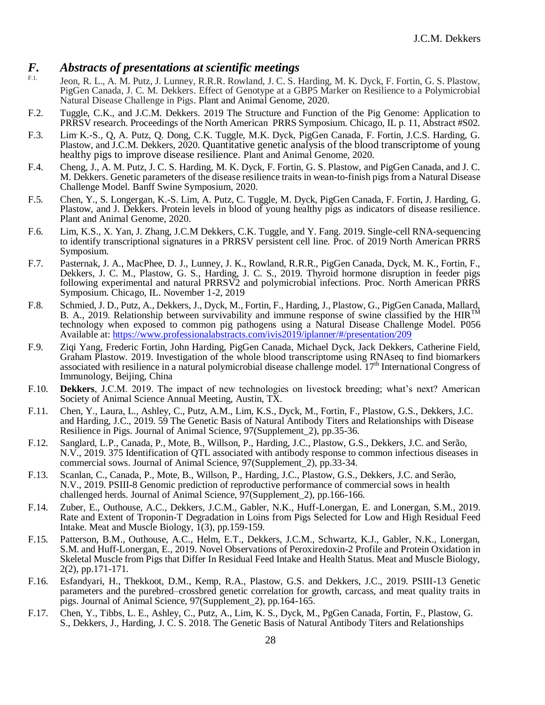# *F. Abstracts of presentations at scientific meetings*

- Jeon, R. L., A. M. Putz, J. Lunney, R.R.R. Rowland, J. C. S. Harding, M. K. Dyck, F. Fortin, G. S. Plastow, PigGen Canada, J. C. M. Dekkers. Effect of Genotype at a GBP5 Marker on Resilience to a Polymicrobial Natural Disease Challenge in Pigs. Plant and Animal Genome, 2020.
- F.2. Tuggle, C.K., and J.C.M. Dekkers. 2019 The Structure and Function of the Pig Genome: Application to PRRSV research. Proceedings of the North American PRRS Symposium. Chicago, IL p. 11, Abstract #S02.
- F.3. Lim, K.-S., Q, A. Putz, Q. Dong, C.K. Tuggle, M.K. Dyck, PigGen Canada, F. Fortin, J.C.S. Harding, G. Plastow, and J.C.M. Dekkers, 2020. Quantitative genetic analysis of the blood transcriptome of young healthy pigs to improve disease resilience. Plant and Animal Genome, 2020.
- F.4. Cheng, J., A. M. Putz, J. C. S. Harding, M. K. Dyck, F. Fortin, G. S. Plastow, and PigGen Canada, and J. C. M. Dekkers. Genetic parameters of the disease resilience traits in wean-to-finish pigs from a Natural Disease Challenge Model. Banff Swine Symposium, 2020.
- F.5. Chen, Y., S. Longergan, K.-S. Lim, A. Putz, C. Tuggle, M. Dyck, PigGen Canada, F. Fortin, J. Harding, G. Plastow, and J. Dekkers. Protein levels in blood of young healthy pigs as indicators of disease resilience. Plant and Animal Genome, 2020.
- F.6. Lim, K.S., X. Yan, J. Zhang, J.C.M Dekkers, C.K. Tuggle, and Y. Fang. 2019. Single-cell RNA-sequencing to identify transcriptional signatures in a PRRSV persistent cell line. Proc. of 2019 North American PRRS Symposium.
- F.7. Pasternak, J. A., MacPhee, D. J., Lunney, J. K., Rowland, R.R.R., PigGen Canada, Dyck, M. K., Fortin, F., Dekkers, J. C. M., Plastow, G. S., Harding, J. C. S., 2019. Thyroid hormone disruption in feeder pigs following experimental and natural PRRSV2 and polymicrobial infections. Proc. North American PRRS Symposium. Chicago, IL. November 1-2, 2019
- F.8. Schmied, J. D., Putz, A., Dekkers, J., Dyck, M., Fortin, F., Harding, J., Plastow, G., PigGen Canada, Mallard, B. A., 2019. Relationship between survivability and immune response of swine classified by the HIR<sup>TM</sup> technology when exposed to common pig pathogens using a Natural Disease Challenge Model. P056 Available at: <https://www.professionalabstracts.com/ivis2019/iplanner/#/presentation/209>
- F.9. Ziqi Yang, Frederic Fortin, John Harding, PigGen Canada, Michael Dyck, Jack Dekkers, Catherine Field, Graham Plastow. 2019. Investigation of the whole blood transcriptome using RNAseq to find biomarkers associated with resilience in a natural polymicrobial disease challenge model. 17<sup>th</sup> International Congress of Immunology, Beijing, China
- F.10. **Dekkers**, J.C.M. 2019. The impact of new technologies on livestock breeding; what's next? American Society of Animal Science Annual Meeting, Austin, TX.
- F.11. Chen, Y., Laura, L., Ashley, C., Putz, A.M., Lim, K.S., Dyck, M., Fortin, F., Plastow, G.S., Dekkers, J.C. and Harding, J.C., 2019. 59 The Genetic Basis of Natural Antibody Titers and Relationships with Disease Resilience in Pigs. Journal of Animal Science, 97(Supplement\_2), pp.35-36.
- F.12. Sanglard, L.P., Canada, P., Mote, B., Willson, P., Harding, J.C., Plastow, G.S., Dekkers, J.C. and Serão, N.V., 2019. 375 Identification of QTL associated with antibody response to common infectious diseases in commercial sows. Journal of Animal Science, 97(Supplement\_2), pp.33-34.
- F.13. Scanlan, C., Canada, P., Mote, B., Willson, P., Harding, J.C., Plastow, G.S., Dekkers, J.C. and Serão, N.V., 2019. PSIII-8 Genomic prediction of reproductive performance of commercial sows in health challenged herds. Journal of Animal Science, 97(Supplement\_2), pp.166-166.
- F.14. Zuber, E., Outhouse, A.C., Dekkers, J.C.M., Gabler, N.K., Huff-Lonergan, E. and Lonergan, S.M., 2019. Rate and Extent of Troponin-T Degradation in Loins from Pigs Selected for Low and High Residual Feed Intake. Meat and Muscle Biology, 1(3), pp.159-159.
- F.15. Patterson, B.M., Outhouse, A.C., Helm, E.T., Dekkers, J.C.M., Schwartz, K.J., Gabler, N.K., Lonergan, S.M. and Huff-Lonergan, E., 2019. Novel Observations of Peroxiredoxin-2 Profile and Protein Oxidation in Skeletal Muscle from Pigs that Differ In Residual Feed Intake and Health Status. Meat and Muscle Biology, 2(2), pp.171-171.
- F.16. Esfandyari, H., Thekkoot, D.M., Kemp, R.A., Plastow, G.S. and Dekkers, J.C., 2019. PSIII-13 Genetic parameters and the purebred–crossbred genetic correlation for growth, carcass, and meat quality traits in pigs. Journal of Animal Science, 97(Supplement\_2), pp.164-165.
- F.17. Chen, Y., Tibbs, L. E., Ashley, C., Putz, A., Lim, K. S., Dyck, M., PgGen Canada, Fortin, F., Plastow, G. S., Dekkers, J., Harding, J. C. S. 2018. The Genetic Basis of Natural Antibody Titers and Relationships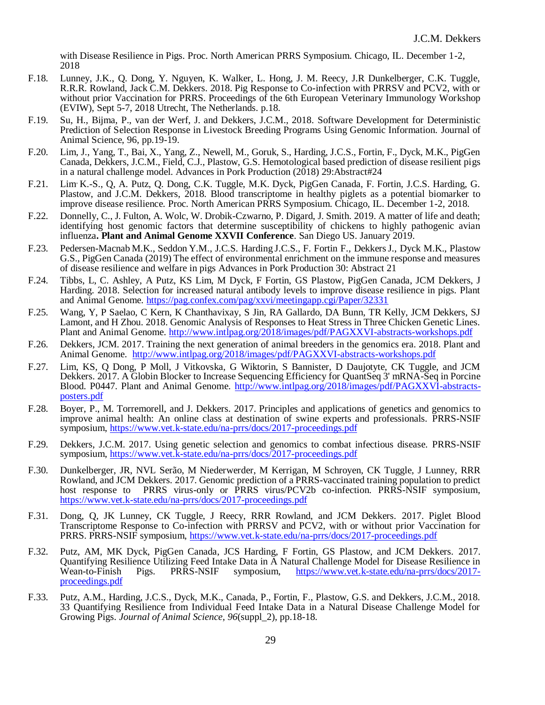with Disease Resilience in Pigs. Proc. North American PRRS Symposium. Chicago, IL. December 1-2, 2018

- F.18. Lunney, J.K., Q. Dong, Y. Nguyen, K. Walker, L. Hong, J. M. Reecy, J.R Dunkelberger, C.K. Tuggle, R.R.R. Rowland, Jack C.M. Dekkers. 2018. Pig Response to Co-infection with PRRSV and PCV2, with or without prior Vaccination for PRRS. Proceedings of the 6th European Veterinary Immunology Workshop (EVIW), Sept 5-7, 2018 Utrecht, The Netherlands. p.18.
- F.19. Su, H., Bijma, P., van der Werf, J. and Dekkers, J.C.M., 2018. Software Development for Deterministic Prediction of Selection Response in Livestock Breeding Programs Using Genomic Information. Journal of Animal Science, 96, pp.19-19.
- F.20. Lim, J., Yang, T., Bai, X., Yang, Z., Newell, M., Goruk, S., Harding, J.C.S., Fortin, F., Dyck, M.K., PigGen Canada, Dekkers, J.C.M., Field, C.J., Plastow, G.S. Hemotological based prediction of disease resilient pigs in a natural challenge model. Advances in Pork Production (2018) 29:Abstract#24
- F.21. Lim, K.-S., Q, A. Putz, Q. Dong, C.K. Tuggle, M.K. Dyck, PigGen Canada, F. Fortin, J.C.S. Harding, G. Plastow, and J.C.M. Dekkers, 2018. Blood transcriptome in healthy piglets as a potential biomarker to improve disease resilience. Proc. North American PRRS Symposium. Chicago, IL. December 1-2, 2018.
- F.22. Donnelly, C., J. Fulton, A. Wolc, W. Drobik-Czwarno, P. Digard, J. Smith. 2019. A matter of life and death; identifying host genomic factors that determine susceptibility of chickens to highly pathogenic avian influenza**. Plant and Animal Genome XXVII Conference**. San Diego US. January 2019.
- F.23. Pedersen-Macnab M.K., Seddon Y.M., J.C.S. Harding J.C.S., F. Fortin F., DekkersJ., Dyck M.K., Plastow G.S., PigGen Canada (2019) The effect of environmental enrichment on the immune response and measures of disease resilience and welfare in pigs Advances in Pork Production 30: Abstract 21
- F.24. Tibbs, L, C. Ashley, A Putz, KS Lim, M Dyck, F Fortin, GS Plastow, PigGen Canada, JCM Dekkers, J Harding. 2018. Selection for increased natural antibody levels to improve disease resilience in pigs. Plant and Animal Genome.<https://pag.confex.com/pag/xxvi/meetingapp.cgi/Paper/32331>
- F.25. Wang, Y, P Saelao, C Kern, K Chanthavixay, S Jin, RA Gallardo, DA Bunn, TR Kelly, JCM Dekkers, SJ Lamont, and H Zhou. 2018. Genomic Analysis of Responses to Heat Stress in Three Chicken Genetic Lines. Plant and Animal Genome.<http://www.intlpag.org/2018/images/pdf/PAGXXVI-abstracts-workshops.pdf>
- F.26. Dekkers, JCM. 2017. Training the next generation of animal breeders in the genomics era. 2018. Plant and Animal Genome. <http://www.intlpag.org/2018/images/pdf/PAGXXVI-abstracts-workshops.pdf>
- F.27. Lim, KS, Q Dong, P Moll, J Vitkovska, G Wiktorin, S Bannister, D Daujotyte, CK Tuggle, and JCM Dekkers. 2017. A Globin Blocker to Increase Sequencing Efficiency for QuantSeq 3' mRNA-Seq in Porcine Blood. P0447. Plant and Animal Genome. [http://www.intlpag.org/2018/images/pdf/PAGXXVI-abstracts](http://www.intlpag.org/2018/images/pdf/PAGXXVI-abstracts-posters.pdf)[posters.pdf](http://www.intlpag.org/2018/images/pdf/PAGXXVI-abstracts-posters.pdf)
- F.28. Boyer, P., M. Torremorell, and J. Dekkers. 2017. Principles and applications of genetics and genomics to improve animal health: An online class at destination of swine experts and professionals. PRRS-NSIF symposium,<https://www.vet.k-state.edu/na-prrs/docs/2017-proceedings.pdf>
- F.29. Dekkers, J.C.M. 2017. Using genetic selection and genomics to combat infectious disease. PRRS-NSIF symposium,<https://www.vet.k-state.edu/na-prrs/docs/2017-proceedings.pdf>
- F.30. Dunkelberger, JR, NVL Serão, M Niederwerder, M Kerrigan, M Schroyen, CK Tuggle, J Lunney, RRR Rowland, and JCM Dekkers. 2017. Genomic prediction of a PRRS-vaccinated training population to predict host response to PRRS virus-only or PRRS virus/PCV2b co-infection. PRRS-NSIF symposium, <https://www.vet.k-state.edu/na-prrs/docs/2017-proceedings.pdf>
- F.31. Dong, Q, JK Lunney, CK Tuggle, J Reecy, RRR Rowland, and JCM Dekkers. 2017. Piglet Blood Transcriptome Response to Co-infection with PRRSV and PCV2, with or without prior Vaccination for PRRS. PRRS-NSIF symposium,<https://www.vet.k-state.edu/na-prrs/docs/2017-proceedings.pdf>
- F.32. Putz, AM, MK Dyck, PigGen Canada, JCS Harding, F Fortin, GS Plastow, and JCM Dekkers. 2017. Quantifying Resilience Utilizing Feed Intake Data in A Natural Challenge Model for Disease Resilience in Wean-to-Finish Pigs. PRRS-NSIF symposium, https://www.vet.k-state.edu/na-prrs/docs/2017Pigs. PRRS-NSIF symposium, [https://www.vet.k-state.edu/na-prrs/docs/2017](https://www.vet.k-state.edu/na-prrs/docs/2017-proceedings.pdf) [proceedings.pdf](https://www.vet.k-state.edu/na-prrs/docs/2017-proceedings.pdf)
- F.33. Putz, A.M., Harding, J.C.S., Dyck, M.K., Canada, P., Fortin, F., Plastow, G.S. and Dekkers, J.C.M., 2018. 33 Quantifying Resilience from Individual Feed Intake Data in a Natural Disease Challenge Model for Growing Pigs. *Journal of Animal Science*, *96*(suppl\_2), pp.18-18.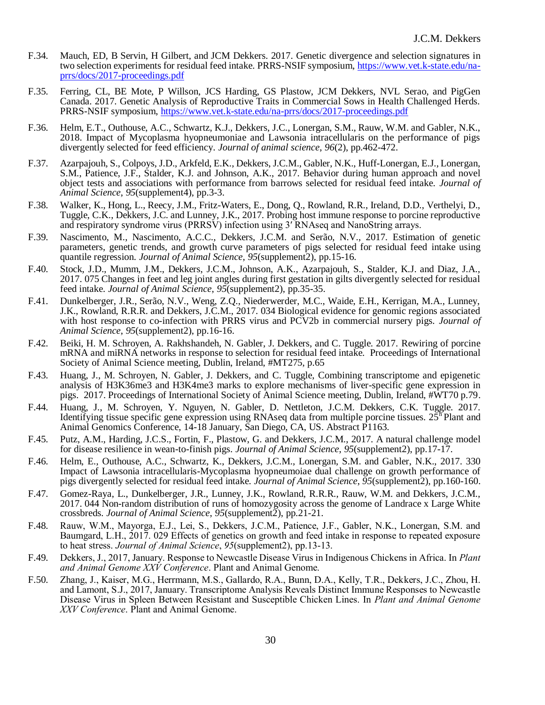- F.34. Mauch, ED, B Servin, H Gilbert, and JCM Dekkers. 2017. Genetic divergence and selection signatures in two selection experiments for residual feed intake. PRRS-NSIF symposium, [https://www.vet.k-state.edu/na](https://www.vet.k-state.edu/na-prrs/docs/2017-proceedings.pdf)[prrs/docs/2017-proceedings.pdf](https://www.vet.k-state.edu/na-prrs/docs/2017-proceedings.pdf)
- F.35. Ferring, CL, BE Mote, P Willson, JCS Harding, GS Plastow, JCM Dekkers, NVL Serao, and PigGen Canada. 2017. Genetic Analysis of Reproductive Traits in Commercial Sows in Health Challenged Herds. PRRS-NSIF symposium,<https://www.vet.k-state.edu/na-prrs/docs/2017-proceedings.pdf>
- F.36. Helm, E.T., Outhouse, A.C., Schwartz, K.J., Dekkers, J.C., Lonergan, S.M., Rauw, W.M. and Gabler, N.K., 2018. Impact of Mycoplasma hyopneumoniae and Lawsonia intracellularis on the performance of pigs divergently selected for feed efficiency. *Journal of animal science*, *96*(2), pp.462-472.
- F.37. Azarpajouh, S., Colpoys, J.D., Arkfeld, E.K., Dekkers, J.C.M., Gabler, N.K., Huff-Lonergan, E.J., Lonergan, S.M., Patience, J.F., Stalder, K.J. and Johnson, A.K., 2017. Behavior during human approach and novel object tests and associations with performance from barrows selected for residual feed intake. *Journal of Animal Science*, *95*(supplement4), pp.3-3.
- F.38. Walker, K., Hong, L., Reecy, J.M., Fritz-Waters, E., Dong, Q., Rowland, R.R., Ireland, D.D., Verthelyi, D., Tuggle, C.K., Dekkers, J.C. and Lunney, J.K., 2017. Probing host immune response to porcine reproductive and respiratory syndrome virus (PRRSV) infection using 3' RNAseq and NanoString arrays.
- F.39. Nascimento, M., Nascimento, A.C.C., Dekkers, J.C.M. and Serão, N.V., 2017. Estimation of genetic parameters, genetic trends, and growth curve parameters of pigs selected for residual feed intake using quantile regression. *Journal of Animal Science*, *95*(supplement2), pp.15-16.
- F.40. Stock, J.D., Mumm, J.M., Dekkers, J.C.M., Johnson, A.K., Azarpajouh, S., Stalder, K.J. and Diaz, J.A., 2017. 075 Changes in feet and leg joint angles during first gestation in gilts divergently selected for residual feed intake. *Journal of Animal Science*, *95*(supplement2), pp.35-35.
- F.41. Dunkelberger, J.R., Serão, N.V., Weng, Z.Q., Niederwerder, M.C., Waide, E.H., Kerrigan, M.A., Lunney, J.K., Rowland, R.R.R. and Dekkers, J.C.M., 2017. 034 Biological evidence for genomic regions associated with host response to co-infection with PRRS virus and PCV2b in commercial nursery pigs. *Journal of Animal Science*, *95*(supplement2), pp.16-16.
- F.42. Beiki, H. M. Schroyen, A. Rakhshandeh, N. Gabler, J. Dekkers, and C. Tuggle. 2017. Rewiring of porcine mRNA and miRNA networks in response to selection for residual feed intake. Proceedings of International Society of Animal Science meeting, Dublin, Ireland, #MT275, p.65
- F.43. Huang, J., M. Schroyen, N. Gabler, J. Dekkers, and C. Tuggle, Combining transcriptome and epigenetic analysis of H3K36me3 and H3K4me3 marks to explore mechanisms of liver-specific gene expression in pigs. 2017. Proceedings of International Society of Animal Science meeting, Dublin, Ireland, #WT70 p.79.
- F.44. Huang, J., M. Schroyen, Y. Nguyen, N. Gabler, D. Nettleton, J.C.M. Dekkers, C.K. Tuggle. 2017. Identifying tissue specific gene expression using RNAseq data from multiple porcine tissues.  $25<sup>F</sup>$ Plant and Animal Genomics Conference, 14-18 January, San Diego, CA, US. Abstract P1163.
- F.45. Putz, A.M., Harding, J.C.S., Fortin, F., Plastow, G. and Dekkers, J.C.M., 2017. A natural challenge model for disease resilience in wean-to-finish pigs. *Journal of Animal Science*, *95*(supplement2), pp.17-17.
- F.46. Helm, E., Outhouse, A.C., Schwartz, K., Dekkers, J.C.M., Lonergan, S.M. and Gabler, N.K., 2017. 330 Impact of Lawsonia intracellularis-Mycoplasma hyopneumoiae dual challenge on growth performance of pigs divergently selected for residual feed intake. *Journal of Animal Science*, *95*(supplement2), pp.160-160.
- F.47. Gomez-Raya, L., Dunkelberger, J.R., Lunney, J.K., Rowland, R.R.R., Rauw, W.M. and Dekkers, J.C.M., 2017. 044 Non-random distribution of runs of homozygosity across the genome of Landrace x Large White crossbreds. *Journal of Animal Science*, *95*(supplement2), pp.21-21.
- F.48. Rauw, W.M., Mayorga, E.J., Lei, S., Dekkers, J.C.M., Patience, J.F., Gabler, N.K., Lonergan, S.M. and Baumgard, L.H., 2017. 029 Effects of genetics on growth and feed intake in response to repeated exposure to heat stress. *Journal of Animal Science*, *95*(supplement2), pp.13-13.
- F.49. Dekkers, J., 2017, January. Response to Newcastle Disease Virus in Indigenous Chickens in Africa. In *Plant and Animal Genome XXV Conference*. Plant and Animal Genome.
- F.50. Zhang, J., Kaiser, M.G., Herrmann, M.S., Gallardo, R.A., Bunn, D.A., Kelly, T.R., Dekkers, J.C., Zhou, H. and Lamont, S.J., 2017, January. Transcriptome Analysis Reveals Distinct Immune Responses to Newcastle Disease Virus in Spleen Between Resistant and Susceptible Chicken Lines. In *Plant and Animal Genome XXV Conference*. Plant and Animal Genome.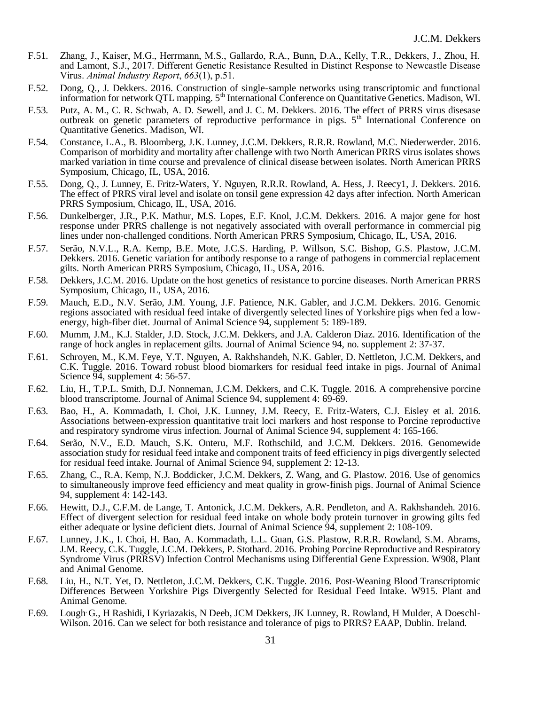- F.51. Zhang, J., Kaiser, M.G., Herrmann, M.S., Gallardo, R.A., Bunn, D.A., Kelly, T.R., Dekkers, J., Zhou, H. and Lamont, S.J., 2017. Different Genetic Resistance Resulted in Distinct Response to Newcastle Disease Virus. *Animal Industry Report*, *663*(1), p.51.
- F.52. Dong, Q., J. Dekkers. 2016. Construction of single-sample networks using transcriptomic and functional information for network QTL mapping. 5<sup>th</sup> International Conference on Quantitative Genetics. Madison, WI.
- F.53. Putz, A. M., C. R. Schwab, A. D. Sewell, and J. C. M. Dekkers. 2016. The effect of PRRS virus disesase outbreak on genetic parameters of reproductive performance in pigs. 5<sup>th</sup> International Conference on Quantitative Genetics. Madison, WI.
- F.54. Constance, L.A., B. Bloomberg, J.K. Lunney, J.C.M. Dekkers, R.R.R. Rowland, M.C. Niederwerder. 2016. Comparison of morbidity and mortality after challenge with two North American PRRS virus isolates shows marked variation in time course and prevalence of clinical disease between isolates. North American PRRS Symposium, Chicago, IL, USA, 2016.
- F.55. Dong, Q., J. Lunney, E. Fritz-Waters, Y. Nguyen, R.R.R. Rowland, A. Hess, J. Reecy1, J. Dekkers. 2016. The effect of PRRS viral level and isolate on tonsil gene expression 42 days after infection. North American PRRS Symposium, Chicago, IL, USA, 2016.
- F.56. Dunkelberger, J.R., P.K. Mathur, M.S. Lopes, E.F. Knol, J.C.M. Dekkers. 2016. A major gene for host response under PRRS challenge is not negatively associated with overall performance in commercial pig lines under non-challenged conditions. North American PRRS Symposium, Chicago, IL, USA, 2016.
- F.57. Serão, N.V.L., R.A. Kemp, B.E. Mote, J.C.S. Harding, P. Willson, S.C. Bishop, G.S. Plastow, J.C.M. Dekkers. 2016. Genetic variation for antibody response to a range of pathogens in commercial replacement gilts. North American PRRS Symposium, Chicago, IL, USA, 2016.
- F.58. Dekkers, J.C.M. 2016. Update on the host genetics of resistance to porcine diseases. North American PRRS Symposium, Chicago, IL, USA, 2016.
- F.59. Mauch, E.D., N.V. Serão, J.M. Young, J.F. Patience, N.K. Gabler, and J.C.M. Dekkers. 2016. Genomic regions associated with residual feed intake of divergently selected lines of Yorkshire pigs when fed a lowenergy, high-fiber diet. Journal of Animal Science 94, supplement 5: 189-189.
- F.60. Mumm, J.M., K.J. Stalder, J.D. Stock, J.C.M. Dekkers, and J.A. Calderon Diaz. 2016. Identification of the range of hock angles in replacement gilts. Journal of Animal Science 94, no. supplement 2: 37-37.
- F.61. Schroyen, M., K.M. Feye, Y.T. Nguyen, A. Rakhshandeh, N.K. Gabler, D. Nettleton, J.C.M. Dekkers, and C.K. Tuggle. 2016. Toward robust blood biomarkers for residual feed intake in pigs. Journal of Animal Science 94, supplement 4: 56-57.
- F.62. Liu, H., T.P.L. Smith, D.J. Nonneman, J.C.M. Dekkers, and C.K. Tuggle. 2016. A comprehensive porcine blood transcriptome. Journal of Animal Science 94, supplement 4: 69-69.
- F.63. Bao, H., A. Kommadath, I. Choi, J.K. Lunney, J.M. Reecy, E. Fritz-Waters, C.J. Eisley et al. 2016. Associations between-expression quantitative trait loci markers and host response to Porcine reproductive and respiratory syndrome virus infection. Journal of Animal Science 94, supplement 4: 165-166.
- F.64. Serão, N.V., E.D. Mauch, S.K. Onteru, M.F. Rothschild, and J.C.M. Dekkers. 2016. Genomewide association study for residual feed intake and component traits of feed efficiency in pigs divergently selected for residual feed intake. Journal of Animal Science 94, supplement 2: 12-13.
- F.65. Zhang, C., R.A. Kemp, N.J. Boddicker, J.C.M. Dekkers, Z. Wang, and G. Plastow. 2016. Use of genomics to simultaneously improve feed efficiency and meat quality in grow-finish pigs. Journal of Animal Science 94, supplement 4: 142-143.
- F.66. Hewitt, D.J., C.F.M. de Lange, T. Antonick, J.C.M. Dekkers, A.R. Pendleton, and A. Rakhshandeh. 2016. Effect of divergent selection for residual feed intake on whole body protein turnover in growing gilts fed either adequate or lysine deficient diets. Journal of Animal Science 94, supplement 2: 108-109.
- F.67. Lunney, J.K., I. Choi, H. Bao, A. Kommadath, L.L. Guan, G.S. Plastow, R.R.R. Rowland, S.M. Abrams, J.M. Reecy, C.K. Tuggle, J.C.M. Dekkers, P. Stothard. 2016. Probing Porcine Reproductive and Respiratory Syndrome Virus (PRRSV) Infection Control Mechanisms using Differential Gene Expression. W908, Plant and Animal Genome.
- F.68. Liu, H., N.T. Yet, D. Nettleton, J.C.M. Dekkers, C.K. Tuggle. 2016. Post-Weaning Blood Transcriptomic Differences Between Yorkshire Pigs Divergently Selected for Residual Feed Intake. W915. Plant and Animal Genome.
- F.69. Lough, G., H Rashidi, I Kyriazakis, N Deeb, JCM Dekkers, JK Lunney, R. Rowland, H Mulder, A Doeschl-Wilson. 2016. Can we select for both resistance and tolerance of pigs to PRRS? EAAP, Dublin. Ireland.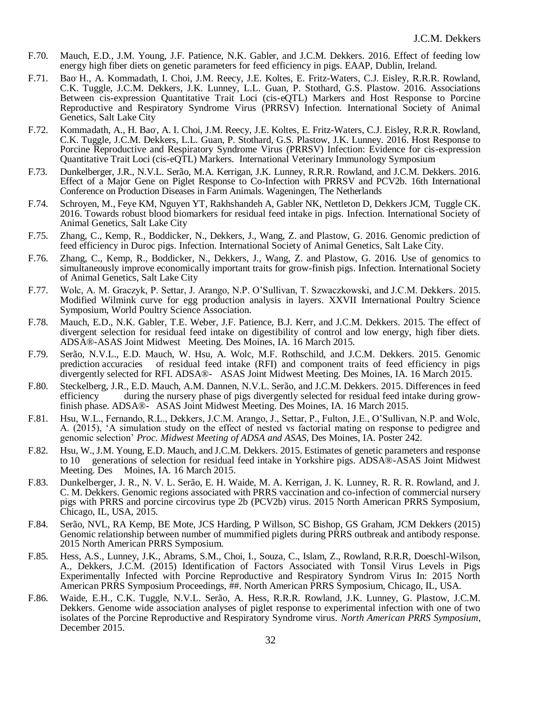- F.70. Mauch, E.D., J.M. Young, J.F. Patience, N.K. Gabler, and J.C.M. Dekkers. 2016. Effect of feeding low energy high fiber diets on genetic parameters for feed efficiency in pigs. EAAP, Dublin, Ireland.
- F.71. Bao H., A. Kommadath, I. Choi, J.M. Reecy, J.E. Koltes, E. Fritz-Waters, C.J. Eisley, R.R.R. Rowland, C.K. Tuggle, J.C.M. Dekkers, J.K. Lunney, L.L. Guan, P. Stothard, G.S. Plastow. 2016. Associations Between cis-expression Quantitative Trait Loci (cis-eQTL) Markers and Host Response to Porcine Reproductive and Respiratory Syndrome Virus (PRRSV) Infection. International Society of Animal Genetics, Salt Lake City
- F.72. Kommadath, A., H. Bao, A. I. Choi, J.M. Reecy, J.E. Koltes, E. Fritz-Waters, C.J. Eisley, R.R.R. Rowland, C.K. Tuggle, J.C.M. Dekkers, L.L. Guan, P. Stothard, G.S. Plastow, J.K. Lunney. 2016. Host Response to Porcine Reproductive and Respiratory Syndrome Virus (PRRSV) Infection: Evidence for cis-expression Quantitative Trait Loci (cis-eQTL) Markers. International Veterinary Immunology Symposium
- F.73. Dunkelberger, J.R., N.V.L. Serão, M.A. Kerrigan, J.K. Lunney, R.R.R. Rowland, and J.C.M. Dekkers. 2016. Effect of a Major Gene on Piglet Response to Co-Infection with PRRSV and PCV2b. 16th International Conference on Production Diseases in Farm Animals. Wageningen, The Netherlands
- F.74. Schroyen, M., Feye KM, Nguyen YT, Rakhshandeh A, Gabler NK, Nettleton D, Dekkers JCM, Tuggle CK. 2016. Towards robust blood biomarkers for residual feed intake in pigs. Infection. International Society of Animal Genetics, Salt Lake City
- F.75. Zhang, C., Kemp, R., Boddicker, N., Dekkers, J., Wang, Z. and Plastow, G. 2016. Genomic prediction of feed efficiency in Duroc pigs. Infection. International Society of Animal Genetics, Salt Lake City.
- F.76. Zhang, C., Kemp, R., Boddicker, N., Dekkers, J., Wang, Z. and Plastow, G. 2016. Use of genomics to simultaneously improve economically important traits for grow-finish pigs. Infection. International Society of Animal Genetics, Salt Lake City
- F.77. Wolc, A. M. Graczyk, P. Settar, J. Arango, N.P. O'Sullivan, T. Szwaczkowski, and J.C.M. Dekkers. 2015. Modified Wilmink curve for egg production analysis in layers. XXVII International Poultry Science Symposium, World Poultry Science Association.
- F.78. Mauch, E.D., N.K. Gabler, T.E. Weber, J.F. Patience, B.J. Kerr, and J.C.M. Dekkers. 2015. The effect of divergent selection for residual feed intake on digestibility of control and low energy, high fiber diets. ADSA®-ASAS Joint Midwest Meeting. Des Moines, IA. 16 March 2015.
- F.79. Serão, N.V.L., E.D. Mauch, W. Hsu, A. Wolc, M.F. Rothschild, and J.C.M. Dekkers. 2015. Genomic prediction accuracies of residual feed intake (RFI) and component traits of feed efficiency in pigs divergently selected for RFI. ADSA®- ASAS Joint Midwest Meeting. Des Moines, IA. 16 March 2015.
- F.80. Steckelberg, J.R., E.D. Mauch, A.M. Dannen, N.V.L. Serão, and J.C.M. Dekkers. 2015. Differences in feed efficiency during the nursery phase of pigs divergently selected for residual feed intake during growfinish phase. ADSA®- ASAS Joint Midwest Meeting. Des Moines, IA. 16 March 2015.
- F.81. Hsu, W.L., Fernando, R.L., Dekkers, J.C.M. Arango, J., Settar, P., Fulton, J.E., O'Sullivan, N.P. and Wolc, A. (2015), 'A simulation study on the effect of nested vs factorial mating on response to pedigree and genomic selection' *Proc. Midwest Meeting of ADSA and ASAS*, Des Moines, IA. Poster 242.
- F.82. Hsu, W., J.M. Young, E.D. Mauch, and J.C.M. Dekkers. 2015. Estimates of genetic parameters and response to 10 generations of selection for residual feed intake in Yorkshire pigs. ADSA®-ASAS Joint Midwest Meeting. Des Moines, IA. 16 March 2015.
- F.83. Dunkelberger, J. R., N. V. L. Serão, E. H. Waide, M. A. Kerrigan, J. K. Lunney, R. R. R. Rowland, and J. C. M. Dekkers. Genomic regions associated with PRRS vaccination and co-infection of commercial nursery pigs with PRRS and porcine circovirus type 2b (PCV2b) virus. 2015 North American PRRS Symposium, Chicago, IL, USA, 2015.
- F.84. Serão, NVL, RA Kemp, BE Mote, JCS Harding, P Willson, SC Bishop, GS Graham, JCM Dekkers (2015) Genomic relationship between number of mummified piglets during PRRS outbreak and antibody response. 2015 North American PRRS Symposium.
- F.85. Hess, A.S., Lunney, J.K., Abrams, S.M., Choi, I., Souza, C., Islam, Z., Rowland, R.R.R, Doeschl-Wilson, A., Dekkers, J.C.M. (2015) Identification of Factors Associated with Tonsil Virus Levels in Pigs Experimentally Infected with Porcine Reproductive and Respiratory Syndrom Virus In: 2015 North American PRRS Symposium Proceedings, ##. North American PRRS Symposium, Chicago, IL, USA.
- F.86. Waide, E.H., C.K. Tuggle, N.V.L. Serão, A. Hess, R.R.R. Rowland, J.K. Lunney, G. Plastow, J.C.M. Dekkers. Genome wide association analyses of piglet response to experimental infection with one of two isolates of the Porcine Reproductive and Respiratory Syndrome virus. *North American PRRS Symposium*, December 2015.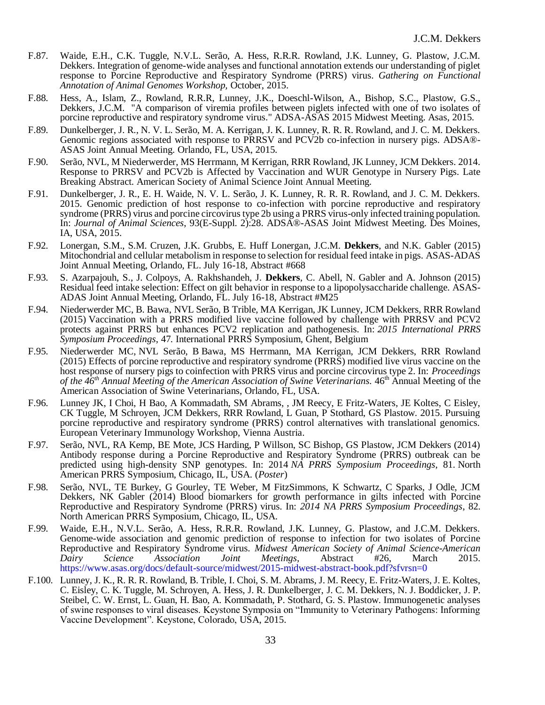- F.87. Waide, E.H., C.K. Tuggle, N.V.L. Serão, A. Hess, R.R.R. Rowland, J.K. Lunney, G. Plastow, J.C.M. Dekkers. Integration of genome-wide analyses and functional annotation extends our understanding of piglet response to Porcine Reproductive and Respiratory Syndrome (PRRS) virus. *Gathering on Functional Annotation of Animal Genomes Workshop,* October, 2015.
- F.88. Hess, A., Islam, Z., Rowland, R.R.R, Lunney, J.K., Doeschl-Wilson, A., Bishop, S.C., Plastow, G.S., Dekkers, J.C.M. "A comparison of viremia profiles between piglets infected with one of two isolates of porcine reproductive and respiratory syndrome virus." ADSA-ASAS 2015 Midwest Meeting. Asas, 2015.
- F.89. Dunkelberger, J. R., N. V. L. Serão, M. A. Kerrigan, J. K. Lunney, R. R. R. Rowland, and J. C. M. Dekkers. Genomic regions associated with response to PRRSV and PCV2b co-infection in nursery pigs. ADSA®- ASAS Joint Annual Meeting. Orlando, FL, USA, 2015.
- F.90. Serão, NVL, M Niederwerder, MS Herrmann, M Kerrigan, RRR Rowland, JK Lunney, JCM Dekkers. 2014. Response to PRRSV and PCV2b is Affected by Vaccination and WUR Genotype in Nursery Pigs. Late Breaking Abstract. American Society of Animal Science Joint Annual Meeting.
- F.91. Dunkelberger, J. R., E. H. Waide, N. V. L. Serão, J. K. Lunney, R. R. R. Rowland, and J. C. M. Dekkers. 2015. Genomic prediction of host response to co-infection with porcine reproductive and respiratory syndrome (PRRS) virus and porcine circovirus type 2b using a PRRS virus-only infected training population. In: *Journal of Animal Sciences*, 93(E-Suppl. 2):28. ADSA®-ASAS Joint Midwest Meeting. Des Moines, IA, USA, 2015.
- F.92. Lonergan, S.M., S.M. Cruzen, J.K. Grubbs, E. Huff Lonergan, J.C.M. **Dekkers**, and N.K. Gabler (2015) Mitochondrial and cellular metabolism in response to selection for residual feed intake in pigs. ASAS-ADAS Joint Annual Meeting, Orlando, FL. July 16-18, Abstract #668
- F.93. S. Azarpajouh, S., J. Colpoys, A. Rakhshandeh, J. **Dekkers**, C. Abell, N. Gabler and A. Johnson (2015) Residual feed intake selection: Effect on gilt behavior in response to a lipopolysaccharide challenge. ASAS-ADAS Joint Annual Meeting, Orlando, FL. July 16-18, Abstract #M25
- F.94. Niederwerder MC, B. Bawa, NVL Serão, B Trible, MA Kerrigan, JK Lunney, JCM Dekkers, RRR Rowland (2015) Vaccination with a PRRS modified live vaccine followed by challenge with PRRSV and PCV2 protects against PRRS but enhances PCV2 replication and pathogenesis. In: *2015 International PRRS Symposium Proceedings*, 47*.* International PRRS Symposium, Ghent, Belgium
- F.95. Niederwerder MC, NVL Serão, B Bawa, MS Herrmann, MA Kerrigan, JCM Dekkers, RRR Rowland (2015) Effects of porcine reproductive and respiratory syndrome (PRRS) modified live virus vaccine on the host response of nursery pigs to coinfection with PRRS virus and porcine circovirus type 2. In: *Proceedings of the 46th Annual Meeting of the American Association of Swine Veterinarians.* 46th Annual Meeting of the American Association of Swine Veterinarians, Orlando, FL, USA.
- F.96. Lunney JK, I Choi, H Bao, A Kommadath, SM Abrams, , JM Reecy, E Fritz-Waters, JE Koltes, C Eisley, CK Tuggle, M Schroyen, JCM Dekkers, RRR Rowland, L Guan, P Stothard, GS Plastow. 2015. Pursuing porcine reproductive and respiratory syndrome (PRRS) control alternatives with translational genomics. European Veterinary Immunology Workshop, Vienna Austria.
- F.97. Serão, NVL, RA Kemp, BE Mote, JCS Harding, P Willson, SC Bishop, GS Plastow, JCM Dekkers (2014) Antibody response during a Porcine Reproductive and Respiratory Syndrome (PRRS) outbreak can be predicted using high-density SNP genotypes. In: 2014 *NA PRRS Symposium Proceedings*, 81. North American PRRS Symposium, Chicago, IL, USA. (*Poster*)
- F.98. Serão, NVL, TE Burkey, G Gourley, TE Weber, M FitzSimmons, K Schwartz, C Sparks, J Odle, JCM Dekkers, NK Gabler (2014) Blood biomarkers for growth performance in gilts infected with Porcine Reproductive and Respiratory Syndrome (PRRS) virus. In: *2014 NA PRRS Symposium Proceedings*, 82. North American PRRS Symposium, Chicago, IL, USA.
- F.99. Waide, E.H., N.V.L. Serão, A. Hess, R.R.R. Rowland, J.K. Lunney, G. Plastow, and J.C.M. Dekkers. Genome-wide association and genomic prediction of response to infection for two isolates of Porcine Reproductive and Respiratory Syndrome virus. *Midwest American Society of Animal Science-American Dairy Science Association Joint Meetings,* Abstract #26, March 2015. <https://www.asas.org/docs/default-source/midwest/2015-midwest-abstract-book.pdf?sfvrsn=0>
- F.100. Lunney, J. K., R. R. R. Rowland, B. Trible, I. Choi, S. M. Abrams, J. M. Reecy, E. Fritz-Waters, J. E. Koltes, C. Eisley, C. K. Tuggle, M. Schroyen, A. Hess, J. R. Dunkelberger, J. C. M. Dekkers, N. J. Boddicker, J. P. Steibel, C. W. Ernst, L. Guan, H. Bao, A. Kommadath, P. Stothard, G. S. Plastow. Immunogenetic analyses of swine responses to viral diseases. Keystone Symposia on "Immunity to Veterinary Pathogens: Informing Vaccine Development". Keystone, Colorado, USA, 2015.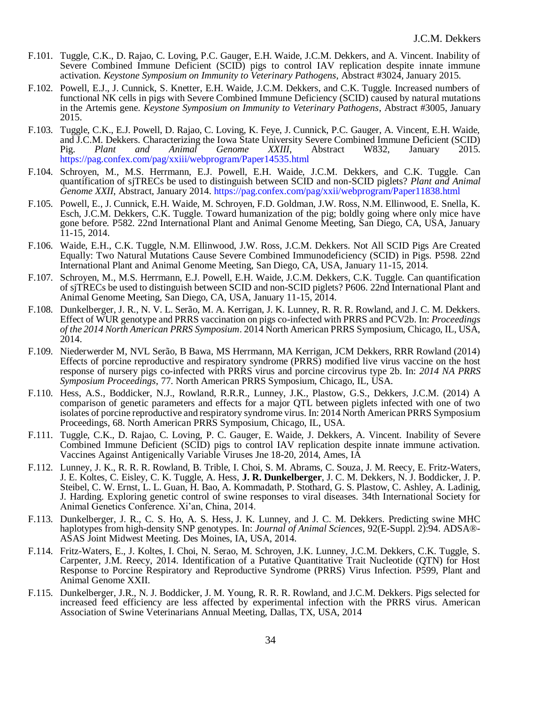- F.101. Tuggle, C.K., D. Rajao, C. Loving, P.C. Gauger, E.H. Waide, J.C.M. Dekkers, and A. Vincent. Inability of Severe Combined Immune Deficient (SCID) pigs to control IAV replication despite innate immune activation. *Keystone Symposium on Immunity to Veterinary Pathogens*, Abstract #3024, January 2015.
- F.102. Powell, E.J., J. Cunnick, S. Knetter, E.H. Waide, J.C.M. Dekkers, and C.K. Tuggle. Increased numbers of functional NK cells in pigs with Severe Combined Immune Deficiency (SCID) caused by natural mutations in the Artemis gene. *Keystone Symposium on Immunity to Veterinary Pathogens*, Abstract #3005, January 2015.
- F.103. Tuggle, C.K., E.J. Powell, D. Rajao, C. Loving, K. Feye, J. Cunnick, P.C. Gauger, A. Vincent, E.H. Waide, and J.C.M. Dekkers. Characterizing the Iowa State University Severe Combined Immune Deficient (SCID)<br>
Pig. Plant and Animal Genome XXIII, Abstract W832, January 2015. Pig. *Plant and Animal Genome XXIII*, Abstract W832, January 2015. <https://pag.confex.com/pag/xxiii/webprogram/Paper14535.html>
- F.104. Schroyen, M., M.S. Herrmann, E.J. Powell, E.H. Waide, J.C.M. Dekkers, and C.K. Tuggle. Can quantification of sjTRECs be used to distinguish between SCID and non-SCID piglets? *Plant and Animal Genome XXII*, Abstract, January 2014.<https://pag.confex.com/pag/xxii/webprogram/Paper11838.html>
- F.105. Powell, E., J. Cunnick, E.H. Waide, M. Schroyen, F.D. Goldman, J.W. Ross, N.M. Ellinwood, E. Snella, K. Esch, J.C.M. Dekkers, C.K. Tuggle. Toward humanization of the pig; boldly going where only mice have gone before. P582. 22nd International Plant and Animal Genome Meeting, San Diego, CA, USA, January 11-15, 2014.
- F.106. Waide, E.H., C.K. Tuggle, N.M. Ellinwood, J.W. Ross, J.C.M. Dekkers. Not All SCID Pigs Are Created Equally: Two Natural Mutations Cause Severe Combined Immunodeficiency (SCID) in Pigs. P598. 22nd International Plant and Animal Genome Meeting, San Diego, CA, USA, January 11-15, 2014.
- F.107. Schroyen, M., M.S. Herrmann, E.J. Powell, E.H. Waide, J.C.M. Dekkers, C.K. Tuggle. Can quantification of sjTRECs be used to distinguish between SCID and non-SCID piglets? P606. 22nd International Plant and Animal Genome Meeting, San Diego, CA, USA, January 11-15, 2014.
- F.108. Dunkelberger, J. R., N. V. L. Serão, M. A. Kerrigan, J. K. Lunney, R. R. R. Rowland, and J. C. M. Dekkers. Effect of WUR genotype and PRRS vaccination on pigs co-infected with PRRS and PCV2b. In: *Proceedings of the 2014 North American PRRS Symposium*. 2014 North American PRRS Symposium, Chicago, IL, USA, 2014.
- F.109. Niederwerder M, NVL Serão, B Bawa, MS Herrmann, MA Kerrigan, JCM Dekkers, RRR Rowland (2014) Effects of porcine reproductive and respiratory syndrome (PRRS) modified live virus vaccine on the host response of nursery pigs co-infected with PRRS virus and porcine circovirus type 2b. In: *2014 NA PRRS Symposium Proceedings*, 77. North American PRRS Symposium, Chicago, IL, USA.
- F.110. Hess, A.S., Boddicker, N.J., Rowland, R.R.R., Lunney, J.K., Plastow, G.S., Dekkers, J.C.M. (2014) A comparison of genetic parameters and effects for a major QTL between piglets infected with one of two isolates of porcine reproductive and respiratory syndrome virus. In: 2014 North American PRRS Symposium Proceedings, 68. North American PRRS Symposium, Chicago, IL, USA.
- F.111. Tuggle, C.K., D. Rajao, C. Loving, P. C. Gauger, E. Waide, J. Dekkers, A. Vincent. Inability of Severe Combined Immune Deficient (SCID) pigs to control IAV replication despite innate immune activation. Vaccines Against Antigenically Variable Viruses Jne 18-20, 2014, Ames, IA
- F.112. Lunney, J. K., R. R. R. Rowland, B. Trible, I. Choi, S. M. Abrams, C. Souza, J. M. Reecy, E. Fritz-Waters, J. E. Koltes, C. Eisley, C. K. Tuggle, A. Hess, **J. R. Dunkelberger**, J. C. M. Dekkers, N. J. Boddicker, J. P. Steibel, C. W. Ernst, L. L. Guan, H. Bao, A. Kommadath, P. Stothard, G. S. Plastow, C. Ashley, A. Ladinig, J. Harding. Exploring genetic control of swine responses to viral diseases. 34th International Society for Animal Genetics Conference. Xi'an, China, 2014.
- F.113. Dunkelberger, J. R., C. S. Ho, A. S. Hess, J. K. Lunney, and J. C. M. Dekkers. Predicting swine MHC haplotypes from high-density SNP genotypes. In: *Journal of Animal Sciences*, 92(E-Suppl. 2):94. ADSA®- ASAS Joint Midwest Meeting. Des Moines, IA, USA, 2014.
- F.114. Fritz-Waters, E., J. Koltes, I. Choi, N. Serao, M. Schroyen, J.K. Lunney, J.C.M. Dekkers, C.K. Tuggle, S. Carpenter, J.M. Reecy, 2014. Identification of a Putative Quantitative Trait Nucleotide (QTN) for Host Response to Porcine Respiratory and Reproductive Syndrome (PRRS) Virus Infection. P599, Plant and Animal Genome XXII.
- F.115. Dunkelberger, J.R., N. J. Boddicker, J. M. Young, R. R. R. Rowland, and J.C.M. Dekkers. Pigs selected for increased feed efficiency are less affected by experimental infection with the PRRS virus. American Association of Swine Veterinarians Annual Meeting, Dallas, TX, USA, 2014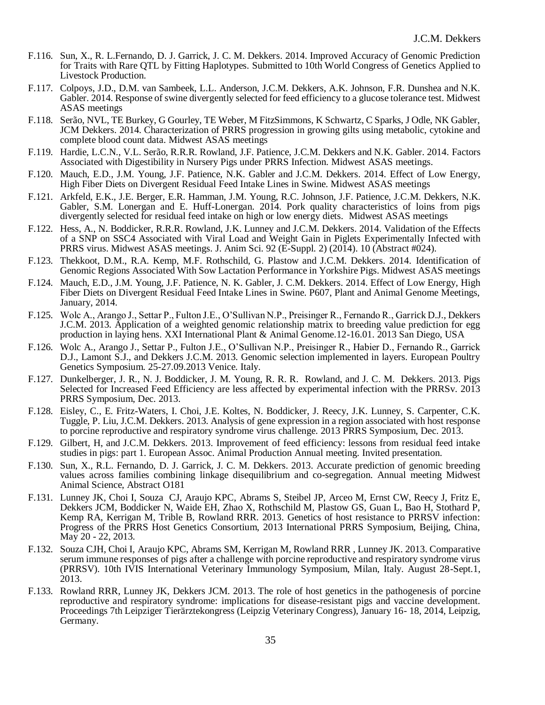- F.116. Sun, X., R. L.Fernando, D. J. Garrick, J. C. M. Dekkers. 2014. Improved Accuracy of Genomic Prediction for Traits with Rare QTL by Fitting Haplotypes. Submitted to 10th World Congress of Genetics Applied to Livestock Production.
- F.117. Colpoys, J.D., D.M. van Sambeek, L.L. Anderson, J.C.M. Dekkers, A.K. Johnson, F.R. Dunshea and N.K. Gabler. 2014. Response of swine divergently selected for feed efficiency to a glucose tolerance test. Midwest ASAS meetings
- F.118. Serão, NVL, TE Burkey, G Gourley, TE Weber, M FitzSimmons, K Schwartz, C Sparks, J Odle, NK Gabler, JCM Dekkers. 2014. Characterization of PRRS progression in growing gilts using metabolic, cytokine and complete blood count data. Midwest ASAS meetings
- F.119. Hardie, L.C.N., V.L. Serão, R.R.R. Rowland, J.F. Patience, J.C.M. Dekkers and N.K. Gabler. 2014. Factors Associated with Digestibility in Nursery Pigs under PRRS Infection. Midwest ASAS meetings.
- F.120. Mauch, E.D., J.M. Young, J.F. Patience, N.K. Gabler and J.C.M. Dekkers. 2014. Effect of Low Energy, High Fiber Diets on Divergent Residual Feed Intake Lines in Swine. Midwest ASAS meetings
- F.121. Arkfeld, E.K., J.E. Berger, E.R. Hamman, J.M. Young, R.C. Johnson, J.F. Patience, J.C.M. Dekkers, N.K. Gabler, S.M. Lonergan and E. Huff-Lonergan. 2014. Pork quality characteristics of loins from pigs divergently selected for residual feed intake on high or low energy diets. Midwest ASAS meetings
- F.122. Hess, A., N. Boddicker, R.R.R. Rowland, J.K. Lunney and J.C.M. Dekkers. 2014. Validation of the Effects of a SNP on SSC4 Associated with Viral Load and Weight Gain in Piglets Experimentally Infected with PRRS virus. Midwest ASAS meetings. J. Anim Sci. 92 (E-Suppl. 2) (2014). 10 (Abstract #024).
- F.123. Thekkoot, D.M., R.A. Kemp, M.F. Rothschild, G. Plastow and J.C.M. Dekkers. 2014. Identification of Genomic Regions Associated With Sow Lactation Performance in Yorkshire Pigs. Midwest ASAS meetings
- F.124. Mauch, E.D., J.M. Young, J.F. Patience, N. K. Gabler, J. C.M. Dekkers. 2014. Effect of Low Energy, High Fiber Diets on Divergent Residual Feed Intake Lines in Swine. P607, Plant and Animal Genome Meetings, January, 2014.
- F.125. Wolc A., Arango J., Settar P., Fulton J.E., O'Sullivan N.P., Preisinger R., Fernando R., Garrick D.J., Dekkers J.C.M. 2013. Application of a weighted genomic relationship matrix to breeding value prediction for egg production in laying hens. XXI International Plant & Animal Genome.12-16.01. 2013 San Diego, USA
- F.126. Wolc A., Arango J., Settar P., Fulton J.E., O'Sullivan N.P., Preisinger R., Habier D., Fernando R., Garrick D.J., Lamont S.J., and Dekkers J.C.M. 2013. Genomic selection implemented in layers. European Poultry Genetics Symposium. 25-27.09.2013 Venice. Italy.
- F.127. Dunkelberger, J. R., N. J. Boddicker, J. M. Young, R. R. R. Rowland, and J. C. M. Dekkers. 2013. Pigs Selected for Increased Feed Efficiency are less affected by experimental infection with the PRRSv. 2013 PRRS Symposium, Dec. 2013.
- F.128. Eisley, C., E. Fritz-Waters, I. Choi, J.E. Koltes, N. Boddicker, J. Reecy, J.K. Lunney, S. Carpenter, C.K. Tuggle, P. Liu, J.C.M. Dekkers. 2013. Analysis of gene expression in a region associated with host response to porcine reproductive and respiratory syndrome virus challenge. 2013 PRRS Symposium, Dec. 2013.
- F.129. Gilbert, H, and J.C.M. Dekkers. 2013. Improvement of feed efficiency: lessons from residual feed intake studies in pigs: part 1. European Assoc. Animal Production Annual meeting. Invited presentation.
- F.130. Sun, X., R.L. Fernando, D. J. Garrick, J. C. M. Dekkers. 2013. Accurate prediction of genomic breeding values across families combining linkage disequilibrium and co-segregation. Annual meeting Midwest Animal Science, Abstract O181
- F.131. Lunney JK, Choi I, Souza CJ, Araujo KPC, Abrams S, Steibel JP, Arceo M, Ernst CW, Reecy J, Fritz E, Dekkers JCM, Boddicker N, Waide EH, Zhao X, Rothschild M, Plastow GS, Guan L, Bao H, Stothard P, Kemp RA, Kerrigan M, Trible B, Rowland RRR. 2013. Genetics of host resistance to PRRSV infection: Progress of the PRRS Host Genetics Consortium, 2013 International PRRS Symposium, Beijing, China, May 20 - 22, 2013.
- F.132. Souza CJH, Choi I, Araujo KPC, Abrams SM, Kerrigan M, Rowland RRR , Lunney JK. 2013. Comparative serum immune responses of pigs after a challenge with porcine reproductive and respiratory syndrome virus (PRRSV). 10th IVIS International Veterinary Immunology Symposium, Milan, Italy. August 28-Sept.1, 2013.
- F.133. Rowland RRR, Lunney JK, Dekkers JCM. 2013. The role of host genetics in the pathogenesis of porcine reproductive and respiratory syndrome: implications for disease-resistant pigs and vaccine development. Proceedings 7th Leipziger Tierärztekongress (Leipzig Veterinary Congress), January 16- 18, 2014, Leipzig, Germany.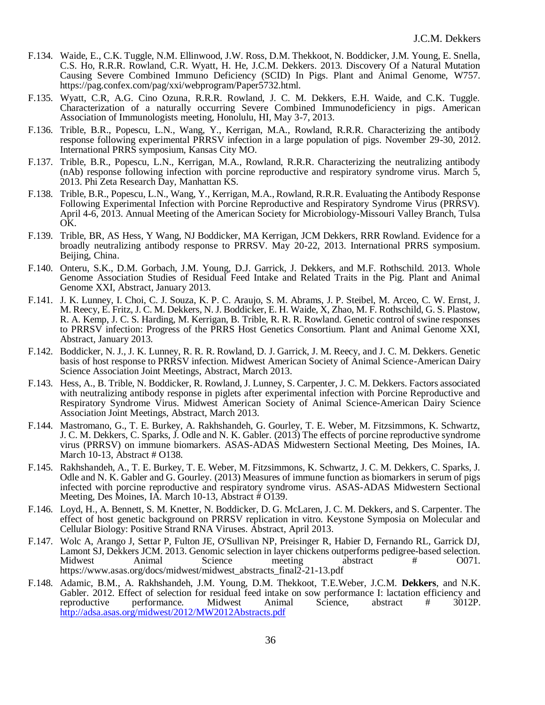- F.134. Waide, E., C.K. Tuggle, N.M. Ellinwood, J.W. Ross, D.M. Thekkoot, N. Boddicker, J.M. Young, E. Snella, C.S. Ho, R.R.R. Rowland, C.R. Wyatt, H. He, J.C.M. Dekkers. 2013. Discovery Of a Natural Mutation Causing Severe Combined Immuno Deficiency (SCID) In Pigs. Plant and Animal Genome, W757. https://pag.confex.com/pag/xxi/webprogram/Paper5732.html.
- F.135. Wyatt, C.R, A.G. Cino Ozuna, R.R.R. Rowland, J. C. M. Dekkers, E.H. Waide, and C.K. Tuggle. Characterization of a naturally occurring Severe Combined Immunodeficiency in pigs. American Association of Immunologists meeting, Honolulu, HI, May 3-7, 2013.
- F.136. Trible, B.R., Popescu, L.N., Wang, Y., Kerrigan, M.A., Rowland, R.R.R. Characterizing the antibody response following experimental PRRSV infection in a large population of pigs. November 29-30, 2012. International PRRS symposium, Kansas City MO.
- F.137. Trible, B.R., Popescu, L.N., Kerrigan, M.A., Rowland, R.R.R. Characterizing the neutralizing antibody (nAb) response following infection with porcine reproductive and respiratory syndrome virus. March 5, 2013. Phi Zeta Research Day, Manhattan KS.
- F.138. Trible, B.R., Popescu, L.N., Wang, Y., Kerrigan, M.A., Rowland, R.R.R. Evaluating the Antibody Response Following Experimental Infection with Porcine Reproductive and Respiratory Syndrome Virus (PRRSV). April 4-6, 2013. Annual Meeting of the American Society for Microbiology-Missouri Valley Branch, Tulsa OK.
- F.139. Trible, BR, AS Hess, Y Wang, NJ Boddicker, MA Kerrigan, JCM Dekkers, RRR Rowland. Evidence for a broadly neutralizing antibody response to PRRSV. May 20-22, 2013. International PRRS symposium. Beijing, China.
- F.140. Onteru, S.K., D.M. Gorbach, J.M. Young, D.J. Garrick, J. Dekkers, and M.F. Rothschild. 2013. Whole Genome Association Studies of Residual Feed Intake and Related Traits in the Pig. Plant and Animal Genome XXI, Abstract, January 2013.
- F.141. J. K. Lunney, I. Choi, C. J. Souza, K. P. C. Araujo, S. M. Abrams, J. P. Steibel, M. Arceo, C. W. Ernst, J. M. Reecy, E. Fritz, J. C. M. Dekkers, N. J. Boddicker, E. H. Waide, X, Zhao, M. F. Rothschild, G. S. Plastow, R. A. Kemp, J. C. S. Harding, M. Kerrigan, B. Trible, R. R. R. Rowland. Genetic control of swine responses to PRRSV infection: Progress of the PRRS Host Genetics Consortium. Plant and Animal Genome XXI, Abstract, January 2013.
- F.142. Boddicker, N. J., J. K. Lunney, R. R. R. Rowland, D. J. Garrick, J. M. Reecy, and J. C. M. Dekkers. Genetic basis of host response to PRRSV infection. Midwest American Society of Animal Science-American Dairy Science Association Joint Meetings, Abstract, March 2013.
- F.143. Hess, A., B. Trible, N. Boddicker, R. Rowland, J. Lunney, S. Carpenter, J. C. M. Dekkers. Factors associated with neutralizing antibody response in piglets after experimental infection with Porcine Reproductive and Respiratory Syndrome Virus. Midwest American Society of Animal Science-American Dairy Science Association Joint Meetings, Abstract, March 2013.
- F.144. Mastromano, G., T. E. Burkey, A. Rakhshandeh, G. Gourley, T. E. Weber, M. Fitzsimmons, K. Schwartz, J. C. M. Dekkers, C. Sparks, J. Odle and N. K. Gabler. (2013) The effects of porcine reproductive syndrome virus (PRRSV) on immune biomarkers. ASAS-ADAS Midwestern Sectional Meeting, Des Moines, IA. March 10-13, Abstract # O138.
- F.145. Rakhshandeh, A., T. E. Burkey, T. E. Weber, M. Fitzsimmons, K. Schwartz, J. C. M. Dekkers, C. Sparks, J. Odle and N. K. Gabler and G. Gourley. (2013) Measures of immune function as biomarkers in serum of pigs infected with porcine reproductive and respiratory syndrome virus. ASAS-ADAS Midwestern Sectional Meeting, Des Moines, IA. March 10-13, Abstract # O139.
- F.146. Loyd, H., A. Bennett, S. M. Knetter, N. Boddicker, D. G. McLaren, J. C. M. Dekkers, and S. Carpenter. The effect of host genetic background on PRRSV replication in vitro. Keystone Symposia on Molecular and Cellular Biology: Positive Strand RNA Viruses. Abstract, April 2013.
- F.147. Wolc A, Arango J, Settar P, Fulton JE, O'Sullivan NP, Preisinger R, Habier D, Fernando RL, Garrick DJ, Lamont SJ, Dekkers JCM. 2013. Genomic selection in layer chickens outperforms pedigree-based selection. Midwest Animal Science meeting abstract # 0071. https://www.asas.org/docs/midwest/midwest\_abstracts\_final2-21-13.pdf
- F.148. Adamic, B.M., A. Rakhshandeh, J.M. Young, D.M. Thekkoot, T.E.Weber, J.C.M. **Dekkers**, and N.K. Gabler. 2012. Effect of selection for residual feed intake on sow performance I: lactation efficiency and reproductive performance. Midwest Animal Science, abstract # 3012P. performance. Midwest Animal Science, abstract <http://adsa.asas.org/midwest/2012/MW2012Abstracts.pdf>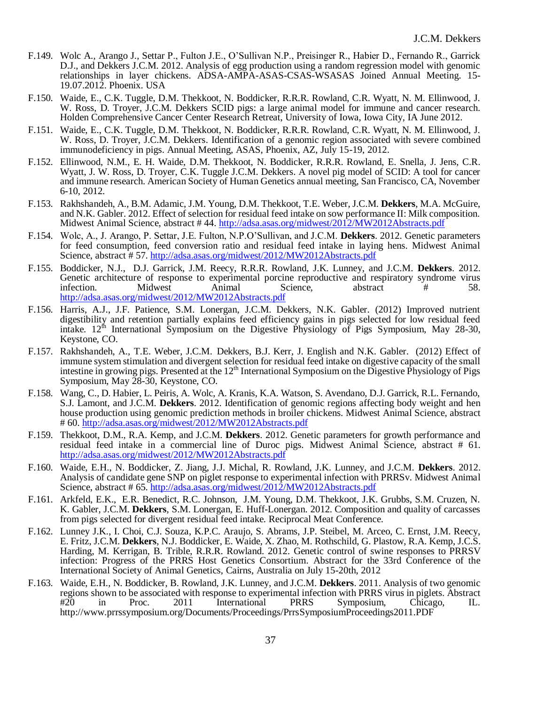- F.149. Wolc A., Arango J., Settar P., Fulton J.E., O'Sullivan N.P., Preisinger R., Habier D., Fernando R., Garrick D.J., and Dekkers J.C.M. 2012. Analysis of egg production using a random regression model with genomic relationships in layer chickens. ADSA-AMPA-ASAS-CSAS-WSASAS Joined Annual Meeting. 15- 19.07.2012. Phoenix. USA
- F.150. Waide, E., C.K. Tuggle, D.M. Thekkoot, N. Boddicker, R.R.R. Rowland, C.R. Wyatt, N. M. Ellinwood, J. W. Ross, D. Troyer, J.C.M. Dekkers SCID pigs: a large animal model for immune and cancer research. Holden Comprehensive Cancer Center Research Retreat, University of Iowa, Iowa City, IA June 2012.
- F.151. Waide, E., C.K. Tuggle, D.M. Thekkoot, N. Boddicker, R.R.R. Rowland, C.R. Wyatt, N. M. Ellinwood, J. W. Ross, D. Troyer, J.C.M. Dekkers. Identification of a genomic region associated with severe combined immunodeficiency in pigs. Annual Meeting, ASAS, Phoenix, AZ, July 15-19, 2012.
- F.152. Ellinwood, N.M., E. H. Waide, D.M. Thekkoot, N. Boddicker, R.R.R. Rowland, E. Snella, J. Jens, C.R. Wyatt, J. W. Ross, D. Troyer, C.K. Tuggle J.C.M. Dekkers. A novel pig model of SCID: A tool for cancer and immune research. American Society of Human Genetics annual meeting, San Francisco, CA, November 6-10, 2012.
- F.153. Rakhshandeh, A., B.M. Adamic, J.M. Young, D.M. Thekkoot, T.E. Weber, J.C.M. **Dekkers**, M.A. McGuire, and N.K. Gabler. 2012. Effect of selection for residual feed intake on sow performance II: Milk composition. Midwest Animal Science, abstract #44.<http://adsa.asas.org/midwest/2012/MW2012Abstracts.pdf>
- F.154. Wolc, A., J. Arango, P. Settar, J.E. Fulton, N.P.O'Sullivan, and J.C.M. **Dekkers**. 2012. Genetic parameters for feed consumption, feed conversion ratio and residual feed intake in laying hens. Midwest Animal Science, abstract # 57.<http://adsa.asas.org/midwest/2012/MW2012Abstracts.pdf>
- F.155. Boddicker, N.J., D.J. Garrick, J.M. Reecy, R.R.R. Rowland, J.K. Lunney, and J.C.M. **Dekkers**. 2012. Genetic architecture of response to experimental porcine reproductive and respiratory syndrome virus infection. Midwest Animal Science, abstract # 58. infection. Midwest Animal Science, abstract # 58. <http://adsa.asas.org/midwest/2012/MW2012Abstracts.pdf>
- F.156. Harris, A.J., J.F. Patience, S.M. Lonergan, J.C.M. Dekkers, N.K. Gabler. (2012) Improved nutrient digestibility and retention partially explains feed efficiency gains in pigs selected for low residual feed intake. 12<sup>th</sup> International Symposium on the Digestive Physiology of Pigs Symposium, May 28-30, Keystone, CO.
- F.157. Rakhshandeh, A., T.E. Weber, J.C.M. Dekkers, B.J. Kerr, J. English and N.K. Gabler. (2012) Effect of immune system stimulation and divergent selection for residual feed intake on digestive capacity of the small intestine in growing pigs. Presented at the  $12<sup>th</sup>$  International Symposium on the Digestive Physiology of Pigs Symposium, May 28-30, Keystone, CO.
- F.158. Wang, C., D. Habier, L. Peiris, A. Wolc, A. Kranis, K.A. Watson, S. Avendano, D.J. Garrick, R.L. Fernando, S.J. Lamont, and J.C.M. **Dekkers**. 2012. Identification of genomic regions affecting body weight and hen house production using genomic prediction methods in broiler chickens. Midwest Animal Science, abstract # 60.<http://adsa.asas.org/midwest/2012/MW2012Abstracts.pdf>
- F.159. Thekkoot, D.M., R.A. Kemp, and J.C.M. **Dekkers**. 2012. Genetic parameters for growth performance and residual feed intake in a commercial line of Duroc pigs. Midwest Animal Science, abstract # 61. <http://adsa.asas.org/midwest/2012/MW2012Abstracts.pdf>
- F.160. Waide, E.H., N. Boddicker, Z. Jiang, J.J. Michal, R. Rowland, J.K. Lunney, and J.C.M. **Dekkers**. 2012. Analysis of candidate gene SNP on piglet response to experimental infection with PRRSv. Midwest Animal Science, abstract # 65.<http://adsa.asas.org/midwest/2012/MW2012Abstracts.pdf>
- F.161. Arkfeld, E.K., E.R. Benedict, R.C. Johnson, J.M. Young, D.M. Thekkoot, J.K. Grubbs, S.M. Cruzen, N. K. Gabler, J.C.M. **Dekkers**, S.M. Lonergan, E. Huff-Lonergan. 2012. Composition and quality of carcasses from pigs selected for divergent residual feed intake. Reciprocal Meat Conference.
- F.162. Lunney J.K., I. Choi, C.J. Souza, K.P.C. Araujo, S. Abrams, J.P. Steibel, M. Arceo, C. Ernst, J.M. Reecy, E. Fritz, J.C.M. **Dekkers**, N.J. Boddicker, E. Waide, X. Zhao, M. Rothschild, G. Plastow, R.A. Kemp, J.C.S. Harding, M. Kerrigan, B. Trible, R.R.R. Rowland. 2012. Genetic control of swine responses to PRRSV infection: Progress of the PRRS Host Genetics Consortium. Abstract for the 33rd Conference of the International Society of Animal Genetics, Cairns, Australia on July 15-20th, 2012
- F.163. Waide, E.H., N. Boddicker, B. Rowland, J.K. Lunney, and J.C.M. **Dekkers**. 2011. Analysis of two genomic regions shown to be associated with response to experimental infection with PRRS virus in piglets. Abstract  $\#20$  in Proc. 2011 International PRRS Symposium, Chicago, IL. Symposium, Chicago, http://www.prrssymposium.org/Documents/Proceedings/PrrsSymposiumProceedings2011.PDF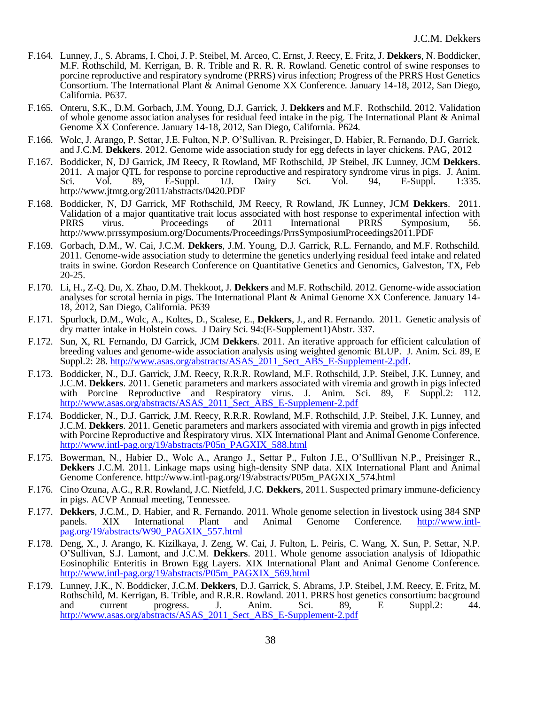- F.164. Lunney, J., S. Abrams, I. Choi, J. P. Steibel, M. Arceo, C. Ernst, J. Reecy, E. Fritz, J. **Dekkers**, N. Boddicker, M.F. Rothschild, M. Kerrigan, B. R. Trible and R. R. R. Rowland. Genetic control of swine responses to porcine reproductive and respiratory syndrome (PRRS) virus infection; Progress of the PRRS Host Genetics Consortium. The International Plant & Animal Genome XX Conference. January 14-18, 2012, San Diego, California. P637.
- F.165. Onteru, S.K., D.M. Gorbach, J.M. Young, D.J. Garrick, J. **Dekkers** and M.F. Rothschild. 2012. Validation of whole genome association analyses for residual feed intake in the pig. The International Plant & Animal Genome XX Conference. January 14-18, 2012, San Diego, California. P624.
- F.166. Wolc, J. Arango, P. Settar, J.E. Fulton, N.P. O'Sullivan, R. Preisinger, D. Habier, R. Fernando, D.J. Garrick, and J.C.M. **Dekkers**. 2012. Genome wide association study for egg defects in layer chickens. PAG, 2012
- F.167. Boddicker, N, DJ Garrick, JM Reecy, R Rowland, MF Rothschild, JP Steibel, JK Lunney, JCM **Dekkers**. 2011. A major QTL for response to porcine reproductive and respiratory syndrome virus in pigs. J. Anim.<br>
Sci. Vol. 89, E-Suppl. 1/J. Dairy Sci. Vol. 94, E-Suppl. 1:335. Sci. Vol. 89, E-Suppl. 1/J. Dairy Sci. Vol. 94, E-Suppl. 1:335. http://www.jtmtg.org/2011/abstracts/0420.PDF
- F.168. Boddicker, N, DJ Garrick, MF Rothschild, JM Reecy, R Rowland, JK Lunney, JCM **Dekkers**. 2011. Validation of a major quantitative trait locus associated with host response to experimental infection with<br>PRRS virus. Proceedings of 2011 International PRRS Symposium. 56. PRRS virus. Proceedings of 2011 International PRRS Symposium, 56. http://www.prrssymposium.org/Documents/Proceedings/PrrsSymposiumProceedings2011.PDF
- F.169. Gorbach, D.M., W. Cai, J.C.M. **Dekkers**, J.M. Young, D.J. Garrick, R.L. Fernando, and M.F. Rothschild. 2011. Genome-wide association study to determine the genetics underlying residual feed intake and related traits in swine. Gordon Research Conference on Quantitative Genetics and Genomics, Galveston, TX, Feb 20-25.
- F.170. Li, H., Z-Q. Du, X. Zhao, D.M. Thekkoot, J. **Dekkers** and M.F. Rothschild. 2012. Genome-wide association analyses for scrotal hernia in pigs. The International Plant & Animal Genome XX Conference. January 14- 18, 2012, San Diego, California. P639
- F.171. Spurlock, D.M., Wolc, A., Koltes, D., Scalese, E., **Dekkers**, J., and R. Fernando. 2011. Genetic analysis of dry matter intake in Holstein cows. J Dairy Sci. 94:(E-Supplement1)Abstr. 337.
- F.172. Sun, X, RL Fernando, DJ Garrick, JCM **Dekkers**. 2011. An iterative approach for efficient calculation of breeding values and genome-wide association analysis using weighted genomic BLUP. J. Anim. Sci. 89, E Suppl.2: 28[. http://www.asas.org/abstracts/ASAS\\_2011\\_Sect\\_ABS\\_E-Supplement-2.pdf.](http://www.asas.org/abstracts/ASAS_2011_Sect_ABS_E-Supplement-2.pdf)
- F.173. Boddicker, N., D.J. Garrick, J.M. Reecy, R.R.R. Rowland, M.F. Rothschild, J.P. Steibel, J.K. Lunney, and J.C.M. **Dekkers**. 2011. Genetic parameters and markers associated with viremia and growth in pigs infected with Porcine Reproductive and Respiratory virus. J. Anim. Sci. 89, E Suppl.2: 112. [http://www.asas.org/abstracts/ASAS\\_2011\\_Sect\\_ABS\\_E-Supplement-2.pdf](http://www.asas.org/abstracts/ASAS_2011_Sect_ABS_E-Supplement-2.pdf)
- F.174. Boddicker, N., D.J. Garrick, J.M. Reecy, R.R.R. Rowland, M.F. Rothschild, J.P. Steibel, J.K. Lunney, and J.C.M. **Dekkers**. 2011. Genetic parameters and markers associated with viremia and growth in pigs infected with Porcine Reproductive and Respiratory virus. XIX International Plant and Animal Genome Conference. [http://www.intl-pag.org/19/abstracts/P05n\\_PAGXIX\\_588.html](http://www.intl-pag.org/19/abstracts/P05n_PAGXIX_588.html)
- F.175. Bowerman, N., Habier D., Wolc A., Arango J., Settar P., Fulton J.E., O'Sulllivan N.P., Preisinger R., **Dekkers** J.C.M. 2011. Linkage maps using high-density SNP data. XIX International Plant and Animal Genome Conference. http://www.intl-pag.org/19/abstracts/P05m\_PAGXIX\_574.html
- F.176. Cino Ozuna, A.G., R.R. Rowland, J.C. Nietfeld, J.C. **Dekkers**, 2011. Suspected primary immune-deficiency in pigs. ACVP Annual meeting, Tennessee.
- F.177. **Dekkers**, J.C.M., D. Habier, and R. Fernando. 2011. Whole genome selection in livestock using 384 SNP panels. XIX International Plant and Animal Genome Conference. [http://www.intl](http://www.intl-pag.org/19/abstracts/W90_PAGXIX_557.html)[pag.org/19/abstracts/W90\\_PAGXIX\\_557.html](http://www.intl-pag.org/19/abstracts/W90_PAGXIX_557.html)
- F.178. Deng, X., J. Arango, K. Kizilkaya, J. Zeng, W. Cai, J. Fulton, L. Peiris, C. Wang, X. Sun, P. Settar, N.P. O'Sullivan, S.J. Lamont, and J.C.M. **Dekkers**. 2011. Whole genome association analysis of Idiopathic Eosinophilic Enteritis in Brown Egg Layers. XIX International Plant and Animal Genome Conference. [http://www.intl-pag.org/19/abstracts/P05m\\_PAGXIX\\_569.html](http://www.intl-pag.org/19/abstracts/P05m_PAGXIX_569.html)
- F.179. Lunney, J.K., N. Boddicker, J.C.M. **Dekkers**, D.J. Garrick, S. Abrams, J.P. Steibel, J.M. Reecy, E. Fritz, M. Rothschild, M. Kerrigan, B. Trible, and R.R.R. Rowland. 2011. PRRS host genetics consortium: bacground and current progress. J. Anim. Sci. 89, E Suppl.2: 44. [http://www.asas.org/abstracts/ASAS\\_2011\\_Sect\\_ABS\\_E-Supplement-2.pdf](http://www.asas.org/abstracts/ASAS_2011_Sect_ABS_E-Supplement-2.pdf)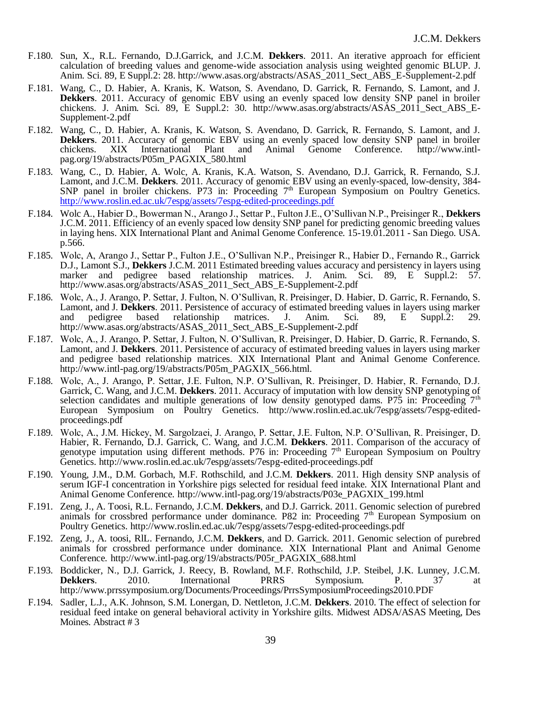- F.180. Sun, X., R.L. Fernando, D.J.Garrick, and J.C.M. **Dekkers**. 2011. An iterative approach for efficient calculation of breeding values and genome-wide association analysis using weighted genomic BLUP. J. Anim. Sci. 89, E Suppl.2: 28. http://www.asas.org/abstracts/ASAS\_2011\_Sect\_ABS\_E-Supplement-2.pdf
- F.181. Wang, C., D. Habier, A. Kranis, K. Watson, S. Avendano, D. Garrick, R. Fernando, S. Lamont, and J. **Dekkers**. 2011. Accuracy of genomic EBV using an evenly spaced low density SNP panel in broiler chickens. J. Anim. Sci. 89, E Suppl.2: 30. http://www.asas.org/abstracts/ASAS\_2011\_Sect\_ABS\_E-Supplement-2.pdf
- F.182. Wang, C., D. Habier, A. Kranis, K. Watson, S. Avendano, D. Garrick, R. Fernando, S. Lamont, and J. **Dekkers**. 2011. Accuracy of genomic EBV using an evenly spaced low density SNP panel in broiler chickens. XIX International Plant and Animal Genome Conference. http://www.intlpag.org/19/abstracts/P05m\_PAGXIX\_580.html
- F.183. Wang, C., D. Habier, A. Wolc, A. Kranis, K.A. Watson, S. Avendano, D.J. Garrick, R. Fernando, S.J. Lamont, and J.C.M. **Dekkers**. 2011. Accuracy of genomic EBV using an evenly-spaced, low-density, 384- SNP panel in broiler chickens. P73 in: Proceeding 7<sup>th</sup> European Symposium on Poultry Genetics. <http://www.roslin.ed.ac.uk/7espg/assets/7espg-edited-proceedings.pdf>
- F.184. Wolc A., Habier D., Bowerman N., Arango J., Settar P., Fulton J.E., O'Sullivan N.P., Preisinger R., **Dekkers** J.C.M. 2011. Efficiency of an evenly spaced low density SNP panel for predicting genomic breeding values in laying hens. XIX International Plant and Animal Genome Conference. 15-19.01.2011 - San Diego. USA. p.566.
- F.185. Wolc, A, Arango J., Settar P., Fulton J.E., O'Sullivan N.P., Preisinger R., Habier D., Fernando R., Garrick D.J., Lamont S.J., **Dekkers** J.C.M. 2011 Estimated breeding values accuracy and persistency in layers using marker and pedigree based relationship matrices. J. Anim. Sci. 89, E Suppl.2: 57. http://www.asas.org/abstracts/ASAS\_2011\_Sect\_ABS\_E-Supplement-2.pdf
- F.186. Wolc, A., J. Arango, P. Settar, J. Fulton, N. O'Sullivan, R. Preisinger, D. Habier, D. Garric, R. Fernando, S. Lamont, and J. **Dekkers**. 2011. Persistence of accuracy of estimated breeding values in layers using marker and pedigree based relationship matrices. J. Anim. Sci. 89, E Suppl.2: 29. http://www.asas.org/abstracts/ASAS\_2011\_Sect\_ABS\_E-Supplement-2.pdf
- F.187. Wolc, A., J. Arango, P. Settar, J. Fulton, N. O'Sullivan, R. Preisinger, D. Habier, D. Garric, R. Fernando, S. Lamont, and J. **Dekkers**. 2011. Persistence of accuracy of estimated breeding values in layers using marker and pedigree based relationship matrices. XIX International Plant and Animal Genome Conference. http://www.intl-pag.org/19/abstracts/P05m\_PAGXIX\_566.html.
- F.188. Wolc, A., J. Arango, P. Settar, J.E. Fulton, N.P. O'Sullivan, R. Preisinger, D. Habier, R. Fernando, D.J. Garrick, C. Wang, and J.C.M. **Dekkers**. 2011. Accuracy of imputation with low density SNP genotyping of selection candidates and multiple generations of low density genotyped dams. P75 in: Proceeding  $7<sup>th</sup>$ European Symposium on Poultry Genetics. http://www.roslin.ed.ac.uk/7espg/assets/7espg-editedproceedings.pdf
- F.189. Wolc, A., J.M. Hickey, M. Sargolzaei, J. Arango, P. Settar, J.E. Fulton, N.P. O'Sullivan, R. Preisinger, D. Habier, R. Fernando, D.J. Garrick, C. Wang, and J.C.M. **Dekkers**. 2011. Comparison of the accuracy of genotype imputation using different methods. P76 in: Proceeding 7<sup>th</sup> European Symposium on Poultry Genetics. http://www.roslin.ed.ac.uk/7espg/assets/7espg-edited-proceedings.pdf
- F.190. Young, J.M., D.M. Gorbach, M.F. Rothschild, and J.C.M. **Dekkers**. 2011. High density SNP analysis of serum IGF-I concentration in Yorkshire pigs selected for residual feed intake. XIX International Plant and Animal Genome Conference. http://www.intl-pag.org/19/abstracts/P03e\_PAGXIX\_199.html
- F.191. Zeng, J., A. Toosi, R.L. Fernando, J.C.M. **Dekkers**, and D.J. Garrick. 2011. Genomic selection of purebred animals for crossbred performance under dominance. P82 in: Proceeding 7<sup>th</sup> European Symposium on Poultry Genetics. http://www.roslin.ed.ac.uk/7espg/assets/7espg-edited-proceedings.pdf
- F.192. Zeng, J., A. toosi, RlL. Fernando, J.C.M. **Dekkers**, and D. Garrick. 2011. Genomic selection of purebred animals for crossbred performance under dominance. XIX International Plant and Animal Genome Conference. http://www.intl-pag.org/19/abstracts/P05r\_PAGXIX\_688.html
- F.193. Boddicker, N., D.J. Garrick, J. Reecy, B. Rowland, M.F. Rothschild, J.P. Steibel, J.K. Lunney, J.C.M. **Dekkers**. 2010. International PRRS Symposium. P. 37 at http://www.prrssymposium.org/Documents/Proceedings/PrrsSymposiumProceedings2010.PDF
- F.194. Sadler, L.J., A.K. Johnson, S.M. Lonergan, D. Nettleton, J.C.M. **Dekkers**. 2010. The effect of selection for residual feed intake on general behavioral activity in Yorkshire gilts. Midwest ADSA/ASAS Meeting, Des Moines. Abstract # 3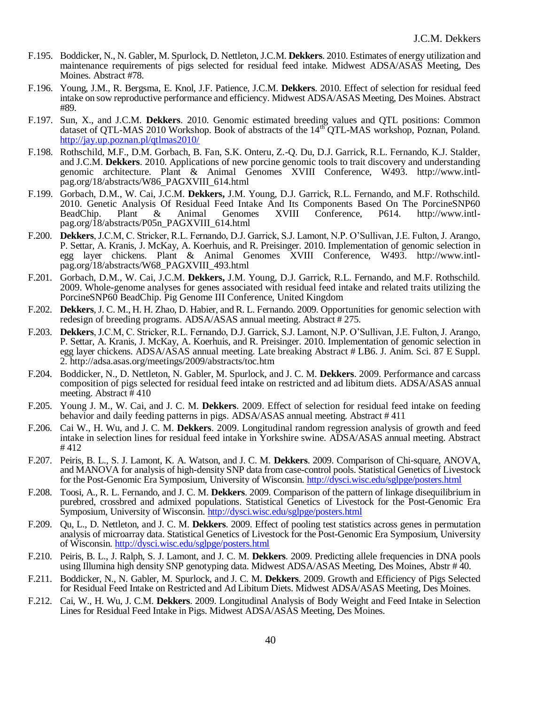- F.195. Boddicker, N., N. Gabler, M. Spurlock, D. Nettleton, J.C.M. **Dekkers**. 2010. Estimates of energy utilization and maintenance requirements of pigs selected for residual feed intake. Midwest ADSA/ASAS Meeting, Des Moines. Abstract #78.
- F.196. Young, J.M., R. Bergsma, E. Knol, J.F. Patience, J.C.M. **Dekkers**. 2010. Effect of selection for residual feed intake on sow reproductive performance and efficiency. Midwest ADSA/ASAS Meeting, Des Moines. Abstract #89.
- F.197. Sun, X., and J.C.M. **Dekkers**. 2010. Genomic estimated breeding values and QTL positions: Common dataset of QTL-MAS 2010 Workshop. Book of abstracts of the 14<sup>th</sup> QTL-MAS workshop, Poznan, Poland. <http://jay.up.poznan.pl/qtlmas2010/>
- F.198. Rothschild, M.F., D.M. Gorbach, B. Fan, S.K. Onteru, Z.-Q. Du, D.J. Garrick, R.L. Fernando, K.J. Stalder, and J.C.M. **Dekkers**. 2010. Applications of new porcine genomic tools to trait discovery and understanding genomic architecture. Plant & Animal Genomes XVIII Conference, W493. http://www.intlpag.org/18/abstracts/W86\_PAGXVIII\_614.html
- F.199. Gorbach, D.M., W. Cai, J.C.M. **Dekkers,** J.M. Young, D.J. Garrick, R.L. Fernando, and M.F. Rothschild. 2010. Genetic Analysis Of Residual Feed Intake And Its Components Based On The PorcineSNP60 BeadChip. Plant & Animal Genomes XVIII Conference, P614. http://www.intlpag.org/18/abstracts/P05n\_PAGXVIII\_614.html
- F.200. **Dekkers**, J.C.M, C. Stricker, R.L. Fernando, D.J. Garrick, S.J. Lamont, N.P. O'Sullivan, J.E. Fulton, J. Arango, P. Settar, A. Kranis, J. McKay, A. Koerhuis, and R. Preisinger. 2010. Implementation of genomic selection in egg layer chickens. Plant & Animal Genomes XVIII Conference, W493. http://www.intlpag.org/18/abstracts/W68\_PAGXVIII\_493.html
- F.201. Gorbach, D.M., W. Cai, J.C.M. **Dekkers,** J.M. Young, D.J. Garrick, R.L. Fernando, and M.F. Rothschild. 2009. Whole-genome analyses for genes associated with residual feed intake and related traits utilizing the PorcineSNP60 BeadChip. Pig Genome III Conference, United Kingdom
- F.202. **Dekkers**, J. C. M., H. H. Zhao, D. Habier, and R. L. Fernando. 2009. Opportunities for genomic selection with redesign of breeding programs. ADSA/ASAS annual meeting. Abstract # 275.
- F.203. **Dekkers**, J.C.M, C. Stricker, R.L. Fernando, D.J. Garrick, S.J. Lamont, N.P. O'Sullivan, J.E. Fulton, J. Arango, P. Settar, A. Kranis, J. McKay, A. Koerhuis, and R. Preisinger. 2010. Implementation of genomic selection in egg layer chickens. ADSA/ASAS annual meeting. Late breaking Abstract # LB6. J. Anim. Sci. 87 E Suppl. 2. http://adsa.asas.org/meetings/2009/abstracts/toc.htm
- F.204. Boddicker, N., D. Nettleton, N. Gabler, M. Spurlock, and J. C. M. **Dekkers**. 2009. Performance and carcass composition of pigs selected for residual feed intake on restricted and ad libitum diets. ADSA/ASAS annual meeting. Abstract # 410
- F.205. Young J. M., W. Cai, and J. C. M. **Dekkers**. 2009. Effect of selection for residual feed intake on feeding behavior and daily feeding patterns in pigs. ADSA/ASAS annual meeting. Abstract # 411
- F.206. Cai W., H. Wu, and J. C. M. **Dekkers**. 2009. Longitudinal random regression analysis of growth and feed intake in selection lines for residual feed intake in Yorkshire swine. ADSA/ASAS annual meeting. Abstract # 412
- F.207. Peiris, B. L., S. J. Lamont, K. A. Watson, and J. C. M. **Dekkers**. 2009. Comparison of Chi-square, ANOVA, and MANOVA for analysis of high-density SNP data from case-control pools. Statistical Genetics of Livestock for the Post-Genomic Era Symposium, University of Wisconsin.<http://dysci.wisc.edu/sglpge/posters.html>
- F.208. Toosi, A., R. L. Fernando, and J. C. M. **Dekkers**. 2009. Comparison of the pattern of linkage disequilibrium in purebred, crossbred and admixed populations. Statistical Genetics of Livestock for the Post-Genomic Era Symposium, University of Wisconsin.<http://dysci.wisc.edu/sglpge/posters.html>
- F.209. Qu, L., D. Nettleton, and J. C. M. **Dekkers**. 2009. Effect of pooling test statistics across genes in permutation analysis of microarray data. Statistical Genetics of Livestock for the Post-Genomic Era Symposium, University of Wisconsin.<http://dysci.wisc.edu/sglpge/posters.html>
- F.210. Peiris, B. L., J. Ralph, S. J. Lamont, and J. C. M. **Dekkers**. 2009. Predicting allele frequencies in DNA pools using Illumina high density SNP genotyping data. Midwest ADSA/ASAS Meeting, Des Moines, Abstr # 40.
- F.211. Boddicker, N., N. Gabler, M. Spurlock, and J. C. M. **Dekkers**. 2009. Growth and Efficiency of Pigs Selected for Residual Feed Intake on Restricted and Ad Libitum Diets. Midwest ADSA/ASAS Meeting, Des Moines.
- F.212. Cai, W., H. Wu, J. C.M. **Dekkers**. 2009. Longitudinal Analysis of Body Weight and Feed Intake in Selection Lines for Residual Feed Intake in Pigs. Midwest ADSA/ASAS Meeting, Des Moines.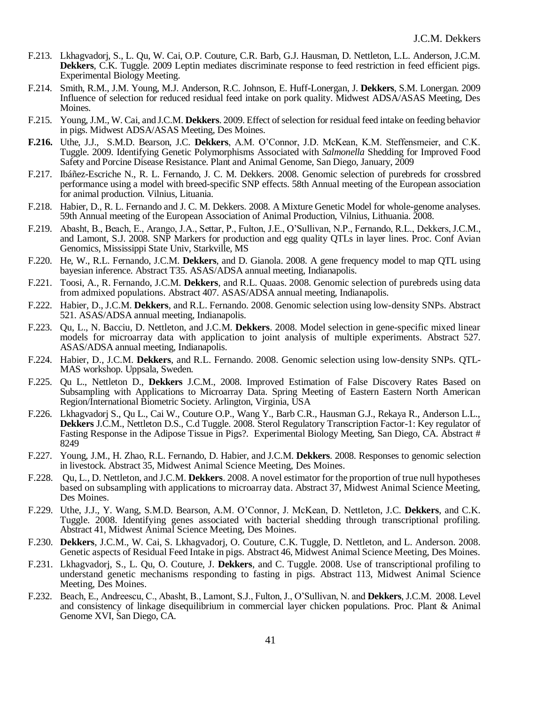- F.213. Lkhagvadorj, S., L. Qu, W. Cai, O.P. Couture, C.R. Barb, G.J. Hausman, D. Nettleton, L.L. Anderson, J.C.M. **Dekkers**, C.K. Tuggle. 2009 Leptin mediates discriminate response to feed restriction in feed efficient pigs. Experimental Biology Meeting.
- F.214. Smith, R.M., J.M. Young, M.J. Anderson, R.C. Johnson, E. Huff-Lonergan, J. **Dekkers**, S.M. Lonergan. 2009 Influence of selection for reduced residual feed intake on pork quality. Midwest ADSA/ASAS Meeting, Des Moines.
- F.215. Young, J.M., W. Cai, and J.C.M. **Dekkers**. 2009. Effect of selection for residual feed intake on feeding behavior in pigs. Midwest ADSA/ASAS Meeting, Des Moines.
- **F.216.** Uthe, J.J., S.M.D. Bearson, J.C. **Dekkers**, A.M. O'Connor, J.D. McKean, K.M. Steffensmeier, and C.K. Tuggle. 2009. Identifying Genetic Polymorphisms Associated with *Salmonella* Shedding for Improved Food Safety and Porcine Disease Resistance. Plant and Animal Genome, San Diego, January, 2009
- F.217. Ibáñez-Escriche N., R. L. Fernando, J. C. M. Dekkers. 2008. Genomic selection of purebreds for crossbred performance using a model with breed-specific SNP effects. 58th Annual meeting of the European association for animal production. Vilnius, Lituania.
- F.218. Habier, D., R. L. Fernando and J. C. M. Dekkers. 2008. A Mixture Genetic Model for whole-genome analyses. 59th Annual meeting of the European Association of Animal Production, Vilnius, Lithuania. 2008.
- F.219. Abasht, B., Beach, E., Arango, J.A., Settar, P., Fulton, J.E., O'Sullivan, N.P., Fernando, R.L., Dekkers,J.C.M., and Lamont, S.J. 2008. SNP Markers for production and egg quality QTLs in layer lines. Proc. Conf Avian Genomics, Mississippi State Univ, Starkville, MS
- F.220. He, W., R.L. Fernando, J.C.M. **Dekkers**, and D. Gianola. 2008. A gene frequency model to map QTL using bayesian inference. Abstract T35. ASAS/ADSA annual meeting, Indianapolis.
- F.221. Toosi, A., R. Fernando, J.C.M. **Dekkers**, and R.L. Quaas. 2008. Genomic selection of purebreds using data from admixed populations. Abstract 407. ASAS/ADSA annual meeting, Indianapolis.
- F.222. Habier, D., J.C.M. **Dekkers**, and R.L. Fernando. 2008. Genomic selection using low-density SNPs. Abstract 521. ASAS/ADSA annual meeting, Indianapolis.
- F.223. Qu, L., N. Bacciu, D. Nettleton, and J.C.M. **Dekkers**. 2008. Model selection in gene-specific mixed linear models for microarray data with application to joint analysis of multiple experiments. Abstract 527. ASAS/ADSA annual meeting, Indianapolis.
- F.224. Habier, D., J.C.M. **Dekkers**, and R.L. Fernando. 2008. Genomic selection using low-density SNPs. QTL-MAS workshop. Uppsala, Sweden.
- F.225. Qu L., Nettleton D., **Dekkers** J.C.M., 2008. Improved Estimation of False Discovery Rates Based on Subsampling with Applications to Microarray Data. Spring Meeting of Eastern Eastern North American Region/International Biometric Society. Arlington, Virginia, USA
- F.226. Lkhagvadorj S., Qu L., Cai W., Couture O.P., Wang Y., Barb C.R., Hausman G.J., Rekaya R., Anderson L.L., **Dekkers** J.C.M., Nettleton D.S., C.d Tuggle. 2008. Sterol Regulatory Transcription Factor-1: Key regulator of Fasting Response in the Adipose Tissue in Pigs?. Experimental Biology Meeting, San Diego, CA. Abstract # 8249
- F.227. Young, J.M., H. Zhao, R.L. Fernando, D. Habier, and J.C.M. **Dekkers**. 2008. Responses to genomic selection in livestock. Abstract 35, Midwest Animal Science Meeting, Des Moines.
- F.228. Qu, L., D. Nettleton, and J.C.M. **Dekkers**. 2008. A novel estimator for the proportion of true null hypotheses based on subsampling with applications to microarray data. Abstract 37, Midwest Animal Science Meeting, Des Moines.
- F.229. Uthe, J.J., Y. Wang, S.M.D. Bearson, A.M. O'Connor, J. McKean, D. Nettleton, J.C. **Dekkers**, and C.K. Tuggle. 2008. Identifying genes associated with bacterial shedding through transcriptional profiling. Abstract 41, Midwest Animal Science Meeting, Des Moines.
- F.230. **Dekkers**, J.C.M., W. Cai, S. Lkhagvadorj, O. Couture, C.K. Tuggle, D. Nettleton, and L. Anderson. 2008. Genetic aspects of Residual Feed Intake in pigs. Abstract 46, Midwest Animal Science Meeting, Des Moines.
- F.231. Lkhagvadorj, S., L. Qu, O. Couture, J. **Dekkers**, and C. Tuggle. 2008. Use of transcriptional profiling to understand genetic mechanisms responding to fasting in pigs. Abstract 113, Midwest Animal Science Meeting, Des Moines.
- F.232. Beach, E., Andreescu, C., Abasht, B., Lamont, S.J., Fulton, J., O'Sullivan, N. and **Dekkers**, J.C.M. 2008. Level and consistency of linkage disequilibrium in commercial layer chicken populations. Proc. Plant & Animal Genome XVI, San Diego, CA.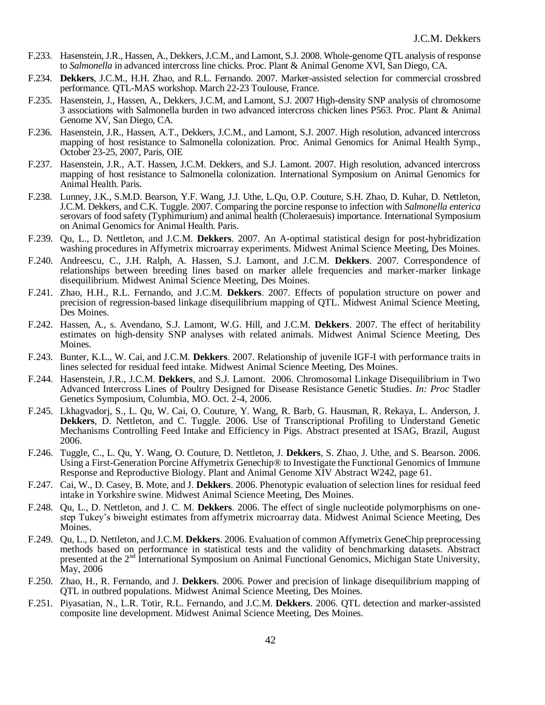- F.233. Hasenstein, J.R., Hassen, A., Dekkers, J.C.M., and Lamont, S.J. 2008. Whole-genome QTL analysis of response to *Salmonella* in advanced intercross line chicks. Proc. Plant & Animal Genome XVI, San Diego, CA.
- F.234. **Dekkers**, J.C.M., H.H. Zhao, and R.L. Fernando. 2007. Marker-assisted selection for commercial crossbred performance. QTL-MAS workshop. March 22-23 Toulouse, France.
- F.235. Hasenstein, J., Hassen, A., Dekkers, J.C.M, and Lamont, S.J. 2007 High-density SNP analysis of chromosome 3 associations with Salmonella burden in two advanced intercross chicken lines P563. Proc. Plant & Animal Genome XV, San Diego, CA.
- F.236. Hasenstein, J.R., Hassen, A.T., Dekkers, J.C.M., and Lamont, S.J. 2007. High resolution, advanced intercross mapping of host resistance to Salmonella colonization. Proc. Animal Genomics for Animal Health Symp., October 23-25, 2007, Paris, OIE
- F.237. Hasenstein, J.R., A.T. Hassen, J.C.M. Dekkers, and S.J. Lamont. 2007. High resolution, advanced intercross mapping of host resistance to Salmonella colonization. International Symposium on Animal Genomics for Animal Health. Paris.
- F.238. Lunney, J.K., S.M.D. Bearson, Y.F. Wang, J.J. Uthe, L.Qu, O.P. Couture, S.H. Zhao, D. Kuhar, D. Nettleton, J.C.M. Dekkers, and C.K. Tuggle. 2007. Comparing the porcine response to infection with *Salmonella enterica* serovars of food safety (Typhimurium) and animal health (Choleraesuis) importance. International Symposium on Animal Genomics for Animal Health. Paris.
- F.239. Qu, L., D. Nettleton, and J.C.M. **Dekkers**. 2007. An A-optimal statistical design for post-hybridization washing procedures in Affymetrix microarray experiments. Midwest Animal Science Meeting, Des Moines.
- F.240. Andreescu, C., J.H. Ralph, A. Hassen, S.J. Lamont, and J.C.M. **Dekkers**. 2007. Correspondence of relationships between breeding lines based on marker allele frequencies and marker-marker linkage disequilibrium. Midwest Animal Science Meeting, Des Moines.
- F.241. Zhao, H.H., R.L. Fernando, and J.C.M. **Dekkers**. 2007. Effects of population structure on power and precision of regression-based linkage disequilibrium mapping of QTL. Midwest Animal Science Meeting, Des Moines.
- F.242. Hassen, A., s. Avendano, S.J. Lamont, W.G. Hill, and J.C.M. **Dekkers**. 2007. The effect of heritability estimates on high-density SNP analyses with related animals. Midwest Animal Science Meeting, Des Moines.
- F.243. Bunter, K.L., W. Cai, and J.C.M. **Dekkers**. 2007. Relationship of juvenile IGF-I with performance traits in lines selected for residual feed intake. Midwest Animal Science Meeting, Des Moines.
- F.244. Hasenstein, J.R., J.C.M. **Dekkers**, and S.J. Lamont. 2006. Chromosomal Linkage Disequilibrium in Two Advanced Intercross Lines of Poultry Designed for Disease Resistance Genetic Studies*. In: Proc* Stadler Genetics Symposium, Columbia, MO. Oct. 2-4, 2006.
- F.245. Lkhagvadorj, S., L. Qu, W. Cai, O. Couture, Y. Wang, R. Barb, G. Hausman, R. Rekaya, L. Anderson, J. **Dekkers**, D. Nettleton, and C. Tuggle. 2006. Use of Transcriptional Profiling to Understand Genetic Mechanisms Controlling Feed Intake and Efficiency in Pigs. Abstract presented at ISAG, Brazil, August 2006.
- F.246. Tuggle, C., L. Qu, Y. Wang, O. Couture, D. Nettleton, J. **Dekkers**, S. Zhao, J. Uthe, and S. Bearson. 2006. Using a First-Generation Porcine Affymetrix Genechip® to Investigate the Functional Genomics of Immune Response and Reproductive Biology. Plant and Animal Genome XIV Abstract W242, page 61.
- F.247. Cai, W., D. Casey, B. Mote, and J. **Dekkers**. 2006. Phenotypic evaluation of selection lines for residual feed intake in Yorkshire swine. Midwest Animal Science Meeting, Des Moines.
- F.248. Qu, L., D. Nettleton, and J. C. M. **Dekkers**. 2006. The effect of single nucleotide polymorphisms on onestep Tukey's biweight estimates from affymetrix microarray data. Midwest Animal Science Meeting, Des Moines.
- F.249. Qu, L., D. Nettleton, and J.C.M. **Dekkers**. 2006. Evaluation of common Affymetrix GeneChip preprocessing methods based on performance in statistical tests and the validity of benchmarking datasets. Abstract presented at the 2<sup>nd</sup> International Symposium on Animal Functional Genomics, Michigan State University, May, 2006
- F.250. Zhao, H., R. Fernando, and J. **Dekkers**. 2006. Power and precision of linkage disequilibrium mapping of QTL in outbred populations. Midwest Animal Science Meeting, Des Moines.
- F.251. Piyasatian, N., L.R. Totir, R.L. Fernando, and J.C.M. **Dekkers**. 2006. QTL detection and marker-assisted composite line development. Midwest Animal Science Meeting, Des Moines.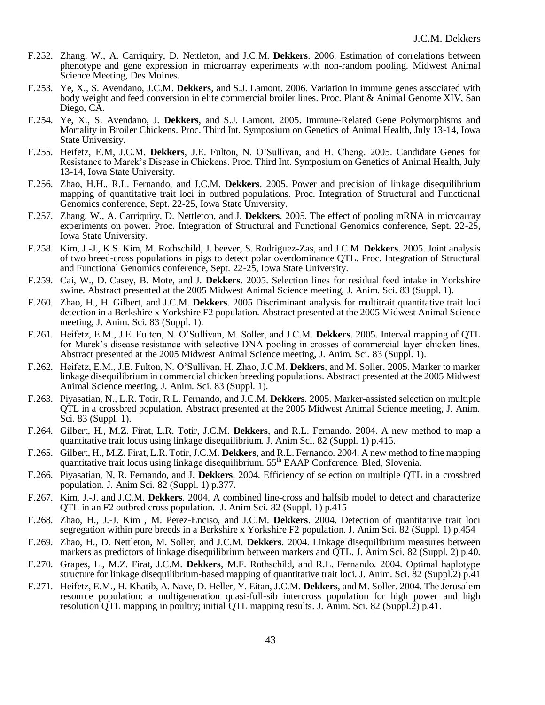- F.252. Zhang, W., A. Carriquiry, D. Nettleton, and J.C.M. **Dekkers**. 2006. Estimation of correlations between phenotype and gene expression in microarray experiments with non-random pooling. Midwest Animal Science Meeting, Des Moines.
- F.253. Ye, X., S. Avendano, J.C.M. **Dekkers**, and S.J. Lamont. 2006. Variation in immune genes associated with body weight and feed conversion in elite commercial broiler lines. Proc. Plant & Animal Genome XIV, San Diego, CA.
- F.254. Ye, X., S. Avendano, J. **Dekkers**, and S.J. Lamont. 2005. Immune-Related Gene Polymorphisms and Mortality in Broiler Chickens. Proc. Third Int. Symposium on Genetics of Animal Health, July 13-14, Iowa State University.
- F.255. Heifetz, E.M, J.C.M. **Dekkers**, J.E. Fulton, N. O'Sullivan, and H. Cheng. 2005. Candidate Genes for Resistance to Marek's Disease in Chickens. Proc. Third Int. Symposium on Genetics of Animal Health, July 13-14, Iowa State University.
- F.256. Zhao, H.H., R.L. Fernando, and J.C.M. **Dekkers**. 2005. Power and precision of linkage disequilibrium mapping of quantitative trait loci in outbred populations. Proc. Integration of Structural and Functional Genomics conference, Sept. 22-25, Iowa State University.
- F.257. Zhang, W., A. Carriquiry, D. Nettleton, and J. **Dekkers**. 2005. The effect of pooling mRNA in microarray experiments on power. Proc. Integration of Structural and Functional Genomics conference, Sept. 22-25, Iowa State University.
- F.258. Kim, J.-J., K.S. Kim, M. Rothschild, J. beever, S. Rodriguez-Zas, and J.C.M. **Dekkers**. 2005. Joint analysis of two breed-cross populations in pigs to detect polar overdominance QTL. Proc. Integration of Structural and Functional Genomics conference, Sept. 22-25, Iowa State University.
- F.259. Cai, W., D. Casey, B. Mote, and J. **Dekkers**. 2005. Selection lines for residual feed intake in Yorkshire swine. Abstract presented at the 2005 Midwest Animal Science meeting, J. Anim. Sci. 83 (Suppl. 1).
- F.260. Zhao, H., H. Gilbert, and J.C.M. **Dekkers**. 2005 Discriminant analysis for multitrait quantitative trait loci detection in a Berkshire x Yorkshire F2 population. Abstract presented at the 2005 Midwest Animal Science meeting, J. Anim. Sci. 83 (Suppl. 1).
- F.261. Heifetz, E.M., J.E. Fulton, N. O'Sullivan, M. Soller, and J.C.M. **Dekkers**. 2005. Interval mapping of QTL for Marek's disease resistance with selective DNA pooling in crosses of commercial layer chicken lines. Abstract presented at the 2005 Midwest Animal Science meeting, J. Anim. Sci. 83 (Suppl. 1).
- F.262. Heifetz, E.M., J.E. Fulton, N. O'Sullivan, H. Zhao, J.C.M. **Dekkers**, and M. Soller. 2005. Marker to marker linkage disequilibrium in commercial chicken breeding populations. Abstract presented at the 2005 Midwest Animal Science meeting, J. Anim. Sci. 83 (Suppl. 1).
- F.263. Piyasatian, N., L.R. Totir, R.L. Fernando, and J.C.M. **Dekkers**. 2005. Marker-assisted selection on multiple QTL in a crossbred population. Abstract presented at the 2005 Midwest Animal Science meeting, J. Anim. Sci. 83 (Suppl. 1).
- F.264. Gilbert, H., M.Z. Firat, L.R. Totir, J.C.M. **Dekkers**, and R.L. Fernando. 2004. A new method to map a quantitative trait locus using linkage disequilibrium. J. Anim Sci. 82 (Suppl. 1) p.415.
- F.265. Gilbert, H., M.Z. Firat, L.R. Totir, J.C.M. **Dekkers**, and R.L. Fernando. 2004. A new method to fine mapping quantitative trait locus using linkage disequilibrium. 55<sup>th</sup> EAAP Conference, Bled, Slovenia.
- F.266. Piyasatian, N, R. Fernando, and J. **Dekkers**, 2004. Efficiency of selection on multiple QTL in a crossbred population. J. Anim Sci. 82 (Suppl. 1) p.377.
- F.267. Kim, J.-J. and J.C.M. **Dekkers**. 2004. A combined line-cross and halfsib model to detect and characterize QTL in an F2 outbred cross population. J. Anim Sci. 82 (Suppl. 1) p.415
- F.268. Zhao, H., J.-J. Kim , M. Perez-Enciso, and J.C.M. **Dekkers**. 2004. Detection of quantitative trait loci segregation within pure breeds in a Berkshire x Yorkshire F2 population. J. Anim Sci. 82 (Suppl. 1) p.454
- F.269. Zhao, H., D. Nettleton, M. Soller, and J.C.M. **Dekkers**. 2004. Linkage disequilibrium measures between markers as predictors of linkage disequilibrium between markers and QTL. J. Anim Sci. 82 (Suppl. 2) p.40.
- F.270. Grapes, L., M.Z. Firat, J.C.M. **Dekkers**, M.F. Rothschild, and R.L. Fernando. 2004. Optimal haplotype structure for linkage disequilibrium-based mapping of quantitative trait loci. J. Anim. Sci. 82 (Suppl.2) p.41
- F.271. Heifetz, E.M., H. Khatib, A. Nave, D. Heller, Y. Eitan, J.C.M. **Dekkers**, and M. Soller. 2004. The Jerusalem resource population: a multigeneration quasi-full-sib intercross population for high power and high resolution QTL mapping in poultry; initial QTL mapping results. J. Anim. Sci. 82 (Suppl.2) p.41.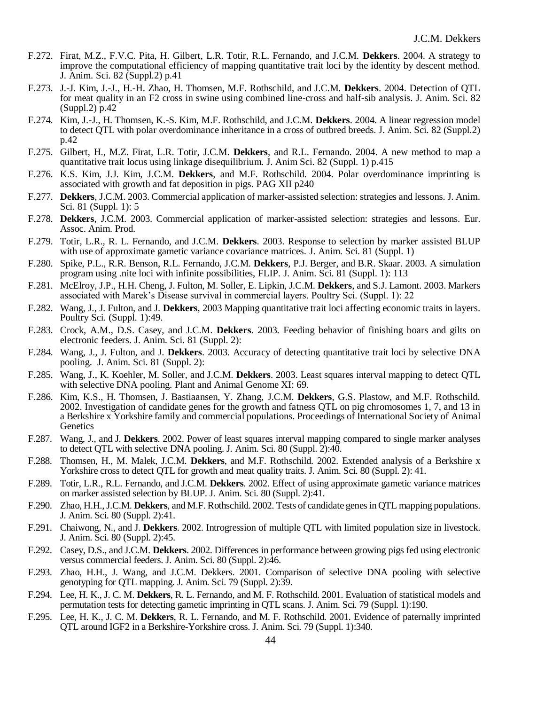- F.272. Firat, M.Z., F.V.C. Pita, H. Gilbert, L.R. Totir, R.L. Fernando, and J.C.M. **Dekkers**. 2004. A strategy to improve the computational efficiency of mapping quantitative trait loci by the identity by descent method. J. Anim. Sci. 82 (Suppl.2) p.41
- F.273. J.-J. Kim, J.-J., H.-H. Zhao, H. Thomsen, M.F. Rothschild, and J.C.M. **Dekkers**. 2004. Detection of QTL for meat quality in an F2 cross in swine using combined line-cross and half-sib analysis. J. Anim. Sci. 82 (Suppl.2) p.42
- F.274. Kim, J.-J., H. Thomsen, K.-S. Kim, M.F. Rothschild, and J.C.M. **Dekkers**. 2004. A linear regression model to detect QTL with polar overdominance inheritance in a cross of outbred breeds. J. Anim. Sci. 82 (Suppl.2) p.42
- F.275. Gilbert, H., M.Z. Firat, L.R. Totir, J.C.M. **Dekkers**, and R.L. Fernando. 2004. A new method to map a quantitative trait locus using linkage disequilibrium. J. Anim Sci. 82 (Suppl. 1) p.415
- F.276. K.S. Kim, J.J. Kim, J.C.M. **Dekkers**, and M.F. Rothschild. 2004. Polar overdominance imprinting is associated with growth and fat deposition in pigs. PAG XII p240
- F.277. **Dekkers**, J.C.M. 2003. Commercial application of marker-assisted selection: strategies and lessons. J. Anim. Sci. 81 (Suppl. 1): 5
- F.278. **Dekkers**, J.C.M. 2003. Commercial application of marker-assisted selection: strategies and lessons. Eur. Assoc. Anim. Prod.
- F.279. Totir, L.R., R. L. Fernando, and J.C.M. **Dekkers**. 2003. Response to selection by marker assisted BLUP with use of approximate gametic variance covariance matrices. J. Anim. Sci. 81 (Suppl. 1)
- F.280. Spike, P.L., R.R. Benson, R.L. Fernando, J.C.M. **Dekkers**, P.J. Berger, and B.R. Skaar. 2003. A simulation program using .nite loci with infinite possibilities, FLIP. J. Anim. Sci. 81 (Suppl. 1): 113
- F.281. McElroy, J.P., H.H. Cheng, J. Fulton, M. Soller, E. Lipkin, J.C.M. **Dekkers**, and S.J. Lamont. 2003. Markers associated with Marek's Disease survival in commercial layers. Poultry Sci. (Suppl. 1): 22
- F.282. Wang, J., J. Fulton, and J. **Dekkers**, 2003 Mapping quantitative trait loci affecting economic traits in layers. Poultry Sci. (Suppl. 1):49.
- F.283. Crock, A.M., D.S. Casey, and J.C.M. **Dekkers**. 2003. Feeding behavior of finishing boars and gilts on electronic feeders. J. Anim. Sci. 81 (Suppl. 2):
- F.284. Wang, J., J. Fulton, and J. **Dekkers**. 2003. Accuracy of detecting quantitative trait loci by selective DNA pooling. J. Anim. Sci. 81 (Suppl. 2):
- F.285. Wang, J., K. Koehler, M. Soller, and J.C.M. **Dekkers**. 2003. Least squares interval mapping to detect QTL with selective DNA pooling. Plant and Animal Genome XI: 69.
- F.286. Kim, K.S., H. Thomsen, J. Bastiaansen, Y. Zhang, J.C.M. **Dekkers**, G.S. Plastow, and M.F. Rothschild. 2002. Investigation of candidate genes for the growth and fatness QTL on pig chromosomes 1, 7, and 13 in a Berkshire x Yorkshire family and commercial populations. Proceedings of International Society of Animal **Genetics**
- F.287. Wang, J., and J. **Dekkers**. 2002. Power of least squares interval mapping compared to single marker analyses to detect QTL with selective DNA pooling. J. Anim. Sci. 80 (Suppl. 2):40.
- F.288. Thomsen, H., M. Malek, J.C.M. **Dekkers**, and M.F. Rothschild. 2002. Extended analysis of a Berkshire x Yorkshire cross to detect QTL for growth and meat quality traits. J. Anim. Sci. 80 (Suppl. 2): 41.
- F.289. Totir, L.R., R.L. Fernando, and J.C.M. **Dekkers**. 2002. Effect of using approximate gametic variance matrices on marker assisted selection by BLUP. J. Anim. Sci. 80 (Suppl. 2):41.
- F.290. Zhao, H.H., J.C.M. **Dekkers**, and M.F. Rothschild. 2002. Tests of candidate genes in QTL mapping populations. J. Anim. Sci. 80 (Suppl. 2):41.
- F.291. Chaiwong, N., and J. **Dekkers**. 2002. Introgression of multiple QTL with limited population size in livestock. J. Anim. Sci. 80 (Suppl. 2):45.
- F.292. Casey, D.S., and J.C.M. **Dekkers**. 2002. Differences in performance between growing pigs fed using electronic versus commercial feeders. J. Anim. Sci. 80 (Suppl. 2):46.
- F.293. Zhao, H.H., J. Wang, and J.C.M. Dekkers. 2001. Comparison of selective DNA pooling with selective genotyping for QTL mapping. J. Anim. Sci. 79 (Suppl. 2):39.
- F.294. Lee, H. K., J. C. M. **Dekkers**, R. L. Fernando, and M. F. Rothschild. 2001. Evaluation of statistical models and permutation tests for detecting gametic imprinting in QTL scans. J. Anim. Sci. 79 (Suppl. 1):190.
- F.295. Lee, H. K., J. C. M. **Dekkers**, R. L. Fernando, and M. F. Rothschild. 2001. Evidence of paternally imprinted QTL around IGF2 in a Berkshire-Yorkshire cross. J. Anim. Sci. 79 (Suppl. 1):340.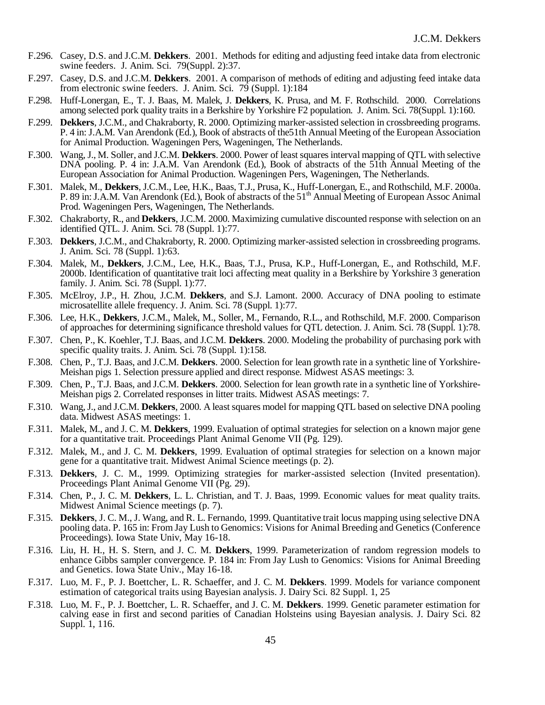- F.296. Casey, D.S. and J.C.M. **Dekkers**. 2001. Methods for editing and adjusting feed intake data from electronic swine feeders. J. Anim. Sci. 79(Suppl. 2):37.
- F.297. Casey, D.S. and J.C.M. **Dekkers**. 2001. A comparison of methods of editing and adjusting feed intake data from electronic swine feeders. J. Anim. Sci. 79 (Suppl. 1):184
- F.298. Huff-Lonergan, E., T. J. Baas, M. Malek, J. **Dekkers**, K. Prusa, and M. F. Rothschild. 2000. Correlations among selected pork quality traits in a Berkshire by Yorkshire F2 population. J. Anim. Sci. 78(Suppl. 1):160.
- F.299. **Dekkers**, J.C.M., and Chakraborty, R. 2000. Optimizing marker-assisted selection in crossbreeding programs. P. 4 in: J.A.M. Van Arendonk (Ed.), Book of abstracts of the51th Annual Meeting of the European Association for Animal Production. Wageningen Pers, Wageningen, The Netherlands.
- F.300. Wang, J., M. Soller, and J.C.M. **Dekkers**. 2000. Power of least squares interval mapping of QTL with selective DNA pooling. P. 4 in: J.A.M. Van Arendonk (Ed.), Book of abstracts of the 51th Annual Meeting of the European Association for Animal Production. Wageningen Pers, Wageningen, The Netherlands.
- F.301. Malek, M., **Dekkers**, J.C.M., Lee, H.K., Baas, T.J., Prusa, K., Huff-Lonergan, E., and Rothschild, M.F. 2000a. P. 89 in: J.A.M. Van Arendonk (Ed.), Book of abstracts of the 51<sup>th</sup> Annual Meeting of European Assoc Animal Prod. Wageningen Pers, Wageningen, The Netherlands.
- F.302. Chakraborty, R., and **Dekkers**, J.C.M. 2000. Maximizing cumulative discounted response with selection on an identified QTL. J. Anim. Sci. 78 (Suppl. 1):77.
- F.303. **Dekkers**, J.C.M., and Chakraborty, R. 2000. Optimizing marker-assisted selection in crossbreeding programs. J. Anim. Sci. 78 (Suppl. 1):63.
- F.304. Malek, M., **Dekkers**, J.C.M., Lee, H.K., Baas, T.J., Prusa, K.P., Huff-Lonergan, E., and Rothschild, M.F. 2000b. Identification of quantitative trait loci affecting meat quality in a Berkshire by Yorkshire 3 generation family. J. Anim. Sci. 78 (Suppl. 1):77.
- F.305. McElroy, J.P., H. Zhou, J.C.M. **Dekkers**, and S.J. Lamont. 2000. Accuracy of DNA pooling to estimate microsatellite allele frequency. J. Anim. Sci. 78 (Suppl. 1):77.
- F.306. Lee, H.K., **Dekkers**, J.C.M., Malek, M., Soller, M., Fernando, R.L., and Rothschild, M.F. 2000. Comparison of approaches for determining significance threshold values for QTL detection. J. Anim. Sci. 78 (Suppl. 1):78.
- F.307. Chen, P., K. Koehler, T.J. Baas, and J.C.M. **Dekkers**. 2000. Modeling the probability of purchasing pork with specific quality traits. J. Anim. Sci. 78 (Suppl. 1):158.
- F.308. Chen, P., T.J. Baas, and J.C.M. **Dekkers**. 2000. Selection for lean growth rate in a synthetic line of Yorkshire-Meishan pigs 1. Selection pressure applied and direct response. Midwest ASAS meetings: 3.
- F.309. Chen, P., T.J. Baas, and J.C.M. **Dekkers**. 2000. Selection for lean growth rate in a synthetic line of Yorkshire-Meishan pigs 2. Correlated responses in litter traits. Midwest ASAS meetings: 7.
- F.310. Wang, J., and J.C.M. **Dekkers**, 2000. A least squares model for mapping QTL based on selective DNA pooling data. Midwest ASAS meetings: 1.
- F.311. Malek, M., and J. C. M. **Dekkers**, 1999. Evaluation of optimal strategies for selection on a known major gene for a quantitative trait. Proceedings Plant Animal Genome VII (Pg. 129).
- F.312. Malek, M., and J. C. M. **Dekkers**, 1999. Evaluation of optimal strategies for selection on a known major gene for a quantitative trait. Midwest Animal Science meetings (p. 2).
- F.313. **Dekkers**, J. C. M., 1999. Optimizing strategies for marker-assisted selection (Invited presentation). Proceedings Plant Animal Genome VII (Pg. 29).
- F.314. Chen, P., J. C. M. **Dekkers**, L. L. Christian, and T. J. Baas, 1999. Economic values for meat quality traits. Midwest Animal Science meetings (p. 7).
- F.315. **Dekkers**, J. C. M., J. Wang, and R. L. Fernando, 1999. Quantitative trait locus mapping using selective DNA pooling data. P. 165 in: From Jay Lush to Genomics: Visions for Animal Breeding and Genetics (Conference Proceedings). Iowa State Univ, May 16-18.
- F.316. Liu, H. H., H. S. Stern, and J. C. M. **Dekkers**, 1999. Parameterization of random regression models to enhance Gibbs sampler convergence. P. 184 in: From Jay Lush to Genomics: Visions for Animal Breeding and Genetics. Iowa State Univ., May 16-18.
- F.317. Luo, M. F., P. J. Boettcher, L. R. Schaeffer, and J. C. M. **Dekkers**. 1999. Models for variance component estimation of categorical traits using Bayesian analysis. J. Dairy Sci. 82 Suppl. 1, 25
- F.318. Luo, M. F., P. J. Boettcher, L. R. Schaeffer, and J. C. M. **Dekkers**. 1999. Genetic parameter estimation for calving ease in first and second parities of Canadian Holsteins using Bayesian analysis. J. Dairy Sci. 82 Suppl. 1, 116.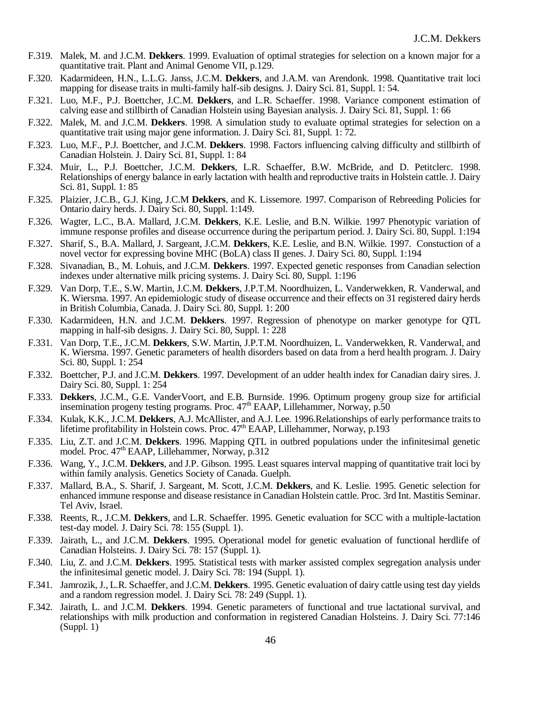- F.319. Malek, M. and J.C.M. **Dekkers**. 1999. Evaluation of optimal strategies for selection on a known major for a quantitative trait. Plant and Animal Genome VII, p.129.
- F.320. Kadarmideen, H.N., L.L.G. Janss, J.C.M. **Dekkers**, and J.A.M. van Arendonk. 1998. Quantitative trait loci mapping for disease traits in multi-family half-sib designs. J. Dairy Sci. 81, Suppl. 1: 54.
- F.321. Luo, M.F., P.J. Boettcher, J.C.M. **Dekkers**, and L.R. Schaeffer. 1998. Variance component estimation of calving ease and stillbirth of Canadian Holstein using Bayesian analysis. J. Dairy Sci. 81, Suppl. 1: 66
- F.322. Malek, M. and J.C.M. **Dekkers**. 1998. A simulation study to evaluate optimal strategies for selection on a quantitative trait using major gene information. J. Dairy Sci. 81, Suppl. 1: 72.
- F.323. Luo, M.F., P.J. Boettcher, and J.C.M. **Dekkers**. 1998. Factors influencing calving difficulty and stillbirth of Canadian Holstein. J. Dairy Sci. 81, Suppl. 1: 84
- F.324. Muir, L., P.J. Boettcher, J.C.M. **Dekkers**, L.R. Schaeffer, B.W. McBride, and D. Petitclerc. 1998. Relationships of energy balance in early lactation with health and reproductive traits in Holstein cattle. J. Dairy Sci. 81, Suppl. 1: 85
- F.325. Plaizier, J.C.B., G.J. King, J.C.M **Dekkers**, and K. Lissemore. 1997. Comparison of Rebreeding Policies for Ontario dairy herds. J. Dairy Sci. 80, Suppl. 1:149.
- F.326. Wagter, L.C., B.A. Mallard, J.C.M. **Dekkers**, K.E. Leslie, and B.N. Wilkie. 1997 Phenotypic variation of immune response profiles and disease occurrence during the peripartum period. J. Dairy Sci. 80, Suppl. 1:194
- F.327. Sharif, S., B.A. Mallard, J. Sargeant, J.C.M. **Dekkers**, K.E. Leslie, and B.N. Wilkie. 1997. Constuction of a novel vector for expressing bovine MHC (BoLA) class II genes. J. Dairy Sci. 80, Suppl. 1:194
- F.328. Sivanadian, B., M. Lohuis, and J.C.M. **Dekkers**. 1997. Expected genetic responses from Canadian selection indexes under alternative milk pricing systems. J. Dairy Sci. 80, Suppl. 1:196
- F.329. Van Dorp, T.E., S.W. Martin, J.C.M. **Dekkers**, J.P.T.M. Noordhuizen, L. Vanderwekken, R. Vanderwal, and K. Wiersma. 1997. An epidemiologic study of disease occurrence and their effects on 31 registered dairy herds in British Columbia, Canada. J. Dairy Sci. 80, Suppl. 1: 200
- F.330. Kadarmideen, H.N. and J.C.M. **Dekkers**. 1997. Regression of phenotype on marker genotype for QTL mapping in half-sib designs. J. Dairy Sci. 80, Suppl. 1: 228
- F.331. Van Dorp, T.E., J.C.M. **Dekkers**, S.W. Martin, J.P.T.M. Noordhuizen, L. Vanderwekken, R. Vanderwal, and K. Wiersma. 1997. Genetic parameters of health disorders based on data from a herd health program. J. Dairy Sci. 80, Suppl. 1: 254
- F.332. Boettcher, P.J. and J.C.M. **Dekkers**. 1997. Development of an udder health index for Canadian dairy sires. J. Dairy Sci. 80, Suppl. 1: 254
- F.333. **Dekkers**, J.C.M., G.E. VanderVoort, and E.B. Burnside. 1996. Optimum progeny group size for artificial insemination progeny testing programs. Proc.  $47<sup>th</sup>$  EAAP, Lillehammer, Norway, p.50
- F.334. Kulak, K.K., J.C.M. **Dekkers**, A.J. McAllister, and A.J. Lee. 1996.Relationships of early performance traits to lifetime profitability in Holstein cows. Proc.  $47<sup>th</sup>$  EAAP, Lillehammer, Norway, p.193
- F.335. Liu, Z.T. and J.C.M. **Dekkers**. 1996. Mapping QTL in outbred populations under the infinitesimal genetic model. Proc. 47<sup>th</sup> EAAP, Lillehammer, Norway, p.312
- F.336. Wang, Y., J.C.M. **Dekkers**, and J.P. Gibson. 1995. Least squares interval mapping of quantitative trait loci by within family analysis. Genetics Society of Canada. Guelph.
- F.337. Mallard, B.A., S. Sharif, J. Sargeant, M. Scott, J.C.M. **Dekkers**, and K. Leslie. 1995. Genetic selection for enhanced immune response and disease resistance in Canadian Holstein cattle. Proc. 3rd Int. Mastitis Seminar. Tel Aviv, Israel.
- F.338. Reents, R., J.C.M. **Dekkers**, and L.R. Schaeffer. 1995. Genetic evaluation for SCC with a multiple-lactation test-day model. J. Dairy Sci. 78: 155 (Suppl. 1).
- F.339. Jairath, L., and J.C.M. **Dekkers**. 1995. Operational model for genetic evaluation of functional herdlife of Canadian Holsteins. J. Dairy Sci. 78: 157 (Suppl. 1).
- F.340. Liu, Z. and J.C.M. **Dekkers**. 1995. Statistical tests with marker assisted complex segregation analysis under the infinitesimal genetic model. J. Dairy Sci. 78: 194 (Suppl. 1).
- F.341. Jamrozik, J., L.R. Schaeffer, and J.C.M. **Dekkers**. 1995. Genetic evaluation of dairy cattle using test day yields and a random regression model. J. Dairy Sci. 78: 249 (Suppl. 1).
- F.342. Jairath, L. and J.C.M. **Dekkers**. 1994. Genetic parameters of functional and true lactational survival, and relationships with milk production and conformation in registered Canadian Holsteins. J. Dairy Sci. 77:146 (Suppl. 1)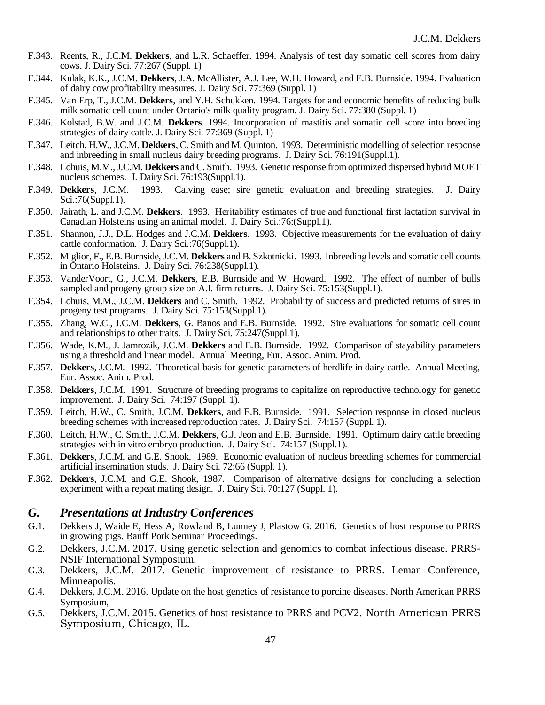- F.343. Reents, R., J.C.M. **Dekkers**, and L.R. Schaeffer. 1994. Analysis of test day somatic cell scores from dairy cows. J. Dairy Sci. 77:267 (Suppl. 1)
- F.344. Kulak, K.K., J.C.M. **Dekkers**, J.A. McAllister, A.J. Lee, W.H. Howard, and E.B. Burnside. 1994. Evaluation of dairy cow profitability measures. J. Dairy Sci. 77:369 (Suppl. 1)
- F.345. Van Erp, T., J.C.M. **Dekkers**, and Y.H. Schukken. 1994. Targets for and economic benefits of reducing bulk milk somatic cell count under Ontario's milk quality program. J. Dairy Sci. 77:380 (Suppl. 1)
- F.346. Kolstad, B.W. and J.C.M. **Dekkers**. 1994. Incorporation of mastitis and somatic cell score into breeding strategies of dairy cattle. J. Dairy Sci. 77:369 (Suppl. 1)
- F.347. Leitch, H.W., J.C.M. **Dekkers**, C. Smith and M. Quinton. 1993. Deterministic modelling of selection response and inbreeding in small nucleus dairy breeding programs. J. Dairy Sci. 76:191(Suppl.1).
- F.348. Lohuis, M.M., J.C.M. **Dekkers** and C. Smith. 1993. Genetic response from optimized dispersed hybrid MOET nucleus schemes. J. Dairy Sci. 76:193(Suppl.1).
- F.349. **Dekkers**, J.C.M. 1993. Calving ease; sire genetic evaluation and breeding strategies. J. Dairy Sci.:76(Suppl.1).
- F.350. Jairath, L. and J.C.M. **Dekkers**. 1993. Heritability estimates of true and functional first lactation survival in Canadian Holsteins using an animal model. J. Dairy Sci.:76:(Suppl.1).
- F.351. Shannon, J.J., D.L. Hodges and J.C.M. **Dekkers**. 1993. Objective measurements for the evaluation of dairy cattle conformation. J. Dairy Sci.:76(Suppl.1).
- F.352. Miglior, F., E.B. Burnside, J.C.M. **Dekkers** and B. Szkotnicki. 1993. Inbreeding levels and somatic cell counts in Ontario Holsteins. J. Dairy Sci. 76:238(Suppl.1).
- F.353. VanderVoort, G., J.C.M. **Dekkers**, E.B. Burnside and W. Howard. 1992. The effect of number of bulls sampled and progeny group size on A.I. firm returns. J. Dairy Sci. 75:153(Suppl.1).
- F.354. Lohuis, M.M., J.C.M. **Dekkers** and C. Smith. 1992. Probability of success and predicted returns of sires in progeny test programs. J. Dairy Sci. 75:153(Suppl.1).
- F.355. Zhang, W.C., J.C.M. **Dekkers**, G. Banos and E.B. Burnside. 1992. Sire evaluations for somatic cell count and relationships to other traits. J. Dairy Sci. 75:247(Suppl.1).
- F.356. Wade, K.M., J. Jamrozik, J.C.M. **Dekkers** and E.B. Burnside. 1992. Comparison of stayability parameters using a threshold and linear model. Annual Meeting, Eur. Assoc. Anim. Prod.
- F.357. **Dekkers**, J.C.M. 1992. Theoretical basis for genetic parameters of herdlife in dairy cattle. Annual Meeting, Eur. Assoc. Anim. Prod.
- F.358. **Dekkers**, J.C.M. 1991. Structure of breeding programs to capitalize on reproductive technology for genetic improvement. J. Dairy Sci. 74:197 (Suppl. 1).
- F.359. Leitch, H.W., C. Smith, J.C.M. **Dekkers**, and E.B. Burnside. 1991. Selection response in closed nucleus breeding schemes with increased reproduction rates. J. Dairy Sci. 74:157 (Suppl. 1).
- F.360. Leitch, H.W., C. Smith, J.C.M. **Dekkers**, G.J. Jeon and E.B. Burnside. 1991. Optimum dairy cattle breeding strategies with in vitro embryo production. J. Dairy Sci. 74:157 (Suppl.1).
- F.361. **Dekkers**, J.C.M. and G.E. Shook. 1989. Economic evaluation of nucleus breeding schemes for commercial artificial insemination studs. J. Dairy Sci. 72:66 (Suppl. 1).
- F.362. **Dekkers**, J.C.M. and G.E. Shook, 1987. Comparison of alternative designs for concluding a selection experiment with a repeat mating design. J. Dairy Sci. 70:127 (Suppl. 1).

### *G. Presentations at Industry Conferences*

- G.1. Dekkers J, Waide E, Hess A, Rowland B, Lunney J, Plastow G. 2016. Genetics of host response to PRRS in growing pigs. Banff Pork Seminar Proceedings.
- G.2. Dekkers, J.C.M. 2017. Using genetic selection and genomics to combat infectious disease. PRRS-NSIF International Symposium.
- G.3. Dekkers, J.C.M. 2017. Genetic improvement of resistance to PRRS. Leman Conference, Minneapolis.
- G.4. Dekkers, J.C.M. 2016. Update on the host genetics of resistance to porcine diseases. North American PRRS Symposium,
- G.5. Dekkers, J.C.M. 2015. Genetics of host resistance to PRRS and PCV2. North American PRRS Symposium, Chicago, IL.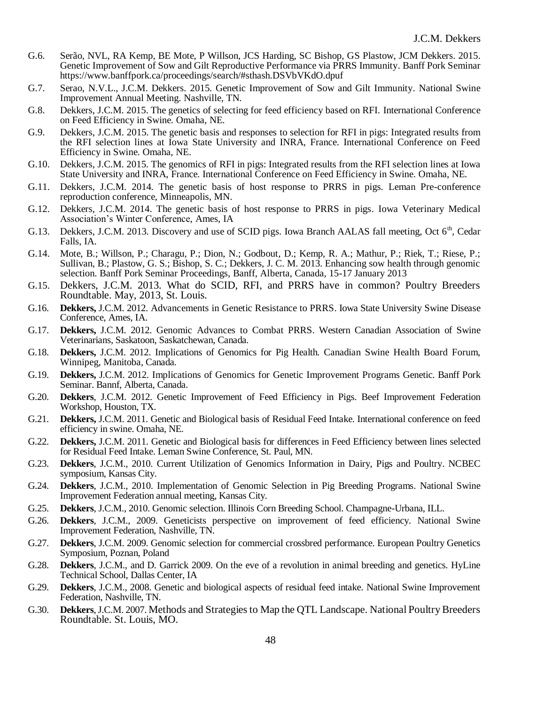- G.6. Serão, NVL, RA Kemp, BE Mote, P Willson, JCS Harding, SC Bishop, GS Plastow, JCM Dekkers. 2015. Genetic Improvement of Sow and Gilt Reproductive Performance via PRRS Immunity. Banff Pork Seminar https://www.banffpork.ca/proceedings/search/#sthash.DSVbVKdO.dpuf
- G.7. Serao, N.V.L., J.C.M. Dekkers. 2015. Genetic Improvement of Sow and Gilt Immunity. National Swine Improvement Annual Meeting. Nashville, TN.
- G.8. Dekkers, J.C.M. 2015. The genetics of selecting for feed efficiency based on RFI. International Conference on Feed Efficiency in Swine. Omaha, NE.
- G.9. Dekkers, J.C.M. 2015. The genetic basis and responses to selection for RFI in pigs: Integrated results from the RFI selection lines at Iowa State University and INRA, France. International Conference on Feed Efficiency in Swine. Omaha, NE.
- G.10. Dekkers, J.C.M. 2015. The genomics of RFI in pigs: Integrated results from the RFI selection lines at Iowa State University and INRA, France. International Conference on Feed Efficiency in Swine. Omaha, NE.
- G.11. Dekkers, J.C.M. 2014. The genetic basis of host response to PRRS in pigs. Leman Pre-conference reproduction conference, Minneapolis, MN.
- G.12. Dekkers, J.C.M. 2014. The genetic basis of host response to PRRS in pigs. Iowa Veterinary Medical Association's Winter Conference, Ames, IA
- G.13. Dekkers, J.C.M. 2013. Discovery and use of SCID pigs. Iowa Branch AALAS fall meeting, Oct  $6<sup>th</sup>$ , Cedar Falls, IA.
- G.14. Mote, B.; Willson, P.; Charagu, P.; Dion, N.; Godbout, D.; Kemp, R. A.; Mathur, P.; Riek, T.; Riese, P.; Sullivan, B.; Plastow, G. S.; Bishop, S. C.; Dekkers, J. C. M. 2013. Enhancing sow health through genomic selection. Banff Pork Seminar Proceedings, Banff, Alberta, Canada, 15-17 January 2013
- G.15. Dekkers, J.C.M. 2013. What do SCID, RFI, and PRRS have in common? Poultry Breeders Roundtable. May, 2013, St. Louis.
- G.16. **Dekkers,** J.C.M. 2012. Advancements in Genetic Resistance to PRRS. Iowa State University Swine Disease Conference, Ames, IA.
- G.17. **Dekkers,** J.C.M. 2012. Genomic Advances to Combat PRRS. Western Canadian Association of Swine Veterinarians, Saskatoon, Saskatchewan, Canada.
- G.18. **Dekkers,** J.C.M. 2012. Implications of Genomics for Pig Health. Canadian Swine Health Board Forum, Winnipeg, Manitoba, Canada.
- G.19. **Dekkers,** J.C.M. 2012. Implications of Genomics for Genetic Improvement Programs Genetic. Banff Pork Seminar. Bannf, Alberta, Canada.
- G.20. **Dekkers**, J.C.M. 2012. Genetic Improvement of Feed Efficiency in Pigs. Beef Improvement Federation Workshop, Houston, TX.
- G.21. **Dekkers,** J.C.M. 2011. Genetic and Biological basis of Residual Feed Intake. International conference on feed efficiency in swine. Omaha, NE.
- G.22. **Dekkers,** J.C.M. 2011. Genetic and Biological basis for differences in Feed Efficiency between lines selected for Residual Feed Intake. Leman Swine Conference, St. Paul, MN.
- G.23. **Dekkers**, J.C.M., 2010. Current Utilization of Genomics Information in Dairy, Pigs and Poultry. NCBEC symposium, Kansas City.
- G.24. **Dekkers**, J.C.M., 2010. Implementation of Genomic Selection in Pig Breeding Programs. National Swine Improvement Federation annual meeting, Kansas City.
- G.25. **Dekkers**, J.C.M., 2010. Genomic selection. Illinois Corn Breeding School. Champagne-Urbana, ILL.
- G.26. **Dekkers**, J.C.M., 2009. Geneticists perspective on improvement of feed efficiency. National Swine Improvement Federation, Nashville, TN.
- G.27. **Dekkers**, J.C.M. 2009. Genomic selection for commercial crossbred performance. European Poultry Genetics Symposium, Poznan, Poland
- G.28. **Dekkers**, J.C.M., and D. Garrick 2009. On the eve of a revolution in animal breeding and genetics. HyLine Technical School, Dallas Center, IA
- G.29. **Dekkers**, J.C.M., 2008. Genetic and biological aspects of residual feed intake. National Swine Improvement Federation, Nashville, TN.
- G.30. **Dekkers**, J.C.M. 2007. Methods and Strategies to Map the QTL Landscape. National Poultry Breeders Roundtable. St. Louis, MO.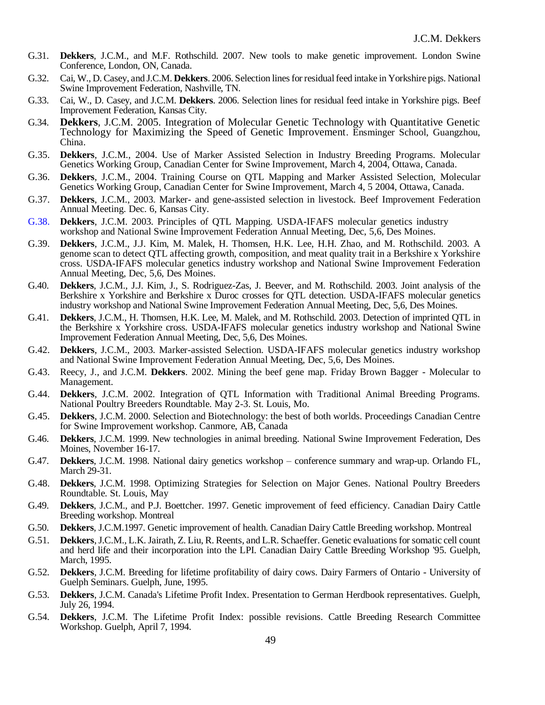- G.31. **Dekkers**, J.C.M., and M.F. Rothschild. 2007. New tools to make genetic improvement. London Swine Conference, London, ON, Canada.
- G.32. Cai, W., D. Casey, and J.C.M. **Dekkers**. 2006. Selection lines for residual feed intake in Yorkshire pigs. National Swine Improvement Federation, Nashville, TN.
- G.33. Cai, W., D. Casey, and J.C.M. **Dekkers**. 2006. Selection lines for residual feed intake in Yorkshire pigs. Beef Improvement Federation, Kansas City.
- G.34. **Dekkers**, J.C.M. 2005. Integration of Molecular Genetic Technology with Quantitative Genetic Technology for Maximizing the Speed of Genetic Improvement. Ensminger School, Guangzhou, China.
- G.35. **Dekkers**, J.C.M., 2004. Use of Marker Assisted Selection in Industry Breeding Programs. Molecular Genetics Working Group, Canadian Center for Swine Improvement, March 4, 2004, Ottawa, Canada.
- G.36. **Dekkers**, J.C.M., 2004. Training Course on QTL Mapping and Marker Assisted Selection, Molecular Genetics Working Group, Canadian Center for Swine Improvement, March 4, 5 2004, Ottawa, Canada.
- G.37. **Dekkers**, J.C.M., 2003. Marker- and gene-assisted selection in livestock. Beef Improvement Federation Annual Meeting. Dec. 6, Kansas City.
- G.38. **Dekkers**, J.C.M. 2003. Principles of QTL Mapping. USDA-IFAFS molecular genetics industry workshop and National Swine Improvement Federation Annual Meeting, Dec, 5,6, Des Moines.
- G.39. **Dekkers**, J.C.M., J.J. Kim, M. Malek, H. Thomsen, H.K. Lee, H.H. Zhao, and M. Rothschild. 2003. A genome scan to detect QTL affecting growth, composition, and meat quality trait in a Berkshire x Yorkshire cross. USDA-IFAFS molecular genetics industry workshop and National Swine Improvement Federation Annual Meeting, Dec, 5,6, Des Moines.
- G.40. **Dekkers**, J.C.M., J.J. Kim, J., S. Rodriguez-Zas, J. Beever, and M. Rothschild. 2003. Joint analysis of the Berkshire x Yorkshire and Berkshire x Duroc crosses for QTL detection. USDA-IFAFS molecular genetics industry workshop and National Swine Improvement Federation Annual Meeting, Dec, 5,6, Des Moines.
- G.41. **Dekkers**, J.C.M., H. Thomsen, H.K. Lee, M. Malek, and M. Rothschild. 2003. Detection of imprinted QTL in the Berkshire x Yorkshire cross. USDA-IFAFS molecular genetics industry workshop and National Swine Improvement Federation Annual Meeting, Dec, 5,6, Des Moines.
- G.42. **Dekkers**, J.C.M., 2003. Marker-assisted Selection. USDA-IFAFS molecular genetics industry workshop and National Swine Improvement Federation Annual Meeting, Dec, 5,6, Des Moines.
- G.43. Reecy, J., and J.C.M. **Dekkers**. 2002. Mining the beef gene map. Friday Brown Bagger Molecular to Management.
- G.44. **Dekkers**, J.C.M. 2002. Integration of QTL Information with Traditional Animal Breeding Programs. National Poultry Breeders Roundtable. May 2-3. St. Louis, Mo.
- G.45. **Dekkers**, J.C.M. 2000. Selection and Biotechnology: the best of both worlds. Proceedings Canadian Centre for Swine Improvement workshop. Canmore, AB, Canada
- G.46. **Dekkers**, J.C.M. 1999. New technologies in animal breeding. National Swine Improvement Federation, Des Moines, November 16-17.
- G.47. **Dekkers**, J.C.M. 1998. National dairy genetics workshop conference summary and wrap-up. Orlando FL, March 29-31.
- G.48. **Dekkers**, J.C.M. 1998. Optimizing Strategies for Selection on Major Genes. National Poultry Breeders Roundtable. St. Louis, May
- G.49. **Dekkers**, J.C.M., and P.J. Boettcher. 1997. Genetic improvement of feed efficiency. Canadian Dairy Cattle Breeding workshop. Montreal
- G.50. **Dekkers**, J.C.M.1997. Genetic improvement of health. Canadian Dairy Cattle Breeding workshop. Montreal
- G.51. **Dekkers**, J.C.M., L.K. Jairath, Z. Liu, R. Reents, and L.R. Schaeffer. Genetic evaluations for somatic cell count and herd life and their incorporation into the LPI. Canadian Dairy Cattle Breeding Workshop '95. Guelph, March, 1995.
- G.52. **Dekkers**, J.C.M. Breeding for lifetime profitability of dairy cows. Dairy Farmers of Ontario University of Guelph Seminars. Guelph, June, 1995.
- G.53. **Dekkers**, J.C.M. Canada's Lifetime Profit Index. Presentation to German Herdbook representatives. Guelph, July 26, 1994.
- G.54. **Dekkers**, J.C.M. The Lifetime Profit Index: possible revisions. Cattle Breeding Research Committee Workshop. Guelph, April 7, 1994.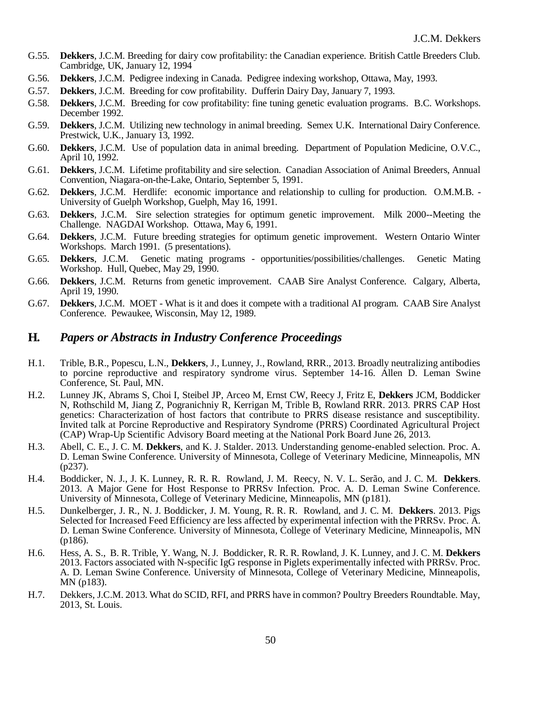- G.55. **Dekkers**, J.C.M. Breeding for dairy cow profitability: the Canadian experience. British Cattle Breeders Club. Cambridge, UK, January 12, 1994
- G.56. **Dekkers**, J.C.M. Pedigree indexing in Canada. Pedigree indexing workshop, Ottawa, May, 1993.
- G.57. **Dekkers**, J.C.M. Breeding for cow profitability. Dufferin Dairy Day, January 7, 1993.
- G.58. **Dekkers**, J.C.M. Breeding for cow profitability: fine tuning genetic evaluation programs. B.C. Workshops. December 1992.
- G.59. **Dekkers**, J.C.M. Utilizing new technology in animal breeding. Semex U.K. International Dairy Conference. Prestwick, U.K., January 13, 1992.
- G.60. **Dekkers**, J.C.M. Use of population data in animal breeding. Department of Population Medicine, O.V.C., April 10, 1992.
- G.61. **Dekkers**, J.C.M. Lifetime profitability and sire selection. Canadian Association of Animal Breeders, Annual Convention, Niagara-on-the-Lake, Ontario, September 5, 1991.
- G.62. **Dekkers**, J.C.M. Herdlife: economic importance and relationship to culling for production. O.M.M.B. University of Guelph Workshop, Guelph, May 16, 1991.
- G.63. **Dekkers**, J.C.M. Sire selection strategies for optimum genetic improvement. Milk 2000--Meeting the Challenge. NAGDAI Workshop. Ottawa, May 6, 1991.
- G.64. **Dekkers**, J.C.M. Future breeding strategies for optimum genetic improvement. Western Ontario Winter Workshops. March 1991. (5 presentations).
- G.65. **Dekkers**, J.C.M. Genetic mating programs opportunities/possibilities/challenges. Genetic Mating Workshop. Hull, Quebec, May 29, 1990.
- G.66. **Dekkers**, J.C.M. Returns from genetic improvement. CAAB Sire Analyst Conference. Calgary, Alberta, April 19, 1990.
- G.67. **Dekkers**, J.C.M. MOET What is it and does it compete with a traditional AI program. CAAB Sire Analyst Conference. Pewaukee, Wisconsin, May 12, 1989.

### **H***. Papers or Abstracts in Industry Conference Proceedings*

- H.1. Trible, B.R., Popescu, L.N., **Dekkers**, J., Lunney, J., Rowland, RRR., 2013. Broadly neutralizing antibodies to porcine reproductive and respiratory syndrome virus. September 14-16. Allen D. Leman Swine Conference, St. Paul, MN.
- H.2. Lunney JK, Abrams S, Choi I, Steibel JP, Arceo M, Ernst CW, Reecy J, Fritz E, **Dekkers** JCM, Boddicker N, Rothschild M, Jiang Z, Pogranichniy R, Kerrigan M, Trible B, Rowland RRR. 2013. PRRS CAP Host genetics: Characterization of host factors that contribute to PRRS disease resistance and susceptibility. Invited talk at Porcine Reproductive and Respiratory Syndrome (PRRS) Coordinated Agricultural Project (CAP) Wrap-Up Scientific Advisory Board meeting at the National Pork Board June 26, 2013.
- H.3. Abell, C. E., J. C. M. **Dekkers**, and K. J. Stalder. 2013. Understanding genome-enabled selection. Proc. A. D. Leman Swine Conference. University of Minnesota, College of Veterinary Medicine, Minneapolis, MN (p237).
- H.4. Boddicker, N. J., J. K. Lunney, R. R. R. Rowland, J. M. Reecy, N. V. L. Serão, and J. C. M. **Dekkers**. 2013. A Major Gene for Host Response to PRRSv Infection. Proc. A. D. Leman Swine Conference. University of Minnesota, College of Veterinary Medicine, Minneapolis, MN (p181).
- H.5. Dunkelberger, J. R., N. J. Boddicker, J. M. Young, R. R. R. Rowland, and J. C. M. **Dekkers**. 2013. Pigs Selected for Increased Feed Efficiency are less affected by experimental infection with the PRRSv. Proc. A. D. Leman Swine Conference. University of Minnesota, College of Veterinary Medicine, Minneapolis, MN (p186).
- H.6. Hess, A. S., B. R. Trible, Y. Wang, N. J. Boddicker, R. R. R. Rowland, J. K. Lunney, and J. C. M. **Dekkers** 2013. Factors associated with N-specific IgG response in Piglets experimentally infected with PRRSv. Proc. A. D. Leman Swine Conference. University of Minnesota, College of Veterinary Medicine, Minneapolis, MN (p183).
- H.7. Dekkers, J.C.M. 2013. What do SCID, RFI, and PRRS have in common? Poultry Breeders Roundtable. May, 2013, St. Louis.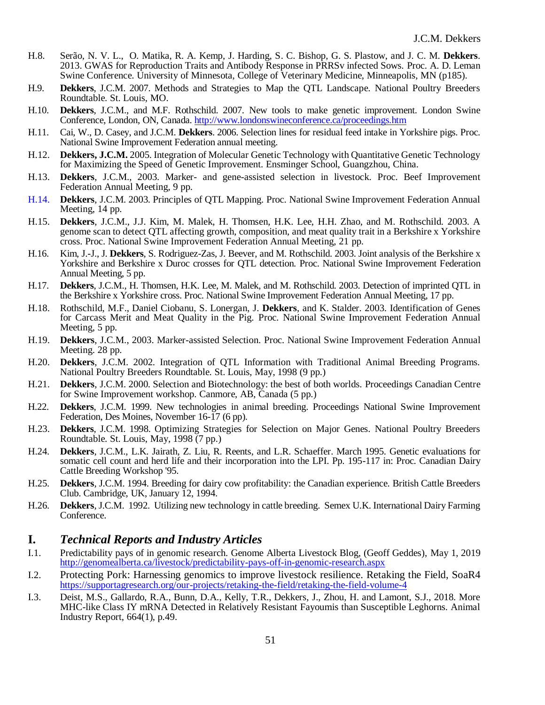- H.8. Serão, N. V. L., O. Matika, R. A. Kemp, J. Harding, S. C. Bishop, G. S. Plastow, and J. C. M. **Dekkers**. 2013. GWAS for Reproduction Traits and Antibody Response in PRRSv infected Sows. Proc. A. D. Leman Swine Conference. University of Minnesota, College of Veterinary Medicine, Minneapolis, MN (p185).
- H.9. **Dekkers**, J.C.M. 2007. Methods and Strategies to Map the QTL Landscape. National Poultry Breeders Roundtable. St. Louis, MO.
- H.10. **Dekkers**, J.C.M., and M.F. Rothschild. 2007. New tools to make genetic improvement. London Swine Conference, London, ON, Canada.<http://www.londonswineconference.ca/proceedings.htm>
- H.11. Cai, W., D. Casey, and J.C.M. **Dekkers**. 2006. Selection lines for residual feed intake in Yorkshire pigs. Proc. National Swine Improvement Federation annual meeting.
- H.12. **Dekkers, J.C.M.** 2005. Integration of Molecular Genetic Technology with Quantitative Genetic Technology for Maximizing the Speed of Genetic Improvement. Ensminger School, Guangzhou, China.
- H.13. **Dekkers**, J.C.M., 2003. Marker- and gene-assisted selection in livestock. Proc. Beef Improvement Federation Annual Meeting, 9 pp.
- H.14. **Dekkers**, J.C.M. 2003. Principles of QTL Mapping. Proc. National Swine Improvement Federation Annual Meeting, 14 pp.
- H.15. **Dekkers**, J.C.M., J.J. Kim, M. Malek, H. Thomsen, H.K. Lee, H.H. Zhao, and M. Rothschild. 2003. A genome scan to detect QTL affecting growth, composition, and meat quality trait in a Berkshire x Yorkshire cross. Proc. National Swine Improvement Federation Annual Meeting, 21 pp.
- H.16. Kim, J.-J., J. **Dekkers**, S. Rodriguez-Zas, J. Beever, and M. Rothschild. 2003. Joint analysis of the Berkshire x Yorkshire and Berkshire x Duroc crosses for QTL detection. Proc. National Swine Improvement Federation Annual Meeting, 5 pp.
- H.17. **Dekkers**, J.C.M., H. Thomsen, H.K. Lee, M. Malek, and M. Rothschild. 2003. Detection of imprinted QTL in the Berkshire x Yorkshire cross. Proc. National Swine Improvement Federation Annual Meeting, 17 pp.
- H.18. Rothschild, M.F., Daniel Ciobanu, S. Lonergan, J. **Dekkers**, and K. Stalder. 2003. Identification of Genes for Carcass Merit and Meat Quality in the Pig. Proc. National Swine Improvement Federation Annual Meeting, 5 pp.
- H.19. **Dekkers**, J.C.M., 2003. Marker-assisted Selection. Proc. National Swine Improvement Federation Annual Meeting. 28 pp.
- H.20. **Dekkers**, J.C.M. 2002. Integration of QTL Information with Traditional Animal Breeding Programs. National Poultry Breeders Roundtable. St. Louis, May, 1998 (9 pp.)
- H.21. **Dekkers**, J.C.M. 2000. Selection and Biotechnology: the best of both worlds. Proceedings Canadian Centre for Swine Improvement workshop. Canmore, AB, Canada (5 pp.)
- H.22. **Dekkers**, J.C.M. 1999. New technologies in animal breeding. Proceedings National Swine Improvement Federation, Des Moines, November 16-17 (6 pp).
- H.23. **Dekkers**, J.C.M. 1998. Optimizing Strategies for Selection on Major Genes. National Poultry Breeders Roundtable. St. Louis, May, 1998 (7 pp.)
- H.24. **Dekkers**, J.C.M., L.K. Jairath, Z. Liu, R. Reents, and L.R. Schaeffer. March 1995. Genetic evaluations for somatic cell count and herd life and their incorporation into the LPI. Pp. 195-117 in: Proc. Canadian Dairy Cattle Breeding Workshop '95.
- H.25. **Dekkers**, J.C.M. 1994. Breeding for dairy cow profitability: the Canadian experience. British Cattle Breeders Club. Cambridge, UK, January 12, 1994.
- H.26. **Dekkers**, J.C.M. 1992. Utilizing new technology in cattle breeding. Semex U.K. International Dairy Farming Conference.

#### **I.** *Technical Reports and Industry Articles*

- I.1. Predictability pays of in genomic research. Genome Alberta Livestock Blog, (Geoff Geddes), May 1, 2019 <http://genomealberta.ca/livestock/predictability-pays-off-in-genomic-research.aspx>
- I.2. Protecting Pork: Harnessing genomics to improve livestock resilience. Retaking the Field, SoaR4 <https://supportagresearch.org/our-projects/retaking-the-field/retaking-the-field-volume-4>
- I.3. Deist, M.S., Gallardo, R.A., Bunn, D.A., Kelly, T.R., Dekkers, J., Zhou, H. and Lamont, S.J., 2018. More MHC-like Class IY mRNA Detected in Relatively Resistant Fayoumis than Susceptible Leghorns. Animal Industry Report, 664(1), p.49.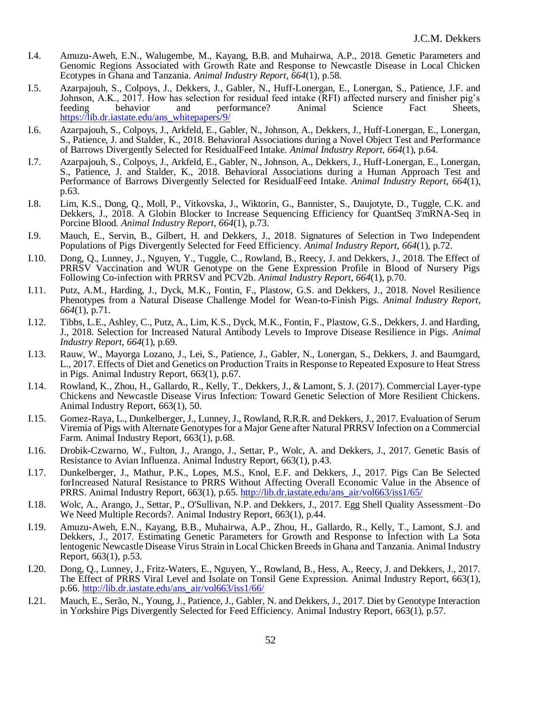- I.4. Amuzu-Aweh, E.N., Walugembe, M., Kayang, B.B. and Muhairwa, A.P., 2018. Genetic Parameters and Genomic Regions Associated with Growth Rate and Response to Newcastle Disease in Local Chicken Ecotypes in Ghana and Tanzania. *Animal Industry Report*, *664*(1), p.58.
- I.5. Azarpajouh, S., Colpoys, J., Dekkers, J., Gabler, N., Huff-Lonergan, E., Lonergan, S., Patience, J.F. and Johnson, A.K., 2017. How has selection for residual feed intake (RFI) affected nursery and finisher pig's feeding behavior and performance? Animal Science Fact Sheets, [https://lib.dr.iastate.edu/ans\\_whitepapers/9/](https://lib.dr.iastate.edu/ans_whitepapers/9/)
- I.6. Azarpajouh, S., Colpoys, J., Arkfeld, E., Gabler, N., Johnson, A., Dekkers, J., Huff-Lonergan, E., Lonergan, S., Patience, J. and Stalder, K., 2018. Behavioral Associations during a Novel Object Test and Performance of Barrows Divergently Selected for ResidualFeed Intake. *Animal Industry Report*, *664*(1), p.64.
- I.7. Azarpajouh, S., Colpoys, J., Arkfeld, E., Gabler, N., Johnson, A., Dekkers, J., Huff-Lonergan, E., Lonergan, S., Patience, J. and Stalder, K., 2018. Behavioral Associations during a Human Approach Test and Performance of Barrows Divergently Selected for ResidualFeed Intake. *Animal Industry Report*, *664*(1), p.63.
- I.8. Lim, K.S., Dong, Q., Moll, P., Vitkovska, J., Wiktorin, G., Bannister, S., Daujotyte, D., Tuggle, C.K. and Dekkers, J., 2018. A Globin Blocker to Increase Sequencing Efficiency for QuantSeq 3'mRNA-Seq in Porcine Blood. *Animal Industry Report*, *664*(1), p.73.
- I.9. Mauch, E., Servin, B., Gilbert, H. and Dekkers, J., 2018. Signatures of Selection in Two Independent Populations of Pigs Divergently Selected for Feed Efficiency. *Animal Industry Report*, *664*(1), p.72.
- I.10. Dong, Q., Lunney, J., Nguyen, Y., Tuggle, C., Rowland, B., Reecy, J. and Dekkers, J., 2018. The Effect of PRRSV Vaccination and WUR Genotype on the Gene Expression Profile in Blood of Nursery Pigs Following Co-infection with PRRSV and PCV2b. *Animal Industry Report*, *664*(1), p.70.
- I.11. Putz, A.M., Harding, J., Dyck, M.K., Fontin, F., Plastow, G.S. and Dekkers, J., 2018. Novel Resilience Phenotypes from a Natural Disease Challenge Model for Wean-to-Finish Pigs. *Animal Industry Report*, *664*(1), p.71.
- I.12. Tibbs, L.E., Ashley, C., Putz, A., Lim, K.S., Dyck, M.K., Fontin, F., Plastow, G.S., Dekkers, J. and Harding, J., 2018. Selection for Increased Natural Antibody Levels to Improve Disease Resilience in Pigs. *Animal Industry Report*, *664*(1), p.69.
- I.13. Rauw, W., Mayorga Lozano, J., Lei, S., Patience, J., Gabler, N., Lonergan, S., Dekkers, J. and Baumgard, L., 2017. Effects of Diet and Genetics on Production Traits in Response to Repeated Exposure to Heat Stress in Pigs. Animal Industry Report, 663(1), p.67.
- I.14. Rowland, K., Zhou, H., Gallardo, R., Kelly, T., Dekkers, J., & Lamont, S. J. (2017). Commercial Layer-type Chickens and Newcastle Disease Virus Infection: Toward Genetic Selection of More Resilient Chickens. Animal Industry Report, 663(1), 50.
- I.15. Gomez-Raya, L., Dunkelberger, J., Lunney, J., Rowland, R.R.R. and Dekkers, J., 2017. Evaluation of Serum Viremia of Pigs with Alternate Genotypes for a Major Gene after Natural PRRSV Infection on a Commercial Farm. Animal Industry Report, 663(1), p.68.
- I.16. Drobik-Czwarno, W., Fulton, J., Arango, J., Settar, P., Wolc, A. and Dekkers, J., 2017. Genetic Basis of Resistance to Avian Influenza. Animal Industry Report, 663(1), p.43.
- I.17. Dunkelberger, J., Mathur, P.K., Lopes, M.S., Knol, E.F. and Dekkers, J., 2017. Pigs Can Be Selected forIncreased Natural Resistance to PRRS Without Affecting Overall Economic Value in the Absence of PRRS. Animal Industry Report, 663(1), p.65. [http://lib.dr.iastate.edu/ans\\_air/vol663/iss1/65/](http://lib.dr.iastate.edu/ans_air/vol663/iss1/65/)
- I.18. Wolc, A., Arango, J., Settar, P., O'Sullivan, N.P. and Dekkers, J., 2017. Egg Shell Quality Assessment–Do We Need Multiple Records?. Animal Industry Report, 663(1), p.44.
- I.19. Amuzu-Aweh, E.N., Kayang, B.B., Muhairwa, A.P., Zhou, H., Gallardo, R., Kelly, T., Lamont, S.J. and Dekkers, J., 2017. Estimating Genetic Parameters for Growth and Response to Infection with La Sota lentogenic Newcastle Disease Virus Strain in Local Chicken Breeds in Ghana and Tanzania. Animal Industry Report, 663(1), p.53.
- I.20. Dong, Q., Lunney, J., Fritz-Waters, E., Nguyen, Y., Rowland, B., Hess, A., Reecy, J. and Dekkers, J., 2017. The Effect of PRRS Viral Level and Isolate on Tonsil Gene Expression. Animal Industry Report, 663(1), p.66. [http://lib.dr.iastate.edu/ans\\_air/vol663/iss1/66/](http://lib.dr.iastate.edu/ans_air/vol663/iss1/66/)
- I.21. Mauch, E., Serão, N., Young, J., Patience, J., Gabler, N. and Dekkers, J., 2017. Diet by Genotype Interaction in Yorkshire Pigs Divergently Selected for Feed Efficiency. Animal Industry Report, 663(1), p.57.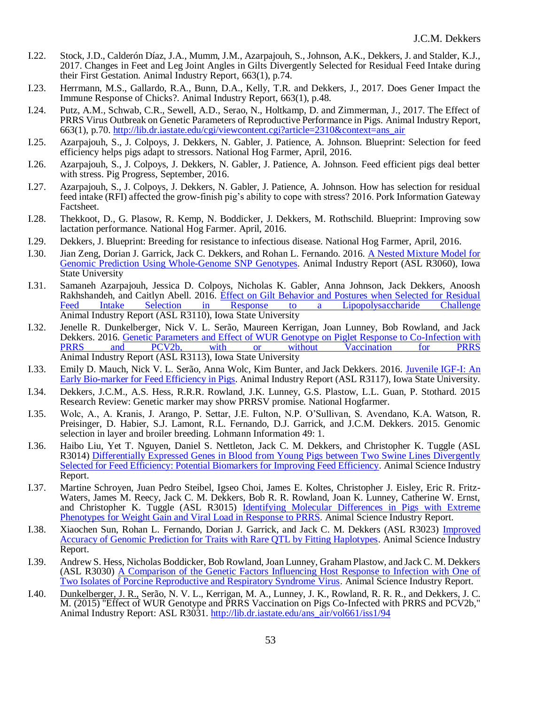- I.22. Stock, J.D., Calderón Díaz, J.A., Mumm, J.M., Azarpajouh, S., Johnson, A.K., Dekkers, J. and Stalder, K.J., 2017. Changes in Feet and Leg Joint Angles in Gilts Divergently Selected for Residual Feed Intake during their First Gestation. Animal Industry Report, 663(1), p.74.
- I.23. Herrmann, M.S., Gallardo, R.A., Bunn, D.A., Kelly, T.R. and Dekkers, J., 2017. Does Gener Impact the Immune Response of Chicks?. Animal Industry Report, 663(1), p.48.
- I.24. Putz, A.M., Schwab, C.R., Sewell, A.D., Serao, N., Holtkamp, D. and Zimmerman, J., 2017. The Effect of PRRS Virus Outbreak on Genetic Parameters of Reproductive Performance in Pigs. Animal Industry Report, 663(1), p.70. [http://lib.dr.iastate.edu/cgi/viewcontent.cgi?article=2310&context=ans\\_air](http://lib.dr.iastate.edu/cgi/viewcontent.cgi?article=2310&context=ans_air)
- I.25. Azarpajouh, S., J. Colpoys, J. Dekkers, N. Gabler, J. Patience, A. Johnson. Blueprint: Selection for feed efficiency helps pigs adapt to stressors. National Hog Farmer, April, 2016.
- I.26. Azarpajouh, S., J. Colpoys, J. Dekkers, N. Gabler, J. Patience, A. Johnson. Feed efficient pigs deal better with stress. Pig Progress, September, 2016.
- I.27. Azarpajouh, S., J. Colpoys, J. Dekkers, N. Gabler, J. Patience, A. Johnson. How has selection for residual feed intake (RFI) affected the grow-finish pig's ability to cope with stress? 2016. Pork Information Gateway Factsheet.
- I.28. Thekkoot, D., G. Plasow, R. Kemp, N. Boddicker, J. Dekkers, M. Rothschild. Blueprint: Improving sow lactation performance. National Hog Farmer. April, 2016.
- I.29. Dekkers, J. Blueprint: Breeding for resistance to infectious disease. National Hog Farmer, April, 2016.
- I.30. Jian Zeng, Dorian J. Garrick, Jack C. Dekkers, and Rohan L. Fernando. 2016. A Nested Mixture Model for [Genomic Prediction Using Whole-Genome SNP Genotypes.](http://lib.dr.iastate.edu/ans_air/vol662/iss1/21) Animal Industry Report (ASL R3060), Iowa State University
- I.31. Samaneh Azarpajouh, Jessica D. Colpoys, Nicholas K. Gabler, Anna Johnson, Jack Dekkers, Anoosh Rakhshandeh, and Caitlyn Abell. 2016. <u>Effect on Gilt Behavior and Postures when Selected for Residual</u><br>Feed Intake Selection in Response to a Lipopolysaccharide Challenge [Feed Intake Selection in Response to a Lipopolysaccharide Challenge](http://lib.dr.iastate.edu/ans_air/vol662/iss1/71) Animal Industry Report (ASL R3110), Iowa State University
- I.32. Jenelle R. Dunkelberger, Nick V. L. Serão, Maureen Kerrigan, Joan Lunney, Bob Rowland, and Jack Dekkers. 2016. Genetic Parameters and Effect of WUR Genotype on Piglet Response to Co-Infection with<br>PRRS and PCV2b, with or without Vaccination for PRRS Vaccination **Vaccination** Animal Industry Report (ASL R3113), Iowa State University
- I.33. Emily D. Mauch, Nick V. L. Serão, Anna Wolc, Kim Bunter, and Jack Dekkers. 2016. [Juvenile IGF-I: An](http://lib.dr.iastate.edu/ans_air/vol662/iss1/78)  [Early Bio-marker for Feed Efficiency in Pigs.](http://lib.dr.iastate.edu/ans_air/vol662/iss1/78) Animal Industry Report (ASL R3117), Iowa State University.
- I.34. Dekkers, J.C.M., A.S. Hess, R.R.R. Rowland, J.K. Lunney, G.S. Plastow, L.L. Guan, P. Stothard. 2015 Research Review: Genetic marker may show PRRSV promise. National Hogfarmer.
- I.35. Wolc, A., A. Kranis, J. Arango, P. Settar, J.E. Fulton, N.P. O'Sullivan, S. Avendano, K.A. Watson, R. Preisinger, D. Habier, S.J. Lamont, R.L. Fernando, D.J. Garrick, and J.C.M. Dekkers. 2015. Genomic selection in layer and broiler breeding. Lohmann Information 49: 1.
- I.36. Haibo Liu, Yet T. Nguyen, Daniel S. Nettleton, Jack C. M. Dekkers, and Christopher K. Tuggle (ASL R3014) Differentially Expressed Genes in Blood from Young Pigs between Two Swine Lines Divergently [Selected for Feed Efficiency: Potential Biomarkers for Improving Feed Efficiency.](http://lib.dr.iastate.edu/ans_air/vol661/iss1/77) Animal Science Industry Report.
- I.37. Martine Schroyen, Juan Pedro Steibel, Igseo Choi, James E. Koltes, Christopher J. Eisley, Eric R. Fritz-Waters, James M. Reecy, Jack C. M. Dekkers, Bob R. R. Rowland, Joan K. Lunney, Catherine W. Ernst, and Christopher K. Tuggle (ASL R3015) Identifying Molecular Differences in Pigs with Extreme [Phenotypes for Weight Gain and Viral Load in Response to PRRS.](http://lib.dr.iastate.edu/ans_air/vol661/iss1/78) Animal Science Industry Report.
- I.38. Xiaochen Sun, Rohan L. Fernando, Dorian J. Garrick, and Jack C. M. Dekkers (ASL R3023) [Improved](http://lib.dr.iastate.edu/ans_air/vol661/iss1/86)  [Accuracy of Genomic Prediction for Traits with Rare QTL by Fitting Haplotypes.](http://lib.dr.iastate.edu/ans_air/vol661/iss1/86) Animal Science Industry Report.
- I.39. Andrew S. Hess, Nicholas Boddicker, Bob Rowland, Joan Lunney, Graham Plastow, and Jack C. M. Dekkers (ASL R3030) [A Comparison of the Genetic Factors Influencing Host Response to Infection with One of](http://lib.dr.iastate.edu/ans_air/vol661/iss1/93)  [Two Isolates of Porcine Reproductive and Respiratory Syndrome Virus.](http://lib.dr.iastate.edu/ans_air/vol661/iss1/93) Animal Science Industry Report.
- I.40. Dunkelberger, J. R., Serão, N. V. L., Kerrigan, M. A., Lunney, J. K., Rowland, R. R. R., and Dekkers, J. C. M. (2015) "Effect of WUR Genotype and PRRS Vaccination on Pigs Co-Infected with PRRS and PCV2b," Animal Industry Report: ASL R3031. [http://lib.dr.iastate.edu/ans\\_air/vol661/iss1/94](http://lib.dr.iastate.edu/ans_air/vol661/iss1/94)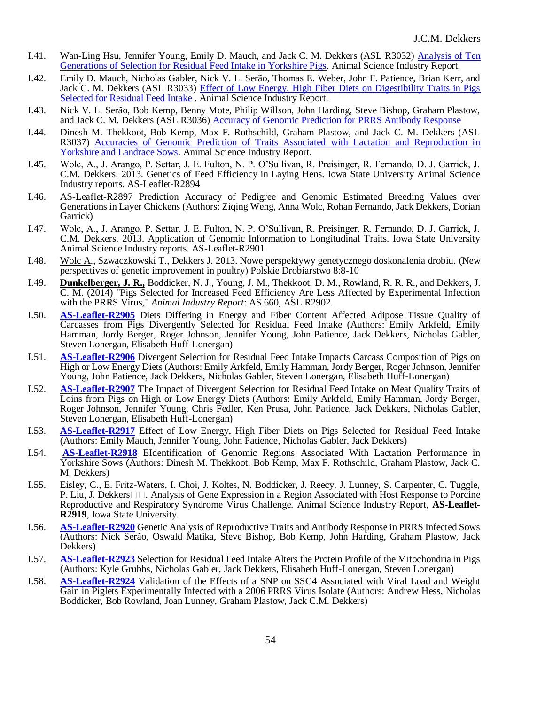- I.41. Wan-Ling Hsu, Jennifer Young, Emily D. Mauch, and Jack C. M. Dekkers (ASL R3032) [Analysis of](http://lib.dr.iastate.edu/ans_air/vol661/iss1/95) Ten [Generations of Selection for Residual Feed Intake in Yorkshire Pigs.](http://lib.dr.iastate.edu/ans_air/vol661/iss1/95) Animal Science Industry Report.
- I.42. Emily D. Mauch, Nicholas Gabler, Nick V. L. Serão, Thomas E. Weber, John F. Patience, Brian Kerr, and Jack C. M. Dekkers (ASL R3033) Effect of Low Energy, High Fiber Diets on Digestibility Traits in Pigs [Selected for Residual Feed Intake](http://lib.dr.iastate.edu/ans_air/vol661/iss1/96) . Animal Science Industry Report.
- I.43. Nick V. L. Serão, Bob Kemp, Benny Mote, Philip Willson, John Harding, Steve Bishop, Graham Plastow, and Jack C. M. Dekkers (ASL R3036) [Accuracy of Genomic Prediction for PRRS Antibody Response](http://lib.dr.iastate.edu/ans_air/vol661/iss1/99)
- I.44. Dinesh M. Thekkoot, Bob Kemp, Max F. Rothschild, Graham Plastow, and Jack C. M. Dekkers (ASL R3037) [Accuracies of Genomic Prediction of Traits Associated with Lactation and Reproduction in](http://lib.dr.iastate.edu/ans_air/vol661/iss1/100)  [Yorkshire and Landrace Sows.](http://lib.dr.iastate.edu/ans_air/vol661/iss1/100) Animal Science Industry Report.
- I.45. Wolc, A., J. Arango, P. Settar, J. E. Fulton, N. P. O'Sullivan, R. Preisinger, R. Fernando, D. J. Garrick, J. C.M. Dekkers. 2013. Genetics of Feed Efficiency in Laying Hens. Iowa State University Animal Science Industry reports. AS-Leaflet-R2894
- I.46. AS-Leaflet-R2897 Prediction Accuracy of Pedigree and Genomic Estimated Breeding Values over Generations in Layer Chickens (Authors: Ziqing Weng, Anna Wolc, Rohan Fernando, Jack Dekkers, Dorian Garrick)
- I.47. Wolc, A., J. Arango, P. Settar, J. E. Fulton, N. P. O'Sullivan, R. Preisinger, R. Fernando, D. J. Garrick, J. C.M. Dekkers. 2013. Application of Genomic Information to Longitudinal Traits. Iowa State University Animal Science Industry reports. AS-Leaflet-R2901
- I.48. Wolc A., Szwaczkowski T., Dekkers J. 2013. Nowe perspektywy genetycznego doskonalenia drobiu. (New perspectives of genetic improvement in poultry) Polskie Drobiarstwo 8:8-10
- I.49. **Dunkelberger, J. R.,** Boddicker, N. J., Young, J. M., Thekkoot, D. M., Rowland, R. R. R., and Dekkers, J. C. M. (2014) "Pigs Selected for Increased Feed Efficiency Are Less Affected by Experimental Infection with the PRRS Virus," *Animal Industry Report*: AS 660, ASL R2902.
- I.50. **[AS-Leaflet-R2905](http://www.ans.iastate.edu/report/air/2014pdf/R2905.pdf)** Diets Differing in Energy and Fiber Content Affected Adipose Tissue Quality of Carcasses from Pigs Divergently Selected for Residual Feed Intake (Authors: Emily Arkfeld, Emily Hamman, Jordy Berger, Roger Johnson, Jennifer Young, John Patience, Jack Dekkers, Nicholas Gabler, Steven Lonergan, Elisabeth Huff-Lonergan)
- I.51. **[AS-Leaflet-R2906](http://www.ans.iastate.edu/report/air/2014pdf/R2906.pdf)** Divergent Selection for Residual Feed Intake Impacts Carcass Composition of Pigs on High or Low Energy Diets (Authors: Emily Arkfeld, Emily Hamman, Jordy Berger, Roger Johnson, Jennifer Young, John Patience, Jack Dekkers, Nicholas Gabler, Steven Lonergan, Elisabeth Huff-Lonergan)
- I.52. **[AS-Leaflet-R2907](http://www.ans.iastate.edu/report/air/2014pdf/R2907.pdf)** The Impact of Divergent Selection for Residual Feed Intake on Meat Quality Traits of Loins from Pigs on High or Low Energy Diets (Authors: Emily Arkfeld, Emily Hamman, Jordy Berger, Roger Johnson, Jennifer Young, Chris Fedler, Ken Prusa, John Patience, Jack Dekkers, Nicholas Gabler, Steven Lonergan, Elisabeth Huff-Lonergan)
- I.53. **[AS-Leaflet-R2917](http://www.ans.iastate.edu/report/air/2014pdf/R2917.pdf)** Effect of Low Energy, High Fiber Diets on Pigs Selected for Residual Feed Intake (Authors: Emily Mauch, Jennifer Young, John Patience, Nicholas Gabler, Jack Dekkers)
- I.54. **[AS-Leaflet-R2918](http://www.ans.iastate.edu/report/air/2014pdf/R2918.pdf)** EIdentification of Genomic Regions Associated With Lactation Performance in Yorkshire Sows (Authors: Dinesh M. Thekkoot, Bob Kemp, Max F. Rothschild, Graham Plastow, Jack C. M. Dekkers)
- I.55. Eisley, C., E. Fritz-Waters, I. Choi, J. Koltes, N. Boddicker, J. Reecy, J. Lunney, S. Carpenter, C. Tuggle, P. Liu, J. Dekkers □□. Analysis of Gene Expression in a Region Associated with Host Response to Porcine Reproductive and Respiratory Syndrome Virus Challenge. Animal Science Industry Report, **AS-Leaflet-R2919**, Iowa State University.
- I.56. **[AS-Leaflet-R2920](http://www.ans.iastate.edu/report/air/2014pdf/R2920.pdf)** Genetic Analysis of Reproductive Traits and Antibody Response in PRRS Infected Sows (Authors: Nick Serão, Oswald Matika, Steve Bishop, Bob Kemp, John Harding, Graham Plastow, Jack Dekkers)
- I.57. **[AS-Leaflet-R2923](http://www.ans.iastate.edu/report/air/2014pdf/R2923.pdf)** Selection for Residual Feed Intake Alters the Protein Profile of the Mitochondria in Pigs (Authors: Kyle Grubbs, Nicholas Gabler, Jack Dekkers, Elisabeth Huff-Lonergan, Steven Lonergan)
- I.58. **[AS-Leaflet-R2924](http://www.ans.iastate.edu/report/air/2014pdf/R2924.pdf)** Validation of the Effects of a SNP on SSC4 Associated with Viral Load and Weight Gain in Piglets Experimentally Infected with a 2006 PRRS Virus Isolate (Authors: Andrew Hess, Nicholas Boddicker, Bob Rowland, Joan Lunney, Graham Plastow, Jack C.M. Dekkers)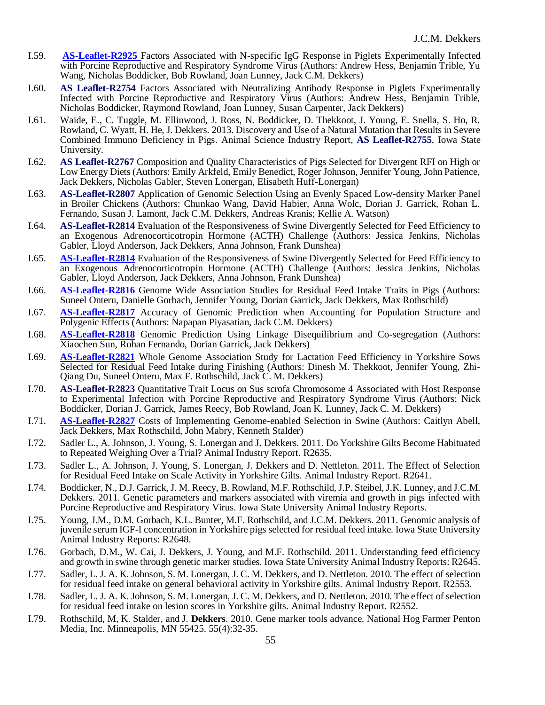- I.59. **[AS-Leaflet-R2925](http://www.ans.iastate.edu/report/air/2014pdf/R2925.pdf)** Factors Associated with N-specific IgG Response in Piglets Experimentally Infected with Porcine Reproductive and Respiratory Syndrome Virus (Authors: Andrew Hess, Benjamin Trible, Yu Wang, Nicholas Boddicker, Bob Rowland, Joan Lunney, Jack C.M. Dekkers)
- I.60. **[AS Leaflet-R2754](http://www.ans.iastate.edu/report/air/2013pdf/R2754.pdf)** Factors Associated with Neutralizing Antibody Response in Piglets Experimentally Infected with Porcine Reproductive and Respiratory Virus (Authors: Andrew Hess, Benjamin Trible, Nicholas Boddicker, Raymond Rowland, Joan Lunney, Susan Carpenter, Jack Dekkers)
- I.61. Waide, E., C. Tuggle, M. Ellinwood, J. Ross, N. Boddicker, D. Thekkoot, J. Young, E. Snella, S. Ho, R. Rowland, C. Wyatt, H. He, J. Dekkers. 2013. Discovery and Use of a Natural Mutation that Results in Severe Combined Immuno Deficiency in Pigs. Animal Science Industry Report, **[AS Leaflet-R2755](http://www.ans.iastate.edu/report/air/2013pdf/R2755.pdf)**, Iowa State University.
- I.62. **[AS Leaflet-R2767](http://www.ans.iastate.edu/report/air/2013pdf/R2767.pdf)** Composition and Quality Characteristics of Pigs Selected for Divergent RFI on High or Low Energy Diets (Authors: Emily Arkfeld, Emily Benedict, Roger Johnson, Jennifer Young, John Patience, Jack Dekkers, Nicholas Gabler, Steven Lonergan, Elisabeth Huff-Lonergan)
- I.63. **[AS-Leaflet-R2807](http://www.ans.iastate.edu/report/air/2013pdf/R2807.pdf)** Application of Genomic Selection Using an Evenly Spaced Low-density Marker Panel in Broiler Chickens (Authors: Chunkao Wang, David Habier, Anna Wolc, Dorian J. Garrick, Rohan L. Fernando, Susan J. Lamont, Jack C.M. Dekkers, Andreas Kranis; Kellie A. Watson)
- I.64. **[AS-Leaflet-R2814](http://www.ans.iastate.edu/report/air/2013pdf/R2814.pdf)** Evaluation of the Responsiveness of Swine Divergently Selected for Feed Efficiency to an Exogenous Adrenocorticotropin Hormone (ACTH) Challenge (Authors: Jessica Jenkins, Nicholas Gabler, Lloyd Anderson, Jack Dekkers, Anna Johnson, Frank Dunshea)
- I.65. **[AS-Leaflet-R2814](http://www.ans.iastate.edu/report/air/2013pdf/R2814.pdf)** Evaluation of the Responsiveness of Swine Divergently Selected for Feed Efficiency to an Exogenous Adrenocorticotropin Hormone (ACTH) Challenge (Authors: Jessica Jenkins, Nicholas Gabler, Lloyd Anderson, Jack Dekkers, Anna Johnson, Frank Dunshea)
- I.66. **[AS-Leaflet-R2816](http://www.ans.iastate.edu/report/air/2013pdf/R2816.pdf)** Genome Wide Association Studies for Residual Feed Intake Traits in Pigs (Authors: Suneel Onteru, Danielle Gorbach, Jennifer Young, Dorian Garrick, Jack Dekkers, Max Rothschild)
- I.67. **[AS-Leaflet-R2817](http://www.ans.iastate.edu/report/air/2013pdf/R2817.pdf)** Accuracy of Genomic Prediction when Accounting for Population Structure and Polygenic Effects (Authors: Napapan Piyasatian, Jack C.M. Dekkers)
- I.68. **[AS-Leaflet-R2818](http://www.ans.iastate.edu/report/air/2013pdf/R2818.pdf)** Genomic Prediction Using Linkage Disequilibrium and Co-segregation (Authors: Xiaochen Sun, Rohan Fernando, Dorian Garrick, Jack Dekkers)
- I.69. **[AS-Leaflet-R2821](http://www.ans.iastate.edu/report/air/2013pdf/R2821.pdf)** Whole Genome Association Study for Lactation Feed Efficiency in Yorkshire Sows Selected for Residual Feed Intake during Finishing (Authors: Dinesh M. Thekkoot, Jennifer Young, Zhi-Qiang Du, Suneel Onteru, Max F. Rothschild, Jack C. M. Dekkers)
- I.70. **[AS-Leaflet-R2823](http://www.ans.iastate.edu/report/air/2013pdf/R2823.pdf)** Quantitative Trait Locus on Sus scrofa Chromosome 4 Associated with Host Response to Experimental Infection with Porcine Reproductive and Respiratory Syndrome Virus (Authors: Nick Boddicker, Dorian J. Garrick, James Reecy, Bob Rowland, Joan K. Lunney, Jack C. M. Dekkers)
- I.71. **[AS-Leaflet-R2827](http://www.ans.iastate.edu/report/air/2013pdf/R2827.pdf)** Costs of Implementing Genome-enabled Selection in Swine (Authors: Caitlyn Abell, Jack Dekkers, Max Rothschild, John Mabry, Kenneth Stalder)
- I.72. Sadler L., A. Johnson, J. Young, S. Lonergan and J. Dekkers. 2011. Do Yorkshire Gilts Become Habituated to Repeated Weighing Over a Trial? Animal Industry Report. R2635.
- I.73. Sadler L., A. Johnson, J. Young, S. Lonergan, J. Dekkers and D. Nettleton. 2011. The Effect of Selection for Residual Feed Intake on Scale Activity in Yorkshire Gilts. Animal Industry Report. R2641.
- I.74. Boddicker, N., D.J. Garrick, J. M. Reecy, B. Rowland, M.F. Rothschild, J.P. Steibel, J.K. Lunney, and J.C.M. Dekkers. 2011. Genetic parameters and markers associated with viremia and growth in pigs infected with Porcine Reproductive and Respiratory Virus. Iowa State University Animal Industry Reports.
- I.75. Young, J.M., D.M. Gorbach, K.L. Bunter, M.F. Rothschild, and J.C.M. Dekkers. 2011. Genomic analysis of juvenile serum IGF-I concentration in Yorkshire pigs selected for residual feed intake. Iowa State University Animal Industry Reports: R2648.
- I.76. Gorbach, D.M., W. Cai, J. Dekkers, J. Young, and M.F. Rothschild. 2011. Understanding feed efficiency and growth in swine through genetic marker studies. Iowa State University Animal Industry Reports: R2645.
- I.77. Sadler, L. J. A. K. Johnson, S. M. Lonergan, J. C. M. Dekkers, and D. Nettleton. 2010. The effect of selection for residual feed intake on general behavioral activity in Yorkshire gilts. Animal Industry Report. R2553.
- I.78. Sadler, L. J. A. K. Johnson, S. M. Lonergan, J. C. M. Dekkers, and D. Nettleton. 2010. The effect of selection for residual feed intake on lesion scores in Yorkshire gilts. Animal Industry Report. R2552.
- I.79. Rothschild, M, K. Stalder, and J. **Dekkers**. 2010. Gene marker tools advance. National Hog Farmer Penton Media, Inc. Minneapolis, MN 55425. 55(4):32-35.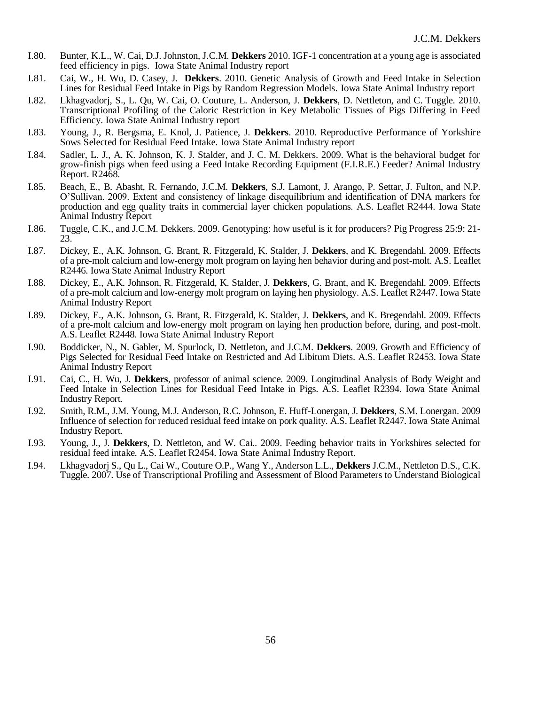- I.80. Bunter, K.L., W. Cai, D.J. Johnston, J.C.M. **Dekkers** 2010. IGF-1 concentration at a young age is associated feed efficiency in pigs. Iowa State Animal Industry report
- I.81. Cai, W., H. Wu, D. Casey, J. **Dekkers**. 2010. Genetic Analysis of Growth and Feed Intake in Selection Lines for Residual Feed Intake in Pigs by Random Regression Models. Iowa State Animal Industry report
- I.82. Lkhagvadorj, S., L. Qu, W. Cai, O. Couture, L. Anderson, J. **Dekkers**, D. Nettleton, and C. Tuggle. 2010. Transcriptional Profiling of the Caloric Restriction in Key Metabolic Tissues of Pigs Differing in Feed Efficiency. Iowa State Animal Industry report
- I.83. Young, J., R. Bergsma, E. Knol, J. Patience, J. **Dekkers**. 2010. Reproductive Performance of Yorkshire Sows Selected for Residual Feed Intake. Iowa State Animal Industry report
- I.84. Sadler, L. J., A. K. Johnson, K. J. Stalder, and J. C. M. Dekkers. 2009. What is the behavioral budget for grow-finish pigs when feed using a Feed Intake Recording Equipment (F.I.R.E.) Feeder? Animal Industry Report. R2468.
- I.85. Beach, E., B. Abasht, R. Fernando, J.C.M. **Dekkers**, S.J. Lamont, J. Arango, P. Settar, J. Fulton, and N.P. O'Sullivan. 2009. Extent and consistency of linkage disequilibrium and identification of DNA markers for production and egg quality traits in commercial layer chicken populations. A.S. Leaflet R2444. Iowa State Animal Industry Report
- I.86. Tuggle, C.K., and J.C.M. Dekkers. 2009. Genotyping: how useful is it for producers? Pig Progress 25:9: 21- 23.
- I.87. Dickey, E., A.K. Johnson, G. Brant, R. Fitzgerald, K. Stalder, J. **Dekkers**, and K. Bregendahl. 2009. Effects of a pre-molt calcium and low-energy molt program on laying hen behavior during and post-molt. A.S. Leaflet R2446. Iowa State Animal Industry Report
- I.88. Dickey, E., A.K. Johnson, R. Fitzgerald, K. Stalder, J. **Dekkers**, G. Brant, and K. Bregendahl. 2009. Effects of a pre-molt calcium and low-energy molt program on laying hen physiology. A.S. Leaflet R2447. Iowa State Animal Industry Report
- I.89. Dickey, E., A.K. Johnson, G. Brant, R. Fitzgerald, K. Stalder, J. **Dekkers**, and K. Bregendahl. 2009. Effects of a pre-molt calcium and low-energy molt program on laying hen production before, during, and post-molt. A.S. Leaflet R2448. Iowa State Animal Industry Report
- I.90. Boddicker, N., N. Gabler, M. Spurlock, D. Nettleton, and J.C.M. **Dekkers**. 2009. Growth and Efficiency of Pigs Selected for Residual Feed Intake on Restricted and Ad Libitum Diets. A.S. Leaflet R2453. Iowa State Animal Industry Report
- I.91. Cai, C., H. Wu, J. **Dekkers**, professor of animal science. 2009. Longitudinal Analysis of Body Weight and Feed Intake in Selection Lines for Residual Feed Intake in Pigs. A.S. Leaflet R2394. Iowa State Animal Industry Report.
- I.92. Smith, R.M., J.M. Young, M.J. Anderson, R.C. Johnson, E. Huff-Lonergan, J. **Dekkers**, S.M. Lonergan. 2009 Influence of selection for reduced residual feed intake on pork quality. A.S. Leaflet R2447. Iowa State Animal Industry Report.
- I.93. Young, J., J. **Dekkers**, D. Nettleton, and W. Cai.. 2009. Feeding behavior traits in Yorkshires selected for residual feed intake. A.S. Leaflet R2454. Iowa State Animal Industry Report.
- I.94. Lkhagvadorj S., Qu L., Cai W., Couture O.P., Wang Y., Anderson L.L., **Dekkers** J.C.M., Nettleton D.S., C.K. Tuggle. 2007. Use of Transcriptional Profiling and Assessment of Blood Parameters to Understand Biological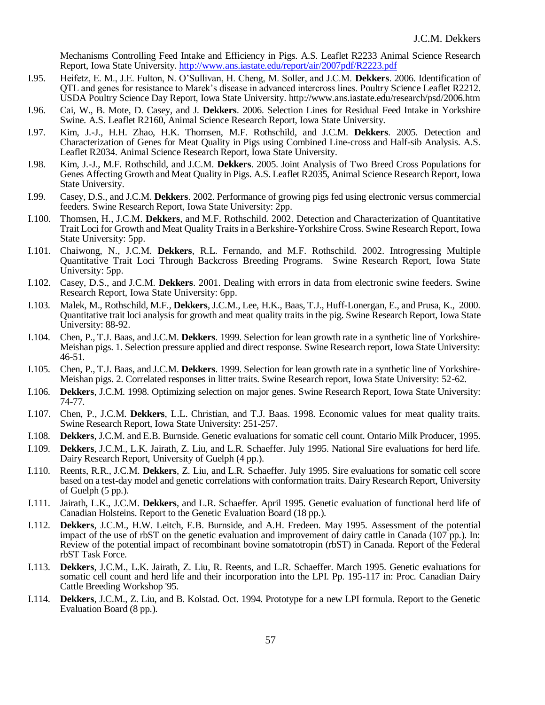Mechanisms Controlling Feed Intake and Efficiency in Pigs. A.S. Leaflet R2233 Animal Science Research Report, Iowa State University.<http://www.ans.iastate.edu/report/air/2007pdf/R2223.pdf>

- I.95. Heifetz, E. M., J.E. Fulton, N. O'Sullivan, H. Cheng, M. Soller, and J.C.M. **Dekkers**. 2006. Identification of QTL and genes for resistance to Marek's disease in advanced intercross lines. Poultry Science Leaflet R2212. USDA Poultry Science Day Report, Iowa State University. http://www.ans.iastate.edu/research/psd/2006.htm
- I.96. Cai, W., B. Mote, D. Casey, and J. **Dekkers**. 2006. Selection Lines for Residual Feed Intake in Yorkshire Swine. A.S. Leaflet R2160, Animal Science Research Report, Iowa State University.
- I.97. Kim, J.-J., H.H. Zhao, H.K. Thomsen, M.F. Rothschild, and J.C.M. **Dekkers**. 2005. Detection and Characterization of Genes for Meat Quality in Pigs using Combined Line-cross and Half-sib Analysis. A.S. Leaflet R2034. Animal Science Research Report, Iowa State University.
- I.98. Kim, J.-J., M.F. Rothschild, and J.C.M. **Dekkers**. 2005. Joint Analysis of Two Breed Cross Populations for Genes Affecting Growth and Meat Quality in Pigs. A.S. Leaflet R2035, Animal Science Research Report, Iowa State University.
- I.99. Casey, D.S., and J.C.M. **Dekkers**. 2002. Performance of growing pigs fed using electronic versus commercial feeders. Swine Research Report, Iowa State University: 2pp.
- I.100. Thomsen, H., J.C.M. **Dekkers**, and M.F. Rothschild. 2002. Detection and Characterization of Quantitative Trait Loci for Growth and Meat Quality Traits in a Berkshire-Yorkshire Cross. Swine Research Report, Iowa State University: 5pp.
- I.101. Chaiwong, N., J.C.M. **Dekkers**, R.L. Fernando, and M.F. Rothschild. 2002. Introgressing Multiple Quantitative Trait Loci Through Backcross Breeding Programs. Swine Research Report, Iowa State University: 5pp.
- I.102. Casey, D.S., and J.C.M. **Dekkers**. 2001. Dealing with errors in data from electronic swine feeders. Swine Research Report, Iowa State University: 6pp.
- I.103. Malek, M., Rothschild, M.F., **Dekkers**, J.C.M., Lee, H.K., Baas, T.J., Huff-Lonergan, E., and Prusa, K., 2000. Quantitative trait loci analysis for growth and meat quality traits in the pig. Swine Research Report, Iowa State University: 88-92.
- I.104. Chen, P., T.J. Baas, and J.C.M. **Dekkers**. 1999. Selection for lean growth rate in a synthetic line of Yorkshire-Meishan pigs. 1. Selection pressure applied and direct response. Swine Research report, Iowa State University: 46-51.
- I.105. Chen, P., T.J. Baas, and J.C.M. **Dekkers**. 1999. Selection for lean growth rate in a synthetic line of Yorkshire-Meishan pigs. 2. Correlated responses in litter traits. Swine Research report, Iowa State University: 52-62.
- I.106. **Dekkers**, J.C.M. 1998. Optimizing selection on major genes. Swine Research Report, Iowa State University: 74-77.
- I.107. Chen, P., J.C.M. **Dekkers**, L.L. Christian, and T.J. Baas. 1998. Economic values for meat quality traits. Swine Research Report, Iowa State University: 251-257.
- I.108. **Dekkers**, J.C.M. and E.B. Burnside. Genetic evaluations for somatic cell count. Ontario Milk Producer, 1995.
- I.109. **Dekkers**, J.C.M., L.K. Jairath, Z. Liu, and L.R. Schaeffer. July 1995. National Sire evaluations for herd life. Dairy Research Report, University of Guelph (4 pp.).
- I.110. Reents, R.R., J.C.M. **Dekkers**, Z. Liu, and L.R. Schaeffer. July 1995. Sire evaluations for somatic cell score based on a test-day model and genetic correlations with conformation traits. Dairy Research Report, University of Guelph (5 pp.).
- I.111. Jairath, L.K., J.C.M. **Dekkers**, and L.R. Schaeffer. April 1995. Genetic evaluation of functional herd life of Canadian Holsteins. Report to the Genetic Evaluation Board (18 pp.).
- I.112. **Dekkers**, J.C.M., H.W. Leitch, E.B. Burnside, and A.H. Fredeen. May 1995. Assessment of the potential impact of the use of rbST on the genetic evaluation and improvement of dairy cattle in Canada (107 pp.). In: Review of the potential impact of recombinant bovine somatotropin (rbST) in Canada. Report of the Federal rbST Task Force.
- I.113. **Dekkers**, J.C.M., L.K. Jairath, Z. Liu, R. Reents, and L.R. Schaeffer. March 1995. Genetic evaluations for somatic cell count and herd life and their incorporation into the LPI. Pp. 195-117 in: Proc. Canadian Dairy Cattle Breeding Workshop '95.
- I.114. **Dekkers**, J.C.M., Z. Liu, and B. Kolstad. Oct. 1994. Prototype for a new LPI formula. Report to the Genetic Evaluation Board (8 pp.).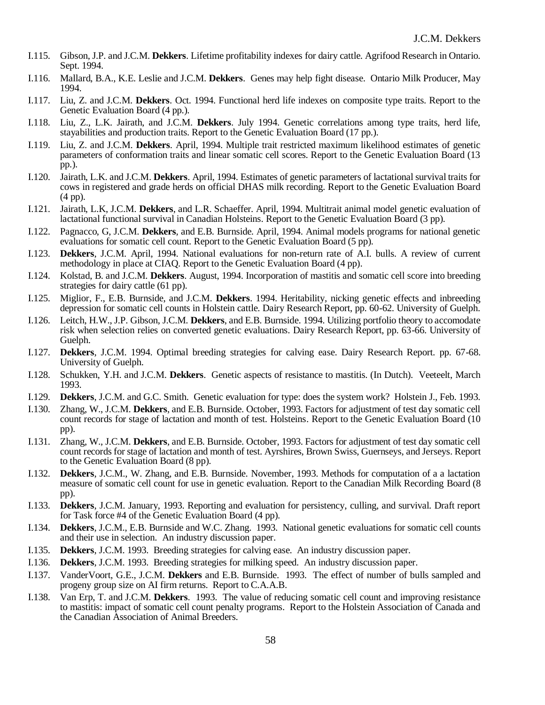- I.115. Gibson, J.P. and J.C.M. **Dekkers**. Lifetime profitability indexes for dairy cattle. Agrifood Research in Ontario. Sept. 1994.
- I.116. Mallard, B.A., K.E. Leslie and J.C.M. **Dekkers**. Genes may help fight disease. Ontario Milk Producer, May 1994.
- I.117. Liu, Z. and J.C.M. **Dekkers**. Oct. 1994. Functional herd life indexes on composite type traits. Report to the Genetic Evaluation Board (4 pp.).
- I.118. Liu, Z., L.K. Jairath, and J.C.M. **Dekkers**. July 1994. Genetic correlations among type traits, herd life, stayabilities and production traits. Report to the Genetic Evaluation Board (17 pp.).
- I.119. Liu, Z. and J.C.M. **Dekkers**. April, 1994. Multiple trait restricted maximum likelihood estimates of genetic parameters of conformation traits and linear somatic cell scores. Report to the Genetic Evaluation Board (13 pp.).
- I.120. Jairath, L.K. and J.C.M. **Dekkers**. April, 1994. Estimates of genetic parameters of lactational survival traits for cows in registered and grade herds on official DHAS milk recording. Report to the Genetic Evaluation Board (4 pp).
- I.121. Jairath, L.K, J.C.M. **Dekkers**, and L.R. Schaeffer. April, 1994. Multitrait animal model genetic evaluation of lactational functional survival in Canadian Holsteins. Report to the Genetic Evaluation Board (3 pp).
- I.122. Pagnacco, G, J.C.M. **Dekkers**, and E.B. Burnside. April, 1994. Animal models programs for national genetic evaluations for somatic cell count. Report to the Genetic Evaluation Board (5 pp).
- I.123. **Dekkers**, J.C.M. April, 1994. National evaluations for non-return rate of A.I. bulls. A review of current methodology in place at CIAQ. Report to the Genetic Evaluation Board (4 pp).
- I.124. Kolstad, B. and J.C.M. **Dekkers**. August, 1994. Incorporation of mastitis and somatic cell score into breeding strategies for dairy cattle (61 pp).
- I.125. Miglior, F., E.B. Burnside, and J.C.M. **Dekkers**. 1994. Heritability, nicking genetic effects and inbreeding depression for somatic cell counts in Holstein cattle. Dairy Research Report, pp. 60-62. University of Guelph.
- I.126. Leitch, H.W., J.P. Gibson, J.C.M. **Dekkers**, and E.B. Burnside. 1994. Utilizing portfolio theory to accomodate risk when selection relies on converted genetic evaluations. Dairy Research Report, pp. 63-66. University of Guelph.
- I.127. **Dekkers**, J.C.M. 1994. Optimal breeding strategies for calving ease. Dairy Research Report. pp. 67-68. University of Guelph.
- I.128. Schukken, Y.H. and J.C.M. **Dekkers**. Genetic aspects of resistance to mastitis. (In Dutch). Veeteelt, March 1993.
- I.129. **Dekkers**, J.C.M. and G.C. Smith. Genetic evaluation for type: does the system work? Holstein J., Feb. 1993.
- I.130. Zhang, W., J.C.M. **Dekkers**, and E.B. Burnside. October, 1993. Factors for adjustment of test day somatic cell count records for stage of lactation and month of test. Holsteins. Report to the Genetic Evaluation Board (10 pp).
- I.131. Zhang, W., J.C.M. **Dekkers**, and E.B. Burnside. October, 1993. Factors for adjustment of test day somatic cell count records for stage of lactation and month of test. Ayrshires, Brown Swiss, Guernseys, and Jerseys. Report to the Genetic Evaluation Board (8 pp).
- I.132. **Dekkers**, J.C.M., W. Zhang, and E.B. Burnside. November, 1993. Methods for computation of a a lactation measure of somatic cell count for use in genetic evaluation. Report to the Canadian Milk Recording Board (8 pp).
- I.133. **Dekkers**, J.C.M. January, 1993. Reporting and evaluation for persistency, culling, and survival. Draft report for Task force #4 of the Genetic Evaluation Board (4 pp).
- I.134. **Dekkers**, J.C.M., E.B. Burnside and W.C. Zhang. 1993. National genetic evaluations for somatic cell counts and their use in selection. An industry discussion paper.
- I.135. **Dekkers**, J.C.M. 1993. Breeding strategies for calving ease. An industry discussion paper.
- I.136. **Dekkers**, J.C.M. 1993. Breeding strategies for milking speed. An industry discussion paper.
- I.137. VanderVoort, G.E., J.C.M. **Dekkers** and E.B. Burnside. 1993. The effect of number of bulls sampled and progeny group size on AI firm returns. Report to C.A.A.B.
- I.138. Van Erp, T. and J.C.M. **Dekkers**. 1993. The value of reducing somatic cell count and improving resistance to mastitis: impact of somatic cell count penalty programs. Report to the Holstein Association of Canada and the Canadian Association of Animal Breeders.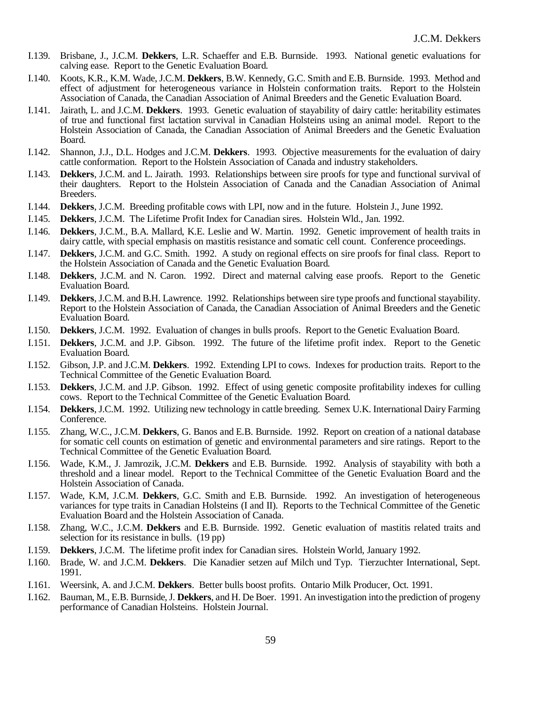- I.139. Brisbane, J., J.C.M. **Dekkers**, L.R. Schaeffer and E.B. Burnside. 1993. National genetic evaluations for calving ease. Report to the Genetic Evaluation Board.
- I.140. Koots, K.R., K.M. Wade, J.C.M. **Dekkers**, B.W. Kennedy, G.C. Smith and E.B. Burnside. 1993. Method and effect of adjustment for heterogeneous variance in Holstein conformation traits. Report to the Holstein Association of Canada, the Canadian Association of Animal Breeders and the Genetic Evaluation Board.
- I.141. Jairath, L. and J.C.M. **Dekkers**. 1993. Genetic evaluation of stayability of dairy cattle: heritability estimates of true and functional first lactation survival in Canadian Holsteins using an animal model. Report to the Holstein Association of Canada, the Canadian Association of Animal Breeders and the Genetic Evaluation Board.
- I.142. Shannon, J.J., D.L. Hodges and J.C.M. **Dekkers**. 1993. Objective measurements for the evaluation of dairy cattle conformation. Report to the Holstein Association of Canada and industry stakeholders.
- I.143. **Dekkers**, J.C.M. and L. Jairath. 1993. Relationships between sire proofs for type and functional survival of their daughters. Report to the Holstein Association of Canada and the Canadian Association of Animal Breeders.
- I.144. **Dekkers**, J.C.M. Breeding profitable cows with LPI, now and in the future. Holstein J., June 1992.
- I.145. **Dekkers**, J.C.M. The Lifetime Profit Index for Canadian sires. Holstein Wld., Jan. 1992.
- I.146. **Dekkers**, J.C.M., B.A. Mallard, K.E. Leslie and W. Martin. 1992. Genetic improvement of health traits in dairy cattle, with special emphasis on mastitis resistance and somatic cell count. Conference proceedings.
- I.147. **Dekkers**, J.C.M. and G.C. Smith. 1992. A study on regional effects on sire proofs for final class. Report to the Holstein Association of Canada and the Genetic Evaluation Board.
- I.148. **Dekkers**, J.C.M. and N. Caron. 1992. Direct and maternal calving ease proofs. Report to the Genetic Evaluation Board.
- I.149. **Dekkers**, J.C.M. and B.H. Lawrence. 1992. Relationships between sire type proofs and functional stayability. Report to the Holstein Association of Canada, the Canadian Association of Animal Breeders and the Genetic Evaluation Board.
- I.150. **Dekkers**, J.C.M. 1992. Evaluation of changes in bulls proofs. Report to the Genetic Evaluation Board.
- I.151. **Dekkers**, J.C.M. and J.P. Gibson. 1992. The future of the lifetime profit index. Report to the Genetic Evaluation Board.
- I.152. Gibson, J.P. and J.C.M. **Dekkers**. 1992. Extending LPI to cows. Indexes for production traits. Report to the Technical Committee of the Genetic Evaluation Board.
- I.153. **Dekkers**, J.C.M. and J.P. Gibson. 1992. Effect of using genetic composite profitability indexes for culling cows. Report to the Technical Committee of the Genetic Evaluation Board.
- I.154. **Dekkers**, J.C.M. 1992. Utilizing new technology in cattle breeding. Semex U.K. International Dairy Farming Conference.
- I.155. Zhang, W.C., J.C.M. **Dekkers**, G. Banos and E.B. Burnside. 1992. Report on creation of a national database for somatic cell counts on estimation of genetic and environmental parameters and sire ratings. Report to the Technical Committee of the Genetic Evaluation Board.
- I.156. Wade, K.M., J. Jamrozik, J.C.M. **Dekkers** and E.B. Burnside. 1992. Analysis of stayability with both a threshold and a linear model. Report to the Technical Committee of the Genetic Evaluation Board and the Holstein Association of Canada.
- I.157. Wade, K.M, J.C.M. **Dekkers**, G.C. Smith and E.B. Burnside. 1992. An investigation of heterogeneous variances for type traits in Canadian Holsteins (I and II). Reports to the Technical Committee of the Genetic Evaluation Board and the Holstein Association of Canada.
- I.158. Zhang, W.C., J.C.M. **Dekkers** and E.B. Burnside. 1992. Genetic evaluation of mastitis related traits and selection for its resistance in bulls. (19 pp)
- I.159. **Dekkers**, J.C.M. The lifetime profit index for Canadian sires. Holstein World, January 1992.
- I.160. Brade, W. and J.C.M. **Dekkers**. Die Kanadier setzen auf Milch und Typ. Tierzuchter International, Sept. 1991.
- I.161. Weersink, A. and J.C.M. **Dekkers**. Better bulls boost profits. Ontario Milk Producer, Oct. 1991.
- I.162. Bauman, M., E.B. Burnside, J. **Dekkers**, and H. De Boer. 1991. An investigation into the prediction of progeny performance of Canadian Holsteins. Holstein Journal.